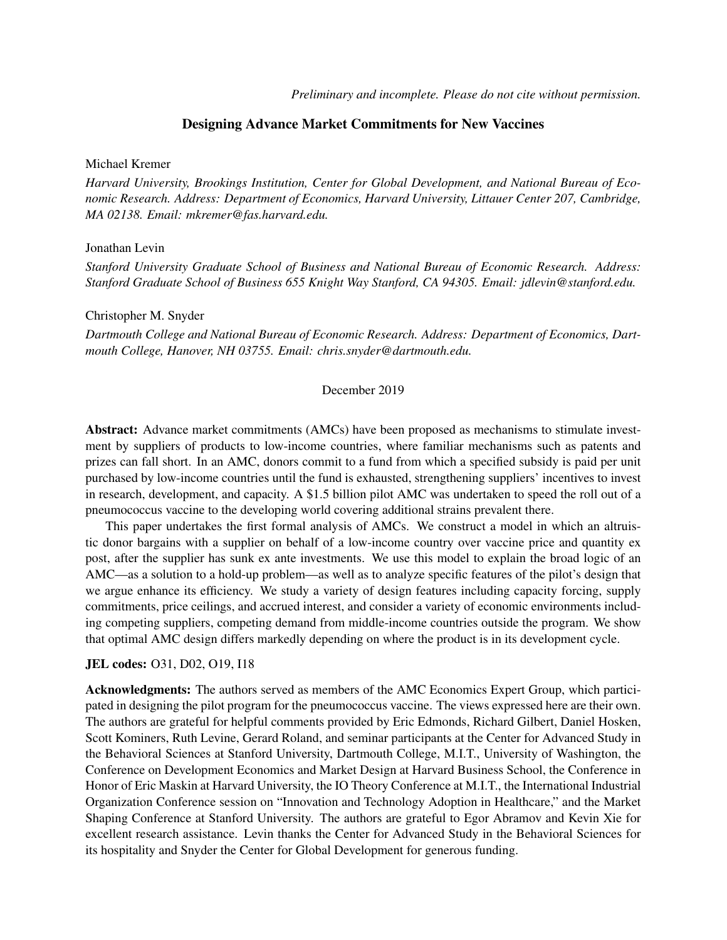*Preliminary and incomplete. Please do not cite without permission.*

## Designing Advance Market Commitments for New Vaccines

## Michael Kremer

*Harvard University, Brookings Institution, Center for Global Development, and National Bureau of Economic Research. Address: Department of Economics, Harvard University, Littauer Center 207, Cambridge, MA 02138. Email: mkremer@fas.harvard.edu.*

## Jonathan Levin

*Stanford University Graduate School of Business and National Bureau of Economic Research. Address: Stanford Graduate School of Business 655 Knight Way Stanford, CA 94305. Email: jdlevin@stanford.edu.*

### Christopher M. Snyder

*Dartmouth College and National Bureau of Economic Research. Address: Department of Economics, Dartmouth College, Hanover, NH 03755. Email: chris.snyder@dartmouth.edu.*

## December 2019

Abstract: Advance market commitments (AMCs) have been proposed as mechanisms to stimulate investment by suppliers of products to low-income countries, where familiar mechanisms such as patents and prizes can fall short. In an AMC, donors commit to a fund from which a specified subsidy is paid per unit purchased by low-income countries until the fund is exhausted, strengthening suppliers' incentives to invest in research, development, and capacity. A \$1.5 billion pilot AMC was undertaken to speed the roll out of a pneumococcus vaccine to the developing world covering additional strains prevalent there.

This paper undertakes the first formal analysis of AMCs. We construct a model in which an altruistic donor bargains with a supplier on behalf of a low-income country over vaccine price and quantity ex post, after the supplier has sunk ex ante investments. We use this model to explain the broad logic of an AMC—as a solution to a hold-up problem—as well as to analyze specific features of the pilot's design that we argue enhance its efficiency. We study a variety of design features including capacity forcing, supply commitments, price ceilings, and accrued interest, and consider a variety of economic environments including competing suppliers, competing demand from middle-income countries outside the program. We show that optimal AMC design differs markedly depending on where the product is in its development cycle.

#### JEL codes: O31, D02, O19, I18

Acknowledgments: The authors served as members of the AMC Economics Expert Group, which participated in designing the pilot program for the pneumococcus vaccine. The views expressed here are their own. The authors are grateful for helpful comments provided by Eric Edmonds, Richard Gilbert, Daniel Hosken, Scott Kominers, Ruth Levine, Gerard Roland, and seminar participants at the Center for Advanced Study in the Behavioral Sciences at Stanford University, Dartmouth College, M.I.T., University of Washington, the Conference on Development Economics and Market Design at Harvard Business School, the Conference in Honor of Eric Maskin at Harvard University, the IO Theory Conference at M.I.T., the International Industrial Organization Conference session on "Innovation and Technology Adoption in Healthcare," and the Market Shaping Conference at Stanford University. The authors are grateful to Egor Abramov and Kevin Xie for excellent research assistance. Levin thanks the Center for Advanced Study in the Behavioral Sciences for its hospitality and Snyder the Center for Global Development for generous funding.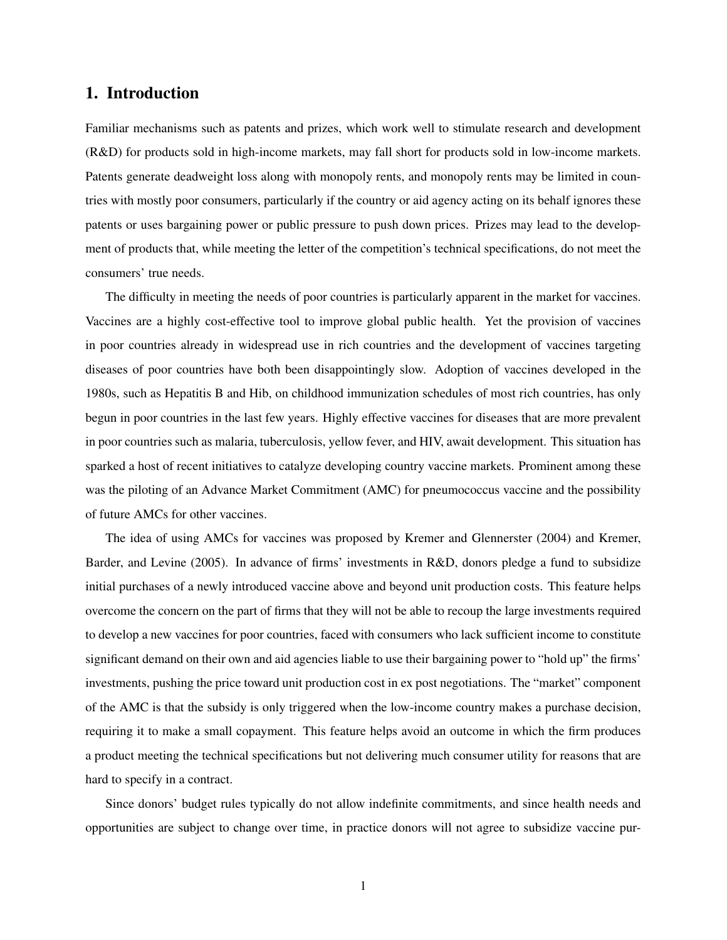# 1. Introduction

Familiar mechanisms such as patents and prizes, which work well to stimulate research and development (R&D) for products sold in high-income markets, may fall short for products sold in low-income markets. Patents generate deadweight loss along with monopoly rents, and monopoly rents may be limited in countries with mostly poor consumers, particularly if the country or aid agency acting on its behalf ignores these patents or uses bargaining power or public pressure to push down prices. Prizes may lead to the development of products that, while meeting the letter of the competition's technical specifications, do not meet the consumers' true needs.

The difficulty in meeting the needs of poor countries is particularly apparent in the market for vaccines. Vaccines are a highly cost-effective tool to improve global public health. Yet the provision of vaccines in poor countries already in widespread use in rich countries and the development of vaccines targeting diseases of poor countries have both been disappointingly slow. Adoption of vaccines developed in the 1980s, such as Hepatitis B and Hib, on childhood immunization schedules of most rich countries, has only begun in poor countries in the last few years. Highly effective vaccines for diseases that are more prevalent in poor countries such as malaria, tuberculosis, yellow fever, and HIV, await development. This situation has sparked a host of recent initiatives to catalyze developing country vaccine markets. Prominent among these was the piloting of an Advance Market Commitment (AMC) for pneumococcus vaccine and the possibility of future AMCs for other vaccines.

The idea of using AMCs for vaccines was proposed by Kremer and Glennerster (2004) and Kremer, Barder, and Levine (2005). In advance of firms' investments in R&D, donors pledge a fund to subsidize initial purchases of a newly introduced vaccine above and beyond unit production costs. This feature helps overcome the concern on the part of firms that they will not be able to recoup the large investments required to develop a new vaccines for poor countries, faced with consumers who lack sufficient income to constitute significant demand on their own and aid agencies liable to use their bargaining power to "hold up" the firms' investments, pushing the price toward unit production cost in ex post negotiations. The "market" component of the AMC is that the subsidy is only triggered when the low-income country makes a purchase decision, requiring it to make a small copayment. This feature helps avoid an outcome in which the firm produces a product meeting the technical specifications but not delivering much consumer utility for reasons that are hard to specify in a contract.

Since donors' budget rules typically do not allow indefinite commitments, and since health needs and opportunities are subject to change over time, in practice donors will not agree to subsidize vaccine pur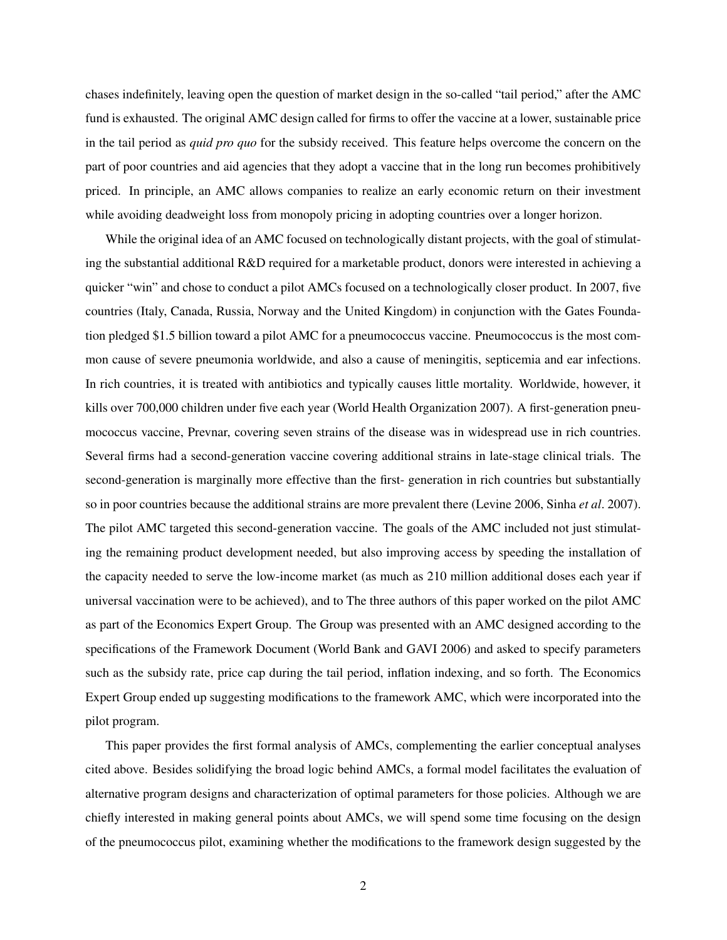chases indefinitely, leaving open the question of market design in the so-called "tail period," after the AMC fund is exhausted. The original AMC design called for firms to offer the vaccine at a lower, sustainable price in the tail period as *quid pro quo* for the subsidy received. This feature helps overcome the concern on the part of poor countries and aid agencies that they adopt a vaccine that in the long run becomes prohibitively priced. In principle, an AMC allows companies to realize an early economic return on their investment while avoiding deadweight loss from monopoly pricing in adopting countries over a longer horizon.

While the original idea of an AMC focused on technologically distant projects, with the goal of stimulating the substantial additional R&D required for a marketable product, donors were interested in achieving a quicker "win" and chose to conduct a pilot AMCs focused on a technologically closer product. In 2007, five countries (Italy, Canada, Russia, Norway and the United Kingdom) in conjunction with the Gates Foundation pledged \$1.5 billion toward a pilot AMC for a pneumococcus vaccine. Pneumococcus is the most common cause of severe pneumonia worldwide, and also a cause of meningitis, septicemia and ear infections. In rich countries, it is treated with antibiotics and typically causes little mortality. Worldwide, however, it kills over 700,000 children under five each year (World Health Organization 2007). A first-generation pneumococcus vaccine, Prevnar, covering seven strains of the disease was in widespread use in rich countries. Several firms had a second-generation vaccine covering additional strains in late-stage clinical trials. The second-generation is marginally more effective than the first- generation in rich countries but substantially so in poor countries because the additional strains are more prevalent there (Levine 2006, Sinha *et al*. 2007). The pilot AMC targeted this second-generation vaccine. The goals of the AMC included not just stimulating the remaining product development needed, but also improving access by speeding the installation of the capacity needed to serve the low-income market (as much as 210 million additional doses each year if universal vaccination were to be achieved), and to The three authors of this paper worked on the pilot AMC as part of the Economics Expert Group. The Group was presented with an AMC designed according to the specifications of the Framework Document (World Bank and GAVI 2006) and asked to specify parameters such as the subsidy rate, price cap during the tail period, inflation indexing, and so forth. The Economics Expert Group ended up suggesting modifications to the framework AMC, which were incorporated into the pilot program.

This paper provides the first formal analysis of AMCs, complementing the earlier conceptual analyses cited above. Besides solidifying the broad logic behind AMCs, a formal model facilitates the evaluation of alternative program designs and characterization of optimal parameters for those policies. Although we are chiefly interested in making general points about AMCs, we will spend some time focusing on the design of the pneumococcus pilot, examining whether the modifications to the framework design suggested by the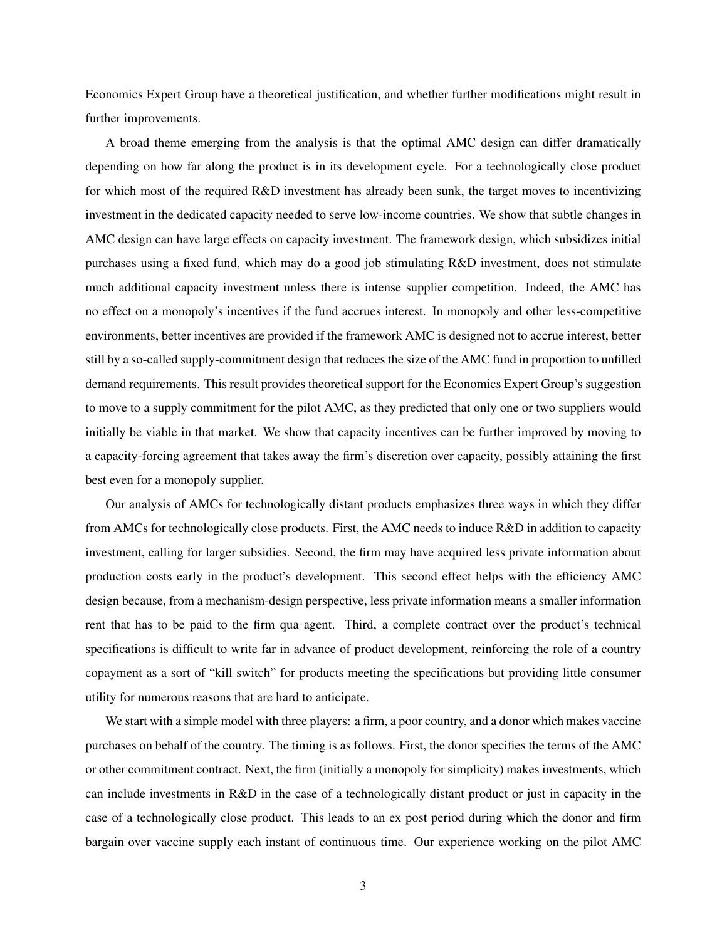Economics Expert Group have a theoretical justification, and whether further modifications might result in further improvements.

A broad theme emerging from the analysis is that the optimal AMC design can differ dramatically depending on how far along the product is in its development cycle. For a technologically close product for which most of the required R&D investment has already been sunk, the target moves to incentivizing investment in the dedicated capacity needed to serve low-income countries. We show that subtle changes in AMC design can have large effects on capacity investment. The framework design, which subsidizes initial purchases using a fixed fund, which may do a good job stimulating R&D investment, does not stimulate much additional capacity investment unless there is intense supplier competition. Indeed, the AMC has no effect on a monopoly's incentives if the fund accrues interest. In monopoly and other less-competitive environments, better incentives are provided if the framework AMC is designed not to accrue interest, better still by a so-called supply-commitment design that reduces the size of the AMC fund in proportion to unfilled demand requirements. This result provides theoretical support for the Economics Expert Group's suggestion to move to a supply commitment for the pilot AMC, as they predicted that only one or two suppliers would initially be viable in that market. We show that capacity incentives can be further improved by moving to a capacity-forcing agreement that takes away the firm's discretion over capacity, possibly attaining the first best even for a monopoly supplier.

Our analysis of AMCs for technologically distant products emphasizes three ways in which they differ from AMCs for technologically close products. First, the AMC needs to induce R&D in addition to capacity investment, calling for larger subsidies. Second, the firm may have acquired less private information about production costs early in the product's development. This second effect helps with the efficiency AMC design because, from a mechanism-design perspective, less private information means a smaller information rent that has to be paid to the firm qua agent. Third, a complete contract over the product's technical specifications is difficult to write far in advance of product development, reinforcing the role of a country copayment as a sort of "kill switch" for products meeting the specifications but providing little consumer utility for numerous reasons that are hard to anticipate.

We start with a simple model with three players: a firm, a poor country, and a donor which makes vaccine purchases on behalf of the country. The timing is as follows. First, the donor specifies the terms of the AMC or other commitment contract. Next, the firm (initially a monopoly for simplicity) makes investments, which can include investments in R&D in the case of a technologically distant product or just in capacity in the case of a technologically close product. This leads to an ex post period during which the donor and firm bargain over vaccine supply each instant of continuous time. Our experience working on the pilot AMC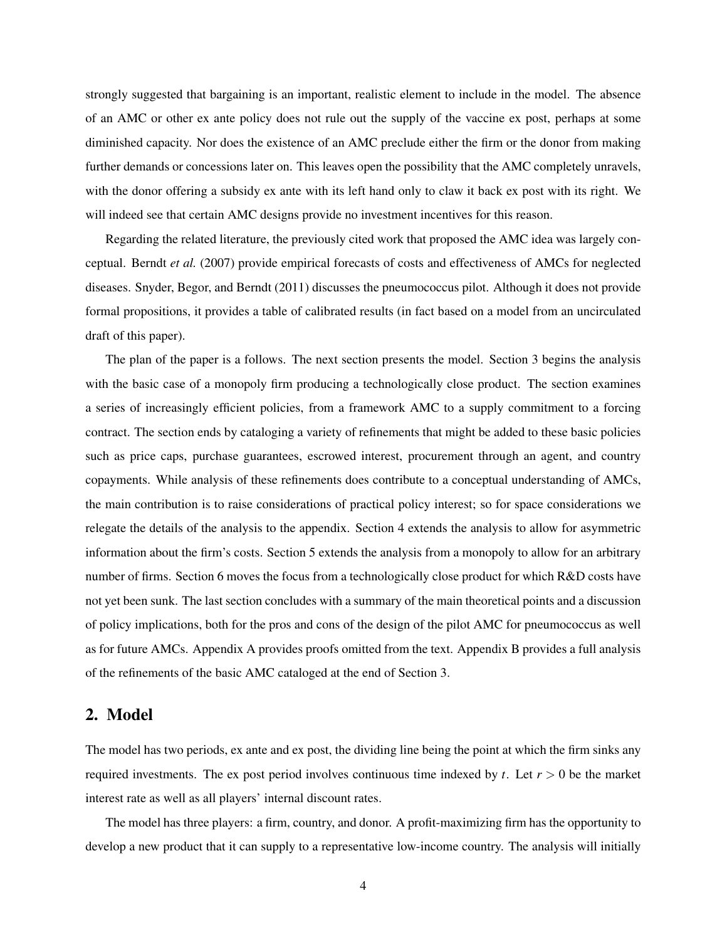strongly suggested that bargaining is an important, realistic element to include in the model. The absence of an AMC or other ex ante policy does not rule out the supply of the vaccine ex post, perhaps at some diminished capacity. Nor does the existence of an AMC preclude either the firm or the donor from making further demands or concessions later on. This leaves open the possibility that the AMC completely unravels, with the donor offering a subsidy ex ante with its left hand only to claw it back ex post with its right. We will indeed see that certain AMC designs provide no investment incentives for this reason.

Regarding the related literature, the previously cited work that proposed the AMC idea was largely conceptual. Berndt *et al.* (2007) provide empirical forecasts of costs and effectiveness of AMCs for neglected diseases. Snyder, Begor, and Berndt (2011) discusses the pneumococcus pilot. Although it does not provide formal propositions, it provides a table of calibrated results (in fact based on a model from an uncirculated draft of this paper).

The plan of the paper is a follows. The next section presents the model. Section 3 begins the analysis with the basic case of a monopoly firm producing a technologically close product. The section examines a series of increasingly efficient policies, from a framework AMC to a supply commitment to a forcing contract. The section ends by cataloging a variety of refinements that might be added to these basic policies such as price caps, purchase guarantees, escrowed interest, procurement through an agent, and country copayments. While analysis of these refinements does contribute to a conceptual understanding of AMCs, the main contribution is to raise considerations of practical policy interest; so for space considerations we relegate the details of the analysis to the appendix. Section 4 extends the analysis to allow for asymmetric information about the firm's costs. Section 5 extends the analysis from a monopoly to allow for an arbitrary number of firms. Section 6 moves the focus from a technologically close product for which R&D costs have not yet been sunk. The last section concludes with a summary of the main theoretical points and a discussion of policy implications, both for the pros and cons of the design of the pilot AMC for pneumococcus as well as for future AMCs. Appendix A provides proofs omitted from the text. Appendix B provides a full analysis of the refinements of the basic AMC cataloged at the end of Section 3.

## 2. Model

The model has two periods, ex ante and ex post, the dividing line being the point at which the firm sinks any required investments. The ex post period involves continuous time indexed by *t*. Let *r* > 0 be the market interest rate as well as all players' internal discount rates.

The model has three players: a firm, country, and donor. A profit-maximizing firm has the opportunity to develop a new product that it can supply to a representative low-income country. The analysis will initially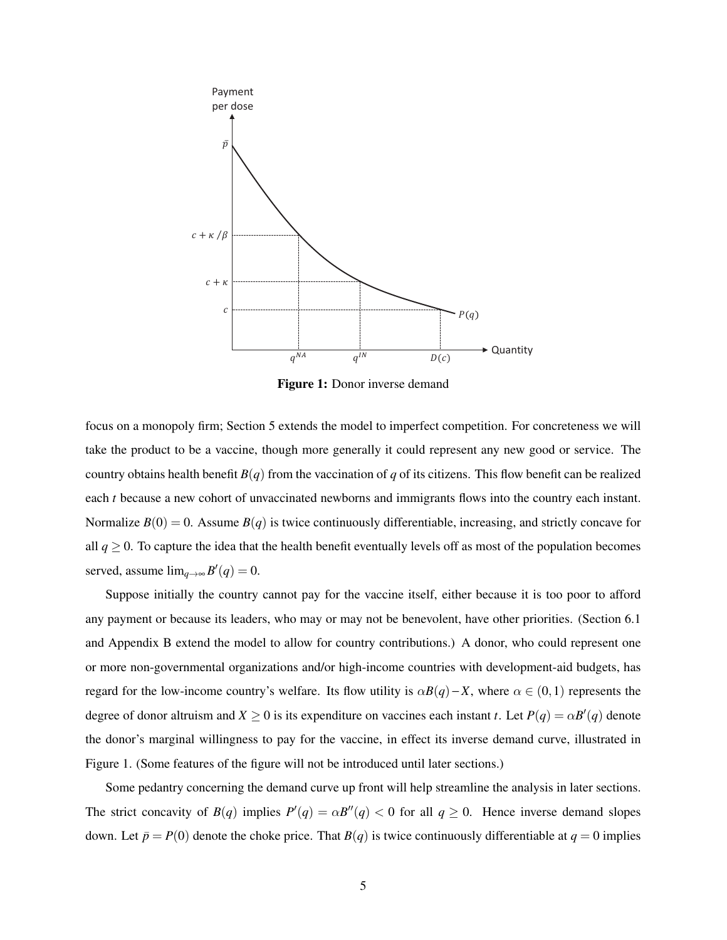

Figure 1: Donor inverse demand

Normalize  $B(0) = 0$ . Assume  $B(q)$  is twice continuously differentiable, increasing, and strictly concave for focus on a monopoly firm; Section 5 extends the model to imperfect competition. For concreteness we will take the product to be a vaccine, though more generally it could represent any new good or service. The country obtains health benefit  $B(q)$  from the vaccination of *q* of its citizens. This flow benefit can be realized each *t* because a new cohort of unvaccinated newborns and immigrants flows into the country each instant. all  $q \ge 0$ . To capture the idea that the health benefit eventually levels off as most of the population becomes served, assume  $\lim_{q \to \infty} B'(q) = 0$ .

Suppose initially the country cannot pay for the vaccine itself, either because it is too poor to afford any payment or because its leaders, who may or may not be benevolent, have other priorities. (Section 6.1 and Appendix B extend the model to allow for country contributions.) A donor, who could represent one or more non-governmental organizations and/or high-income countries with development-aid budgets, has regard for the low-income country's welfare. Its flow utility is  $\alpha B(q) - X$ , where  $\alpha \in (0,1)$  represents the degree of donor altruism and  $X \ge 0$  is its expenditure on vaccines each instant *t*. Let  $P(q) = \alpha B'(q)$  denote the donor's marginal willingness to pay for the vaccine, in effect its inverse demand curve, illustrated in Figure 1. (Some features of the figure will not be introduced until later sections.)

Some pedantry concerning the demand curve up front will help streamline the analysis in later sections. The strict concavity of  $B(q)$  implies  $P'(q) = \alpha B''(q) < 0$  for all  $q \ge 0$ . Hence inverse demand slopes down. Let  $\bar{p} = P(0)$  denote the choke price. That  $B(q)$  is twice continuously differentiable at  $q = 0$  implies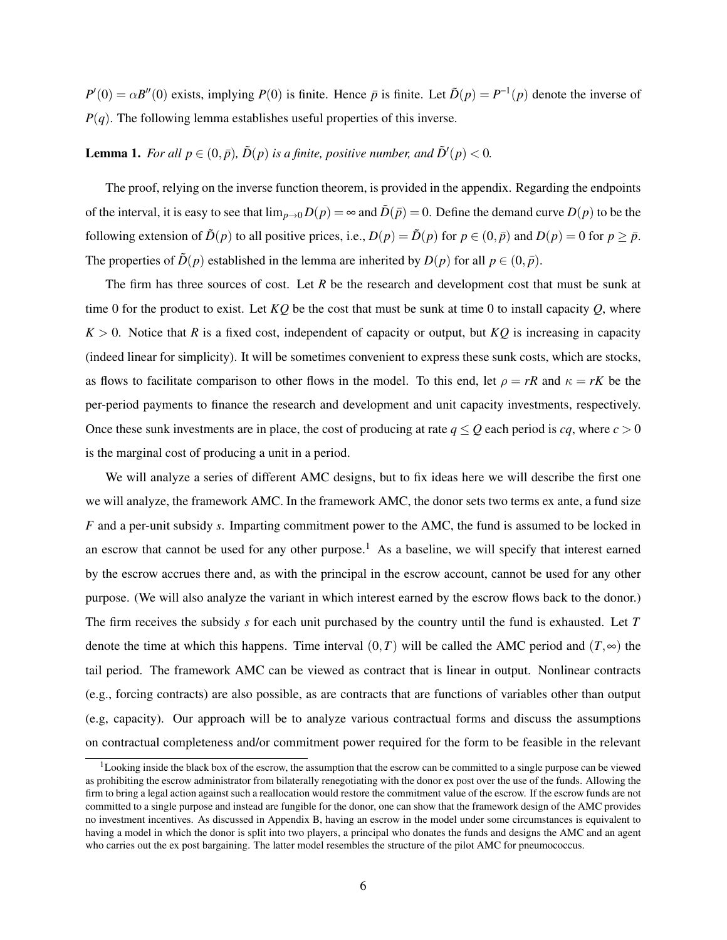$P'(0) = \alpha B''(0)$  exists, implying *P*(0) is finite. Hence  $\bar{p}$  is finite. Let  $\tilde{D}(p) = P^{-1}(p)$  denote the inverse of  $P(q)$ . The following lemma establishes useful properties of this inverse.

**Lemma 1.** For all  $p \in (0, \bar{p})$ ,  $\tilde{D}(p)$  is a finite, positive number, and  $\tilde{D}'(p) < 0$ .

The proof, relying on the inverse function theorem, is provided in the appendix. Regarding the endpoints of the interval, it is easy to see that  $\lim_{p\to 0} D(p) = \infty$  and  $\tilde{D}(\bar{p}) = 0$ . Define the demand curve  $D(p)$  to be the following extension of  $\tilde{D}(p)$  to all positive prices, i.e.,  $D(p) = \tilde{D}(p)$  for  $p \in (0, \bar{p})$  and  $D(p) = 0$  for  $p \geq \bar{p}$ . The properties of  $\tilde{D}(p)$  established in the lemma are inherited by  $D(p)$  for all  $p \in (0, \bar{p})$ .

The firm has three sources of cost. Let *R* be the research and development cost that must be sunk at time 0 for the product to exist. Let *KQ* be the cost that must be sunk at time 0 to install capacity *Q*, where  $K > 0$ . Notice that *R* is a fixed cost, independent of capacity or output, but *KQ* is increasing in capacity (indeed linear for simplicity). It will be sometimes convenient to express these sunk costs, which are stocks, as flows to facilitate comparison to other flows in the model. To this end, let  $\rho = rR$  and  $\kappa = rK$  be the per-period payments to finance the research and development and unit capacity investments, respectively. Once these sunk investments are in place, the cost of producing at rate  $q \leq Q$  each period is *cq*, where  $c > 0$ is the marginal cost of producing a unit in a period.

We will analyze a series of different AMC designs, but to fix ideas here we will describe the first one we will analyze, the framework AMC. In the framework AMC, the donor sets two terms ex ante, a fund size *F* and a per-unit subsidy *s*. Imparting commitment power to the AMC, the fund is assumed to be locked in an escrow that cannot be used for any other purpose.<sup>1</sup> As a baseline, we will specify that interest earned by the escrow accrues there and, as with the principal in the escrow account, cannot be used for any other purpose. (We will also analyze the variant in which interest earned by the escrow flows back to the donor.) The firm receives the subsidy *s* for each unit purchased by the country until the fund is exhausted. Let *T* denote the time at which this happens. Time interval  $(0,T)$  will be called the AMC period and  $(T,\infty)$  the tail period. The framework AMC can be viewed as contract that is linear in output. Nonlinear contracts (e.g., forcing contracts) are also possible, as are contracts that are functions of variables other than output (e.g, capacity). Our approach will be to analyze various contractual forms and discuss the assumptions on contractual completeness and/or commitment power required for the form to be feasible in the relevant

 $1$ Looking inside the black box of the escrow, the assumption that the escrow can be committed to a single purpose can be viewed as prohibiting the escrow administrator from bilaterally renegotiating with the donor ex post over the use of the funds. Allowing the firm to bring a legal action against such a reallocation would restore the commitment value of the escrow. If the escrow funds are not committed to a single purpose and instead are fungible for the donor, one can show that the framework design of the AMC provides no investment incentives. As discussed in Appendix B, having an escrow in the model under some circumstances is equivalent to having a model in which the donor is split into two players, a principal who donates the funds and designs the AMC and an agent who carries out the ex post bargaining. The latter model resembles the structure of the pilot AMC for pneumococcus.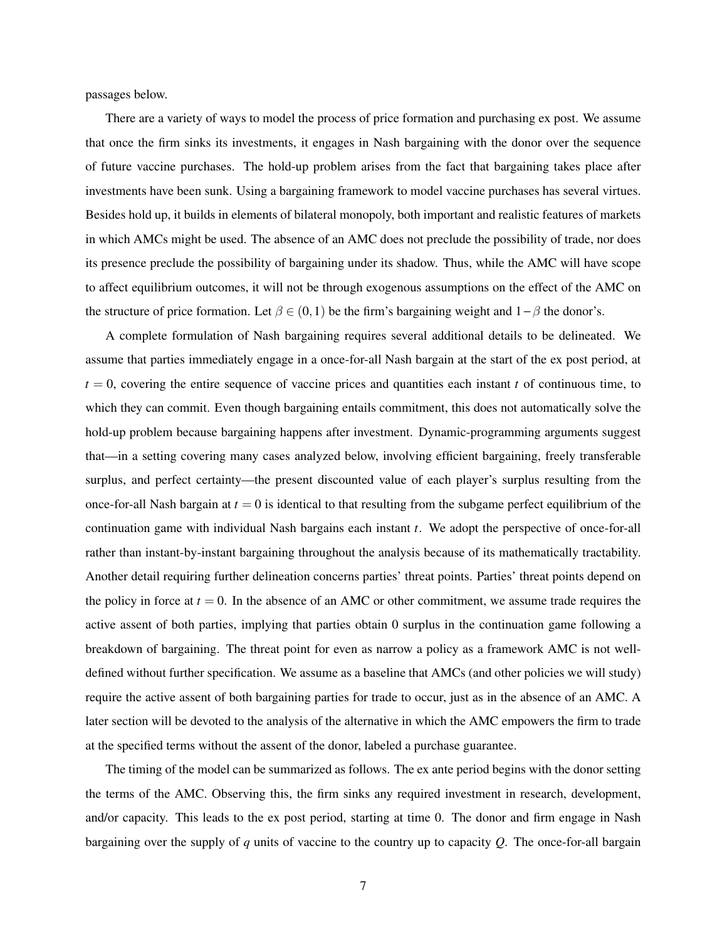passages below.

There are a variety of ways to model the process of price formation and purchasing ex post. We assume that once the firm sinks its investments, it engages in Nash bargaining with the donor over the sequence of future vaccine purchases. The hold-up problem arises from the fact that bargaining takes place after investments have been sunk. Using a bargaining framework to model vaccine purchases has several virtues. Besides hold up, it builds in elements of bilateral monopoly, both important and realistic features of markets in which AMCs might be used. The absence of an AMC does not preclude the possibility of trade, nor does its presence preclude the possibility of bargaining under its shadow. Thus, while the AMC will have scope to affect equilibrium outcomes, it will not be through exogenous assumptions on the effect of the AMC on the structure of price formation. Let  $\beta \in (0,1)$  be the firm's bargaining weight and  $1-\beta$  the donor's.

A complete formulation of Nash bargaining requires several additional details to be delineated. We assume that parties immediately engage in a once-for-all Nash bargain at the start of the ex post period, at  $t = 0$ , covering the entire sequence of vaccine prices and quantities each instant  $t$  of continuous time, to which they can commit. Even though bargaining entails commitment, this does not automatically solve the hold-up problem because bargaining happens after investment. Dynamic-programming arguments suggest that—in a setting covering many cases analyzed below, involving efficient bargaining, freely transferable surplus, and perfect certainty—the present discounted value of each player's surplus resulting from the once-for-all Nash bargain at  $t = 0$  is identical to that resulting from the subgame perfect equilibrium of the continuation game with individual Nash bargains each instant *t*. We adopt the perspective of once-for-all rather than instant-by-instant bargaining throughout the analysis because of its mathematically tractability. Another detail requiring further delineation concerns parties' threat points. Parties' threat points depend on the policy in force at  $t = 0$ . In the absence of an AMC or other commitment, we assume trade requires the active assent of both parties, implying that parties obtain 0 surplus in the continuation game following a breakdown of bargaining. The threat point for even as narrow a policy as a framework AMC is not welldefined without further specification. We assume as a baseline that AMCs (and other policies we will study) require the active assent of both bargaining parties for trade to occur, just as in the absence of an AMC. A later section will be devoted to the analysis of the alternative in which the AMC empowers the firm to trade at the specified terms without the assent of the donor, labeled a purchase guarantee.

The timing of the model can be summarized as follows. The ex ante period begins with the donor setting the terms of the AMC. Observing this, the firm sinks any required investment in research, development, and/or capacity. This leads to the ex post period, starting at time 0. The donor and firm engage in Nash bargaining over the supply of *q* units of vaccine to the country up to capacity *Q*. The once-for-all bargain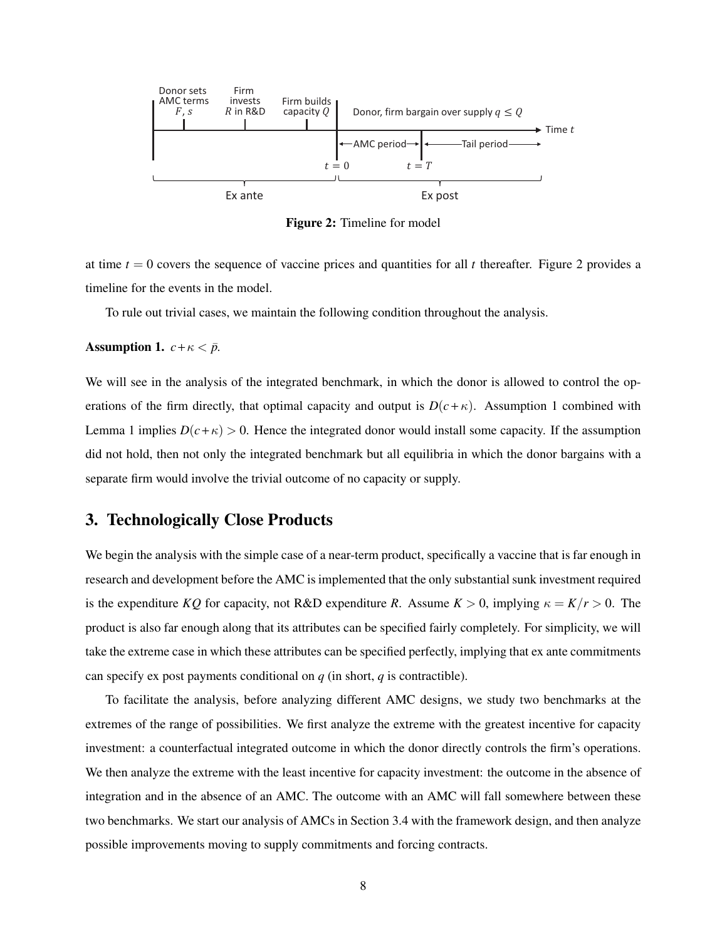

Figure 2: Timeline for model

at time  $t = 0$  covers the sequence of vaccine prices and quantities for all  $t$  thereafter. Figure 2 provides a timeline for the events in the model.

To rule out trivial cases, we maintain the following condition throughout the analysis.

### Assumption 1.  $c + \kappa < \bar{p}$ .

We will see in the analysis of the integrated benchmark, in which the donor is allowed to control the operations of the firm directly, that optimal capacity and output is  $D(c+\kappa)$ . Assumption 1 combined with Lemma 1 implies  $D(c+\kappa) > 0$ . Hence the integrated donor would install some capacity. If the assumption did not hold, then not only the integrated benchmark but all equilibria in which the donor bargains with a separate firm would involve the trivial outcome of no capacity or supply.

# 3. Technologically Close Products

We begin the analysis with the simple case of a near-term product, specifically a vaccine that is far enough in research and development before the AMC is implemented that the only substantial sunk investment required is the expenditure *KQ* for capacity, not R&D expenditure *R*. Assume  $K > 0$ , implying  $\kappa = K/r > 0$ . The product is also far enough along that its attributes can be specified fairly completely. For simplicity, we will take the extreme case in which these attributes can be specified perfectly, implying that ex ante commitments can specify ex post payments conditional on *q* (in short, *q* is contractible).

To facilitate the analysis, before analyzing different AMC designs, we study two benchmarks at the extremes of the range of possibilities. We first analyze the extreme with the greatest incentive for capacity investment: a counterfactual integrated outcome in which the donor directly controls the firm's operations. We then analyze the extreme with the least incentive for capacity investment: the outcome in the absence of integration and in the absence of an AMC. The outcome with an AMC will fall somewhere between these two benchmarks. We start our analysis of AMCs in Section 3.4 with the framework design, and then analyze possible improvements moving to supply commitments and forcing contracts.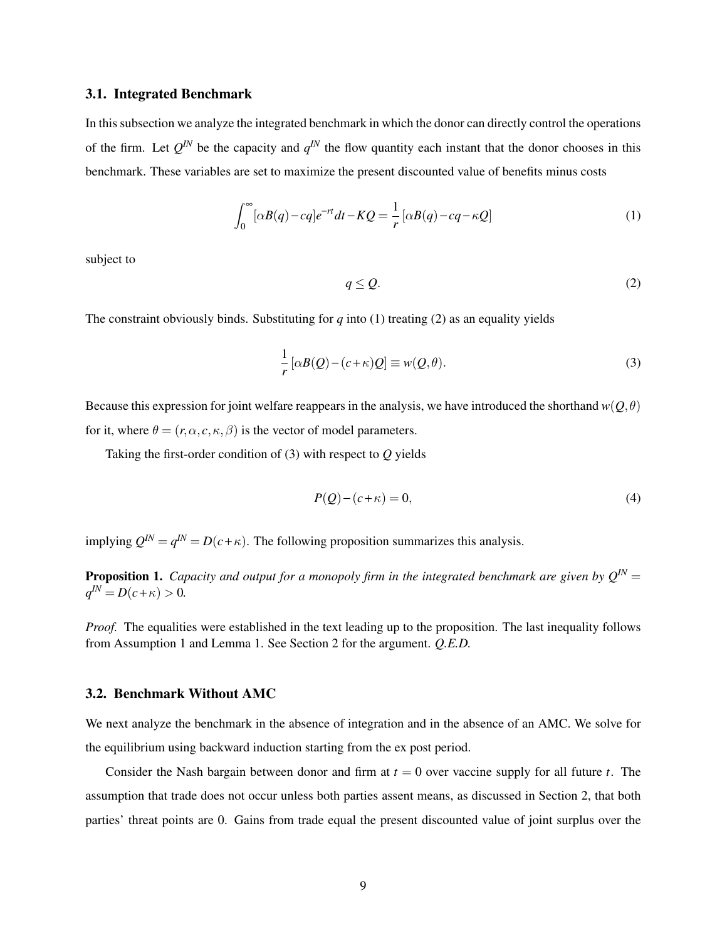## 3.1. Integrated Benchmark

In this subsection we analyze the integrated benchmark in which the donor can directly control the operations of the firm. Let  $Q^{IN}$  be the capacity and  $q^{IN}$  the flow quantity each instant that the donor chooses in this benchmark. These variables are set to maximize the present discounted value of benefits minus costs

$$
\int_0^\infty [\alpha B(q) - cq] e^{-rt} dt - KQ = \frac{1}{r} [\alpha B(q) - cq - \kappa Q]
$$
\n(1)

subject to

$$
q \le Q. \tag{2}
$$

The constraint obviously binds. Substituting for  $q$  into (1) treating (2) as an equality yields

$$
\frac{1}{r} [\alpha B(Q) - (c + \kappa)Q] \equiv w(Q, \theta).
$$
\n(3)

Because this expression for joint welfare reappears in the analysis, we have introduced the shorthand  $w(O, \theta)$ for it, where  $\theta = (r, \alpha, c, \kappa, \beta)$  is the vector of model parameters.

Taking the first-order condition of (3) with respect to *Q* yields

$$
P(Q) - (c + \kappa) = 0,\t\t(4)
$$

implying  $Q^{IN} = q^{IN} = D(c + \kappa)$ . The following proposition summarizes this analysis.

**Proposition 1.** *Capacity and output for a monopoly firm in the integrated benchmark are given by*  $O^{IN}$  *=*  $O^{IN}$  *+*  $O^{IN}$  *+*  $O^{IN}$  *+*  $O^{IN}$  *+*  $O^{IN}$  *+*  $O^{IN}$  *+*  $O^{IN}$  *+*  $O^{IN}$  *+*  $O^{IN}$  *+*  $O^{IN}$  *+*  $O^{IN}$  *+*  $O^{IN}$  *+ O^{IN}*  $q^{IN} = D(c + \kappa) > 0.$ 

*Proof.* The equalities were established in the text leading up to the proposition. The last inequality follows from Assumption 1 and Lemma 1. See Section 2 for the argument. *Q.E.D.*

## 3.2. Benchmark Without AMC

We next analyze the benchmark in the absence of integration and in the absence of an AMC. We solve for the equilibrium using backward induction starting from the ex post period.

Consider the Nash bargain between donor and firm at  $t = 0$  over vaccine supply for all future  $t$ . The assumption that trade does not occur unless both parties assent means, as discussed in Section 2, that both parties' threat points are 0. Gains from trade equal the present discounted value of joint surplus over the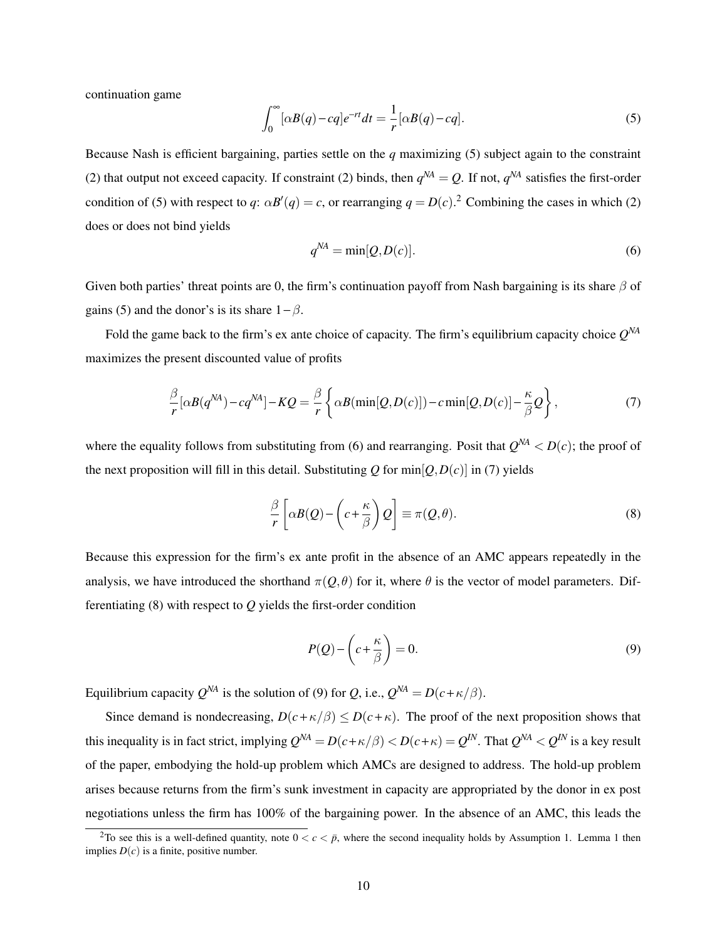continuation game

$$
\int_0^\infty [\alpha B(q) - cq] e^{-rt} dt = \frac{1}{r} [\alpha B(q) - cq]. \tag{5}
$$

Because Nash is efficient bargaining, parties settle on the *q* maximizing (5) subject again to the constraint (2) that output not exceed capacity. If constraint (2) binds, then  $q^{NA} = Q$ . If not,  $q^{NA}$  satisfies the first-order condition of (5) with respect to *q*:  $\alpha B'(q) = c$ , or rearranging  $q = D(c)$ .<sup>2</sup> Combining the cases in which (2) does or does not bind yields

$$
q^{NA} = \min[Q, D(c)].
$$
\n(6)

Given both parties' threat points are 0, the firm's continuation payoff from Nash bargaining is its share  $\beta$  of gains (5) and the donor's is its share  $1 - \beta$ .

Fold the game back to the firm's ex ante choice of capacity. The firm's equilibrium capacity choice *Q NA* maximizes the present discounted value of profits

$$
\frac{\beta}{r} [\alpha B(q^{NA}) - cq^{NA}] - KQ = \frac{\beta}{r} \left\{ \alpha B(\min[Q, D(c)]) - c \min[Q, D(c)] - \frac{\kappa}{\beta} Q \right\},\tag{7}
$$

where the equality follows from substituting from (6) and rearranging. Posit that  $Q^{NA} < D(c)$ ; the proof of the next proposition will fill in this detail. Substituting  $Q$  for  $\min[Q, D(c)]$  in (7) yields

$$
\frac{\beta}{r} \left[ \alpha B(Q) - \left( c + \frac{\kappa}{\beta} \right) Q \right] \equiv \pi(Q, \theta). \tag{8}
$$

Because this expression for the firm's ex ante profit in the absence of an AMC appears repeatedly in the analysis, we have introduced the shorthand  $\pi(Q,\theta)$  for it, where  $\theta$  is the vector of model parameters. Differentiating (8) with respect to *Q* yields the first-order condition

$$
P(Q) - \left(c + \frac{\kappa}{\beta}\right) = 0.\tag{9}
$$

Equilibrium capacity  $Q^{NA}$  is the solution of (9) for *Q*, i.e.,  $Q^{NA} = D(c + \kappa/\beta)$ .

Since demand is nondecreasing,  $D(c+\kappa/\beta) \leq D(c+\kappa)$ . The proof of the next proposition shows that this inequality is in fact strict, implying  $Q^{NA} = D(c+\kappa/\beta) < D(c+\kappa) = Q^{IN}$ . That  $Q^{NA} < Q^{IN}$  is a key result of the paper, embodying the hold-up problem which AMCs are designed to address. The hold-up problem arises because returns from the firm's sunk investment in capacity are appropriated by the donor in ex post negotiations unless the firm has 100% of the bargaining power. In the absence of an AMC, this leads the

<sup>&</sup>lt;sup>2</sup>To see this is a well-defined quantity, note  $0 < c < p$ , where the second inequality holds by Assumption 1. Lemma 1 then implies  $D(c)$  is a finite, positive number.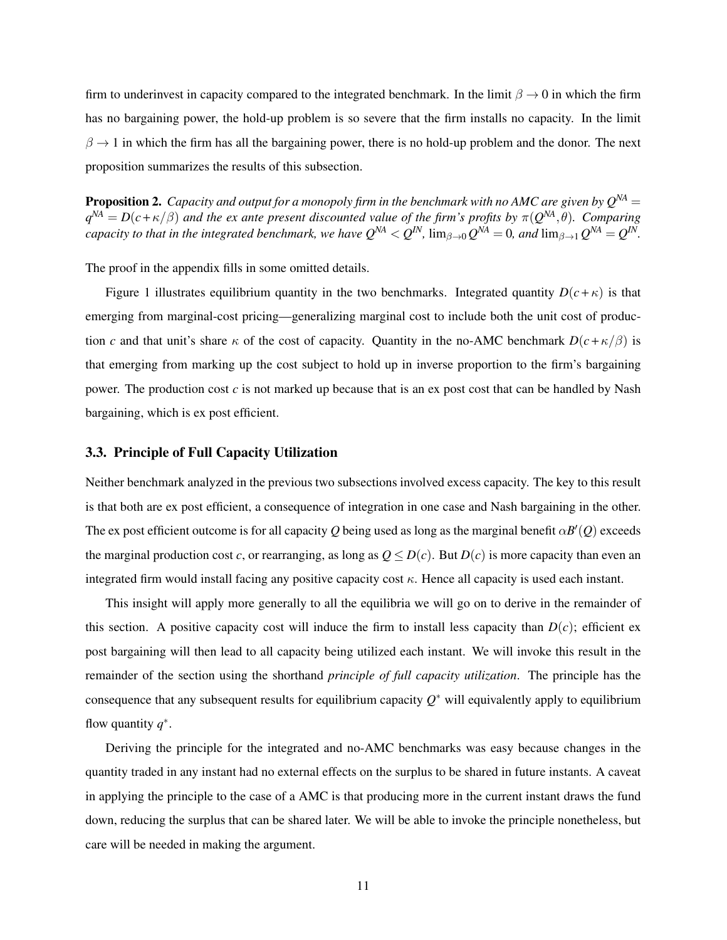firm to underinvest in capacity compared to the integrated benchmark. In the limit  $\beta \to 0$  in which the firm has no bargaining power, the hold-up problem is so severe that the firm installs no capacity. In the limit  $\beta \to 1$  in which the firm has all the bargaining power, there is no hold-up problem and the donor. The next proposition summarizes the results of this subsection.

**Proposition 2.** *Capacity and output for a monopoly firm in the benchmark with no AMC are given by*  $Q^{NA}$  =  $q^{NA} = D(c + \kappa/\beta)$  and the ex ante present discounted value of the firm's profits by  $\pi(Q^{NA}, \theta)$ *. Comparing capacity to that in the integrated benchmark, we have*  $Q^{NA} < Q^{IN}$ *,*  $\lim_{\beta\to 0} Q^{NA} = 0$ *, and*  $\lim_{\beta\to 1} Q^{NA} = Q^{IN}$ *.* 

The proof in the appendix fills in some omitted details.

Figure 1 illustrates equilibrium quantity in the two benchmarks. Integrated quantity  $D(c+\kappa)$  is that emerging from marginal-cost pricing—generalizing marginal cost to include both the unit cost of production *c* and that unit's share  $\kappa$  of the cost of capacity. Quantity in the no-AMC benchmark  $D(c + \kappa/\beta)$  is that emerging from marking up the cost subject to hold up in inverse proportion to the firm's bargaining power. The production cost  $c$  is not marked up because that is an ex post cost that can be handled by Nash bargaining, which is ex post efficient.

## 3.3. Principle of Full Capacity Utilization

Neither benchmark analyzed in the previous two subsections involved excess capacity. The key to this result is that both are ex post efficient, a consequence of integration in one case and Nash bargaining in the other. The ex post efficient outcome is for all capacity *Q* being used as long as the marginal benefit  $\alpha B'(Q)$  exceeds the marginal production cost *c*, or rearranging, as long as  $Q \le D(c)$ . But  $D(c)$  is more capacity than even an integrated firm would install facing any positive capacity cost  $\kappa$ . Hence all capacity is used each instant.

This insight will apply more generally to all the equilibria we will go on to derive in the remainder of this section. A positive capacity cost will induce the firm to install less capacity than  $D(c)$ ; efficient ex post bargaining will then lead to all capacity being utilized each instant. We will invoke this result in the remainder of the section using the shorthand *principle of full capacity utilization*. The principle has the consequence that any subsequent results for equilibrium capacity *Q* <sup>∗</sup> will equivalently apply to equilibrium flow quantity  $q^*$ .

Deriving the principle for the integrated and no-AMC benchmarks was easy because changes in the quantity traded in any instant had no external effects on the surplus to be shared in future instants. A caveat in applying the principle to the case of a AMC is that producing more in the current instant draws the fund down, reducing the surplus that can be shared later. We will be able to invoke the principle nonetheless, but care will be needed in making the argument.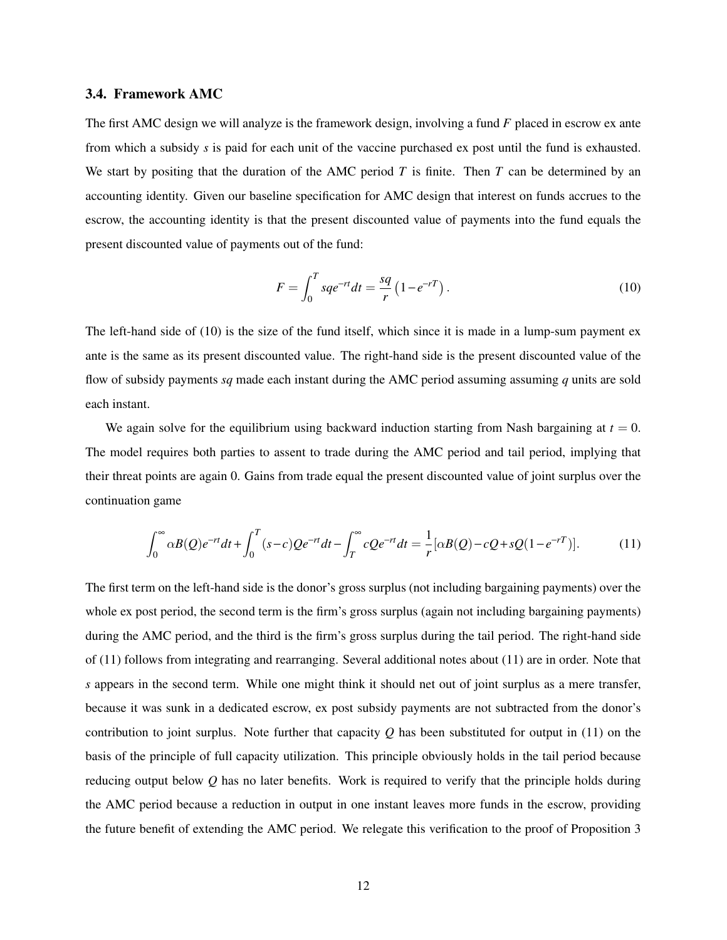## 3.4. Framework AMC

The first AMC design we will analyze is the framework design, involving a fund *F* placed in escrow ex ante from which a subsidy *s* is paid for each unit of the vaccine purchased ex post until the fund is exhausted. We start by positing that the duration of the AMC period *T* is finite. Then *T* can be determined by an accounting identity. Given our baseline specification for AMC design that interest on funds accrues to the escrow, the accounting identity is that the present discounted value of payments into the fund equals the present discounted value of payments out of the fund:

$$
F = \int_0^T s q e^{-rt} dt = \frac{sq}{r} \left( 1 - e^{-rT} \right).
$$
 (10)

The left-hand side of (10) is the size of the fund itself, which since it is made in a lump-sum payment ex ante is the same as its present discounted value. The right-hand side is the present discounted value of the flow of subsidy payments *sq* made each instant during the AMC period assuming assuming *q* units are sold each instant.

We again solve for the equilibrium using backward induction starting from Nash bargaining at  $t = 0$ . The model requires both parties to assent to trade during the AMC period and tail period, implying that their threat points are again 0. Gains from trade equal the present discounted value of joint surplus over the continuation game

$$
\int_0^\infty \alpha B(Q)e^{-rt}dt + \int_0^T (s-c)Qe^{-rt}dt - \int_T^\infty cQe^{-rt}dt = \frac{1}{r}[\alpha B(Q) - cQ + sQ(1 - e^{-rT})].\tag{11}
$$

The first term on the left-hand side is the donor's gross surplus (not including bargaining payments) over the whole ex post period, the second term is the firm's gross surplus (again not including bargaining payments) during the AMC period, and the third is the firm's gross surplus during the tail period. The right-hand side of (11) follows from integrating and rearranging. Several additional notes about (11) are in order. Note that *s* appears in the second term. While one might think it should net out of joint surplus as a mere transfer, because it was sunk in a dedicated escrow, ex post subsidy payments are not subtracted from the donor's contribution to joint surplus. Note further that capacity *Q* has been substituted for output in (11) on the basis of the principle of full capacity utilization. This principle obviously holds in the tail period because reducing output below *Q* has no later benefits. Work is required to verify that the principle holds during the AMC period because a reduction in output in one instant leaves more funds in the escrow, providing the future benefit of extending the AMC period. We relegate this verification to the proof of Proposition 3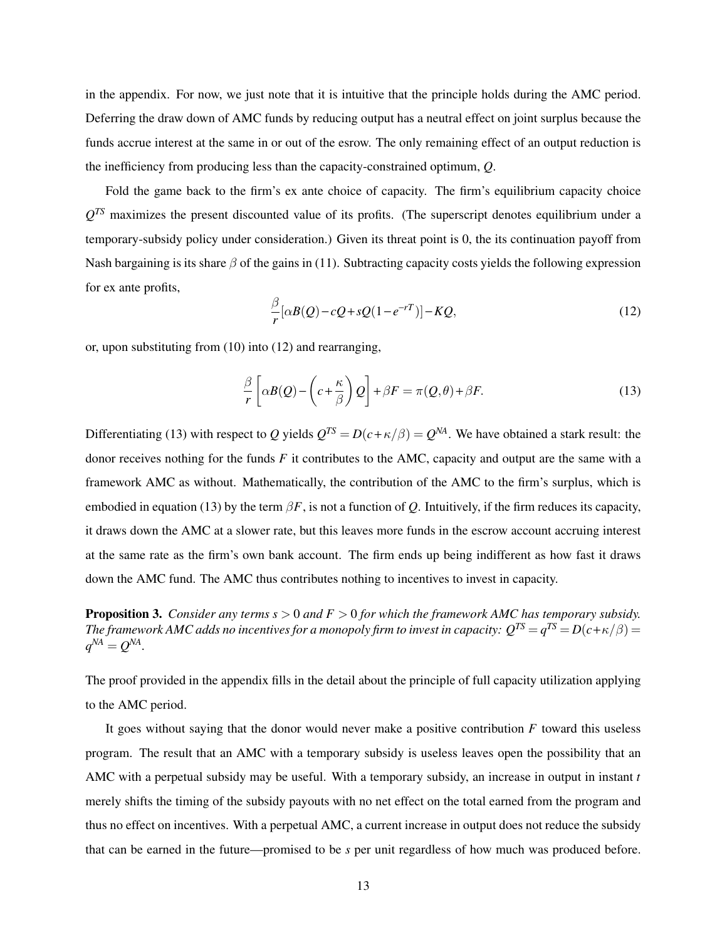in the appendix. For now, we just note that it is intuitive that the principle holds during the AMC period. Deferring the draw down of AMC funds by reducing output has a neutral effect on joint surplus because the funds accrue interest at the same in or out of the esrow. The only remaining effect of an output reduction is the inefficiency from producing less than the capacity-constrained optimum, *Q*.

Fold the game back to the firm's ex ante choice of capacity. The firm's equilibrium capacity choice  $Q^{TS}$  maximizes the present discounted value of its profits. (The superscript denotes equilibrium under a temporary-subsidy policy under consideration.) Given its threat point is 0, the its continuation payoff from Nash bargaining is its share  $\beta$  of the gains in (11). Subtracting capacity costs yields the following expression for ex ante profits,

$$
\frac{\beta}{r} [\alpha B(Q) - cQ + sQ(1 - e^{-rT})] - KQ,\tag{12}
$$

or, upon substituting from (10) into (12) and rearranging,

$$
\frac{\beta}{r} \left[ \alpha B(Q) - \left( c + \frac{\kappa}{\beta} \right) Q \right] + \beta F = \pi(Q, \theta) + \beta F. \tag{13}
$$

Differentiating (13) with respect to *Q* yields  $Q^{TS} = D(c + \kappa/\beta) = Q^{NA}$ . We have obtained a stark result: the donor receives nothing for the funds *F* it contributes to the AMC, capacity and output are the same with a framework AMC as without. Mathematically, the contribution of the AMC to the firm's surplus, which is embodied in equation (13) by the term  $\beta F$ , is not a function of *Q*. Intuitively, if the firm reduces its capacity, it draws down the AMC at a slower rate, but this leaves more funds in the escrow account accruing interest at the same rate as the firm's own bank account. The firm ends up being indifferent as how fast it draws down the AMC fund. The AMC thus contributes nothing to incentives to invest in capacity.

Proposition 3. *Consider any terms s* > 0 *and F* > 0 *for which the framework AMC has temporary subsidy.*  $The\ framework\ AMC\ adds\ no\ incentives\ for\ a\ monopoly\ firm\ to\ invest\ in\ capacity\colon Q^{TS}\!=\!q^{TS}\!=\!D(c\!+\!\kappa/\beta)\!=\!1$  $q^{NA} = Q^{NA}$ .

The proof provided in the appendix fills in the detail about the principle of full capacity utilization applying to the AMC period.

It goes without saying that the donor would never make a positive contribution *F* toward this useless program. The result that an AMC with a temporary subsidy is useless leaves open the possibility that an AMC with a perpetual subsidy may be useful. With a temporary subsidy, an increase in output in instant *t* merely shifts the timing of the subsidy payouts with no net effect on the total earned from the program and thus no effect on incentives. With a perpetual AMC, a current increase in output does not reduce the subsidy that can be earned in the future—promised to be *s* per unit regardless of how much was produced before.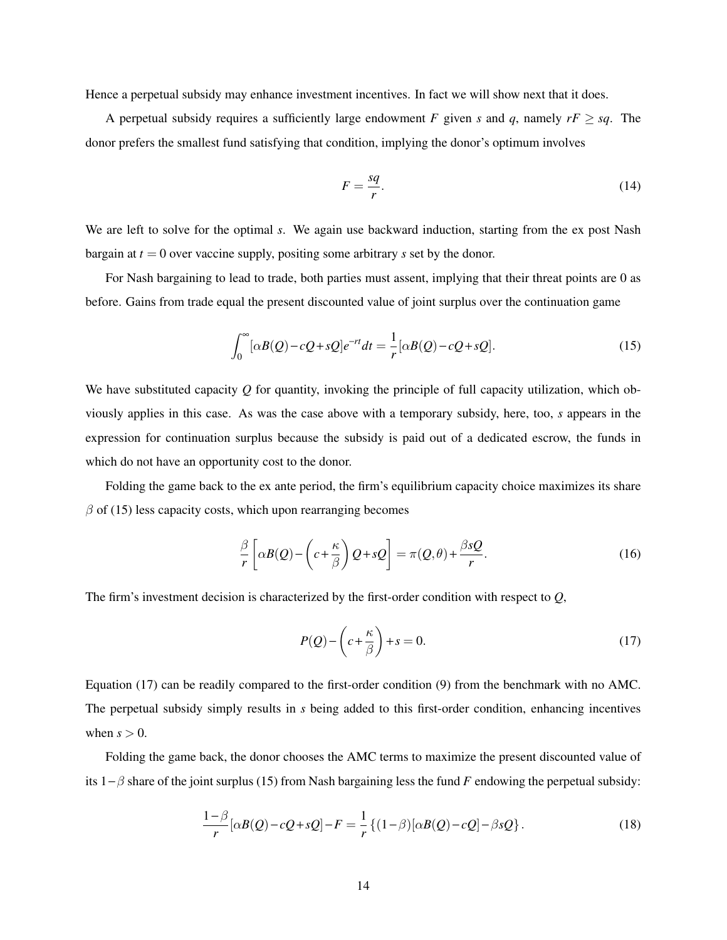Hence a perpetual subsidy may enhance investment incentives. In fact we will show next that it does.

A perpetual subsidy requires a sufficiently large endowment *F* given *s* and *q*, namely  $rF \geq sq$ . The donor prefers the smallest fund satisfying that condition, implying the donor's optimum involves

$$
F = \frac{sq}{r}.\tag{14}
$$

We are left to solve for the optimal *s*. We again use backward induction, starting from the ex post Nash bargain at  $t = 0$  over vaccine supply, positing some arbitrary *s* set by the donor.

For Nash bargaining to lead to trade, both parties must assent, implying that their threat points are 0 as before. Gains from trade equal the present discounted value of joint surplus over the continuation game

$$
\int_0^\infty [\alpha B(Q) - cQ + sQ]e^{-rt}dt = \frac{1}{r} [\alpha B(Q) - cQ + sQ].\tag{15}
$$

We have substituted capacity *Q* for quantity, invoking the principle of full capacity utilization, which obviously applies in this case. As was the case above with a temporary subsidy, here, too, *s* appears in the expression for continuation surplus because the subsidy is paid out of a dedicated escrow, the funds in which do not have an opportunity cost to the donor.

Folding the game back to the ex ante period, the firm's equilibrium capacity choice maximizes its share  $\beta$  of (15) less capacity costs, which upon rearranging becomes

$$
\frac{\beta}{r} \left[ \alpha B(Q) - \left( c + \frac{\kappa}{\beta} \right) Q + sQ \right] = \pi(Q, \theta) + \frac{\beta sQ}{r}.
$$
\n(16)

The firm's investment decision is characterized by the first-order condition with respect to *Q*,

$$
P(Q) - \left(c + \frac{\kappa}{\beta}\right) + s = 0.
$$
\n(17)

Equation (17) can be readily compared to the first-order condition (9) from the benchmark with no AMC. The perpetual subsidy simply results in *s* being added to this first-order condition, enhancing incentives when  $s > 0$ .

Folding the game back, the donor chooses the AMC terms to maximize the present discounted value of its 1−β share of the joint surplus (15) from Nash bargaining less the fund *F* endowing the perpetual subsidy:

$$
\frac{1-\beta}{r}[\alpha B(Q)-cQ+sQ]-F=\frac{1}{r}\{(1-\beta)[\alpha B(Q)-cQ]-\beta sQ\}.
$$
\n(18)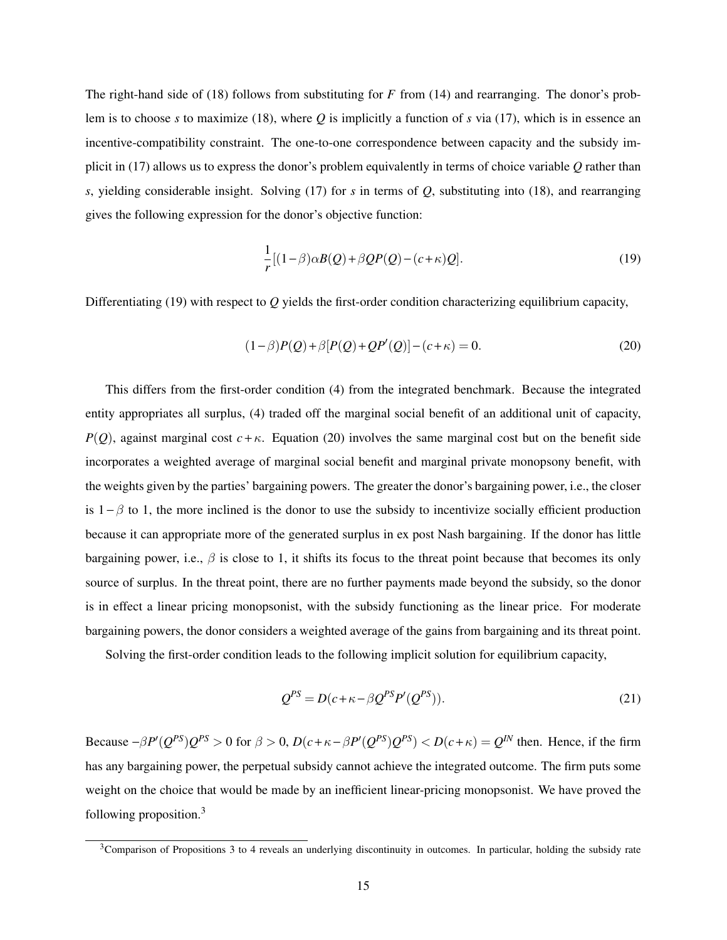The right-hand side of (18) follows from substituting for *F* from (14) and rearranging. The donor's problem is to choose *s* to maximize (18), where *Q* is implicitly a function of *s* via (17), which is in essence an incentive-compatibility constraint. The one-to-one correspondence between capacity and the subsidy implicit in (17) allows us to express the donor's problem equivalently in terms of choice variable *Q* rather than *s*, yielding considerable insight. Solving (17) for *s* in terms of *Q*, substituting into (18), and rearranging gives the following expression for the donor's objective function:

$$
\frac{1}{r}[(1-\beta)\alpha B(Q) + \beta QP(Q) - (c+\kappa)Q].
$$
\n(19)

Differentiating (19) with respect to *Q* yields the first-order condition characterizing equilibrium capacity,

$$
(1 - \beta)P(Q) + \beta[P(Q) + QP'(Q)] - (c + \kappa) = 0.
$$
\n(20)

This differs from the first-order condition (4) from the integrated benchmark. Because the integrated entity appropriates all surplus, (4) traded off the marginal social benefit of an additional unit of capacity, *P*(*Q*), against marginal cost  $c + \kappa$ . Equation (20) involves the same marginal cost but on the benefit side incorporates a weighted average of marginal social benefit and marginal private monopsony benefit, with the weights given by the parties' bargaining powers. The greater the donor's bargaining power, i.e., the closer is  $1 - \beta$  to 1, the more inclined is the donor to use the subsidy to incentivize socially efficient production because it can appropriate more of the generated surplus in ex post Nash bargaining. If the donor has little bargaining power, i.e.,  $\beta$  is close to 1, it shifts its focus to the threat point because that becomes its only source of surplus. In the threat point, there are no further payments made beyond the subsidy, so the donor is in effect a linear pricing monopsonist, with the subsidy functioning as the linear price. For moderate bargaining powers, the donor considers a weighted average of the gains from bargaining and its threat point.

Solving the first-order condition leads to the following implicit solution for equilibrium capacity,

$$
Q^{PS} = D(c + \kappa - \beta Q^{PS} P'(Q^{PS})).
$$
\n(21)

Because  $-\beta P'(Q^{PS})Q^{PS} > 0$  for  $\beta > 0$ ,  $D(c + \kappa - \beta P'(Q^{PS})Q^{PS}) < D(c + \kappa) = Q^{IN}$  then. Hence, if the firm has any bargaining power, the perpetual subsidy cannot achieve the integrated outcome. The firm puts some weight on the choice that would be made by an inefficient linear-pricing monopsonist. We have proved the following proposition.<sup>3</sup>

 $3$ Comparison of Propositions 3 to 4 reveals an underlying discontinuity in outcomes. In particular, holding the subsidy rate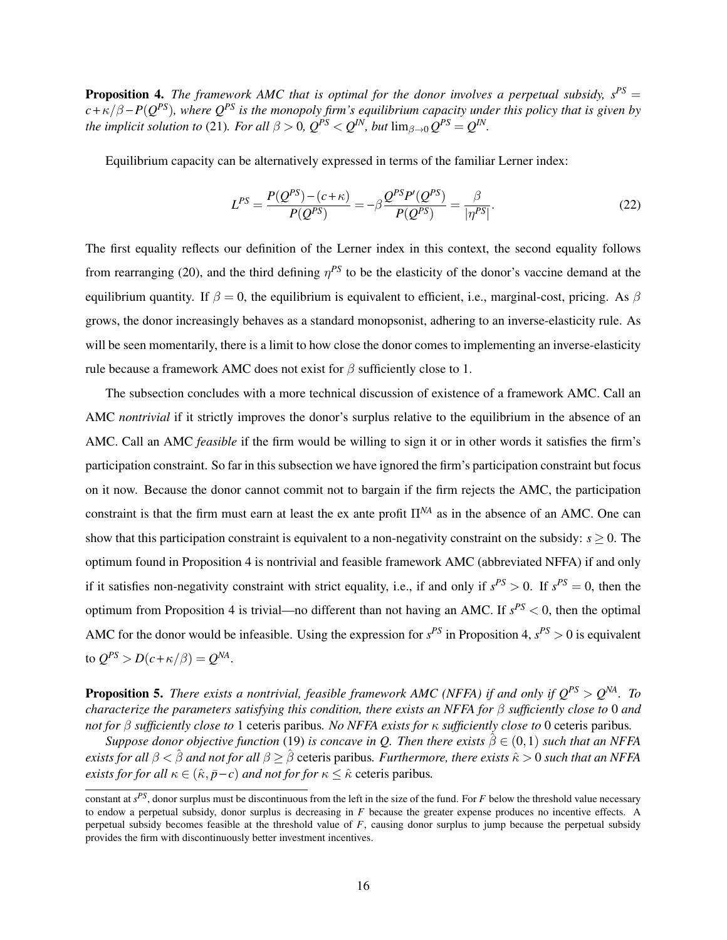**Proposition 4.** *The framework AMC that is optimal for the donor involves a perpetual subsidy,*  $s^{PS}$  =  $c + \kappa/\beta - P(Q^{PS})$ , where  $Q^{PS}$  is the monopoly firm's equilibrium capacity under this policy that is given by *the implicit solution to* (21)*. For all*  $\beta > 0$ ,  $Q^{PS} < Q^{IN}$ *, but*  $\lim_{\beta \to 0} Q^{PS} = Q^{IN}$ *.* 

Equilibrium capacity can be alternatively expressed in terms of the familiar Lerner index:

$$
L^{PS} = \frac{P(Q^{PS}) - (c + \kappa)}{P(Q^{PS})} = -\beta \frac{Q^{PS} P'(Q^{PS})}{P(Q^{PS})} = \frac{\beta}{|\eta^{PS}|}.
$$
 (22)

The first equality reflects our definition of the Lerner index in this context, the second equality follows from rearranging (20), and the third defining  $\eta^{PS}$  to be the elasticity of the donor's vaccine demand at the equilibrium quantity. If  $\beta = 0$ , the equilibrium is equivalent to efficient, i.e., marginal-cost, pricing. As  $\beta$ grows, the donor increasingly behaves as a standard monopsonist, adhering to an inverse-elasticity rule. As will be seen momentarily, there is a limit to how close the donor comes to implementing an inverse-elasticity rule because a framework AMC does not exist for  $\beta$  sufficiently close to 1.

The subsection concludes with a more technical discussion of existence of a framework AMC. Call an AMC *nontrivial* if it strictly improves the donor's surplus relative to the equilibrium in the absence of an AMC. Call an AMC *feasible* if the firm would be willing to sign it or in other words it satisfies the firm's participation constraint. So far in this subsection we have ignored the firm's participation constraint but focus on it now. Because the donor cannot commit not to bargain if the firm rejects the AMC, the participation constraint is that the firm must earn at least the ex ante profit Π*NA* as in the absence of an AMC. One can show that this participation constraint is equivalent to a non-negativity constraint on the subsidy:  $s > 0$ . The optimum found in Proposition 4 is nontrivial and feasible framework AMC (abbreviated NFFA) if and only if it satisfies non-negativity constraint with strict equality, i.e., if and only if  $s^{PS} > 0$ . If  $s^{PS} = 0$ , then the optimum from Proposition 4 is trivial—no different than not having an AMC. If *s PS* < 0, then the optimal AMC for the donor would be infeasible. Using the expression for  $s^{PS}$  in Proposition 4,  $s^{PS} > 0$  is equivalent to  $Q^{PS} > D(c + \kappa/\beta) = Q^{NA}$ .

Proposition 5. *There exists a nontrivial, feasible framework AMC (NFFA) if and only if QPS* > *Q NA. To characterize the parameters satisfying this condition, there exists an NFFA for* β *sufficiently close to* 0 *and not for* β *sufficiently close to* 1 ceteris paribus*. No NFFA exists for* κ *sufficiently close to* 0 ceteris paribus*.*

*Suppose donor objective function* (19) *is concave in Q. Then there exists*  $\hat{\beta} \in (0,1)$  *such that an NFFA exists for all*  $\beta < \hat{\beta}$  *and not for all*  $\beta \ge \hat{\beta}$  ceteris paribus. Furthermore, there exists  $\hat{\kappa} > 0$  *such that an NFFA exists for for all*  $\kappa \in (\hat{\kappa}, \bar{p} - c)$  *and not for for*  $\kappa \leq \hat{\kappa}$  ceteris paribus.

constant at *s PS*, donor surplus must be discontinuous from the left in the size of the fund. For *F* below the threshold value necessary to endow a perpetual subsidy, donor surplus is decreasing in *F* because the greater expense produces no incentive effects. A perpetual subsidy becomes feasible at the threshold value of *F*, causing donor surplus to jump because the perpetual subsidy provides the firm with discontinuously better investment incentives.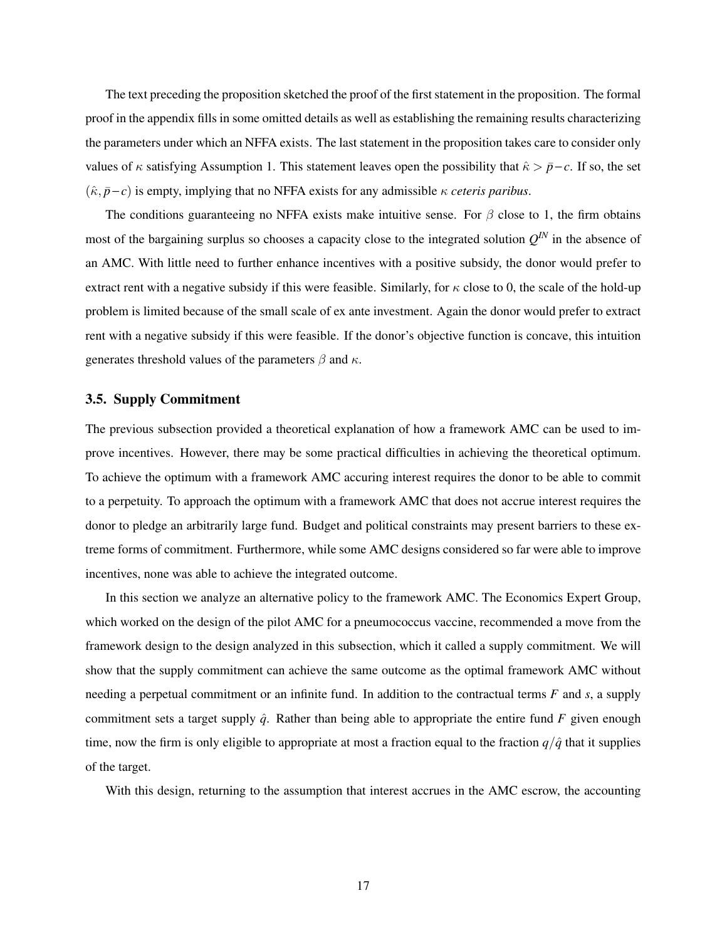The text preceding the proposition sketched the proof of the first statement in the proposition. The formal proof in the appendix fills in some omitted details as well as establishing the remaining results characterizing the parameters under which an NFFA exists. The last statement in the proposition takes care to consider only values of  $\kappa$  satisfying Assumption 1. This statement leaves open the possibility that  $\hat{\kappa} > \bar{p} - c$ . If so, the set  $(\hat{\kappa}, \bar{p}-c)$  is empty, implying that no NFFA exists for any admissible  $\kappa$  *ceteris paribus*.

The conditions guaranteeing no NFFA exists make intuitive sense. For  $\beta$  close to 1, the firm obtains most of the bargaining surplus so chooses a capacity close to the integrated solution  $Q^N$  in the absence of an AMC. With little need to further enhance incentives with a positive subsidy, the donor would prefer to extract rent with a negative subsidy if this were feasible. Similarly, for  $\kappa$  close to 0, the scale of the hold-up problem is limited because of the small scale of ex ante investment. Again the donor would prefer to extract rent with a negative subsidy if this were feasible. If the donor's objective function is concave, this intuition generates threshold values of the parameters  $\beta$  and  $\kappa$ .

## 3.5. Supply Commitment

The previous subsection provided a theoretical explanation of how a framework AMC can be used to improve incentives. However, there may be some practical difficulties in achieving the theoretical optimum. To achieve the optimum with a framework AMC accuring interest requires the donor to be able to commit to a perpetuity. To approach the optimum with a framework AMC that does not accrue interest requires the donor to pledge an arbitrarily large fund. Budget and political constraints may present barriers to these extreme forms of commitment. Furthermore, while some AMC designs considered so far were able to improve incentives, none was able to achieve the integrated outcome.

In this section we analyze an alternative policy to the framework AMC. The Economics Expert Group, which worked on the design of the pilot AMC for a pneumococcus vaccine, recommended a move from the framework design to the design analyzed in this subsection, which it called a supply commitment. We will show that the supply commitment can achieve the same outcome as the optimal framework AMC without needing a perpetual commitment or an infinite fund. In addition to the contractual terms *F* and *s*, a supply commitment sets a target supply  $\hat{q}$ . Rather than being able to appropriate the entire fund  $F$  given enough time, now the firm is only eligible to appropriate at most a fraction equal to the fraction  $q/\hat{q}$  that it supplies of the target.

With this design, returning to the assumption that interest accrues in the AMC escrow, the accounting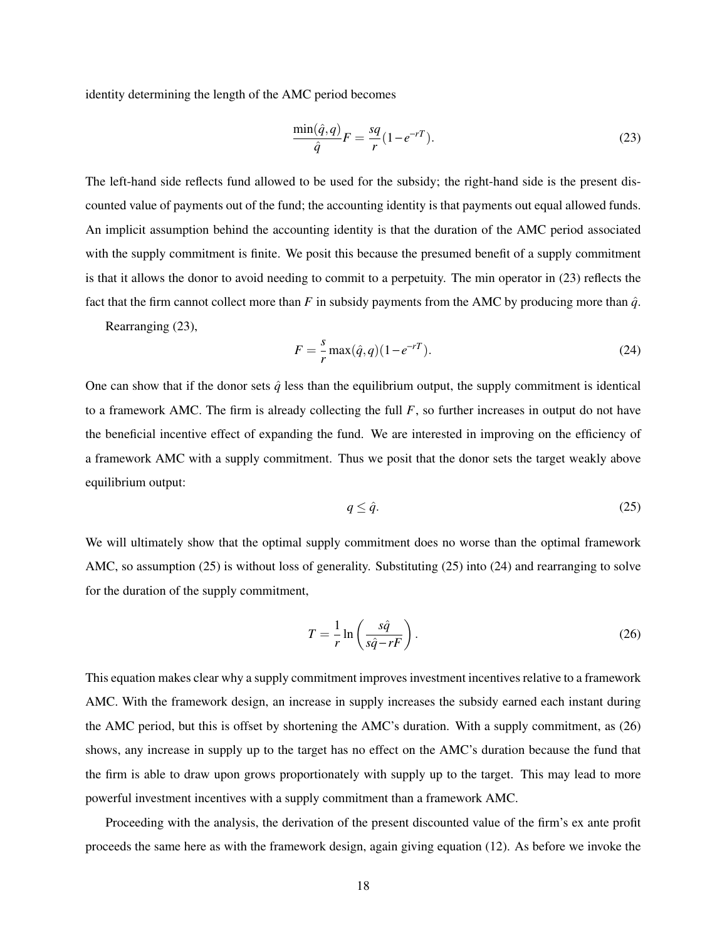identity determining the length of the AMC period becomes

$$
\frac{\min(\hat{q}, q)}{\hat{q}}F = \frac{sq}{r}(1 - e^{-rT}).\tag{23}
$$

The left-hand side reflects fund allowed to be used for the subsidy; the right-hand side is the present discounted value of payments out of the fund; the accounting identity is that payments out equal allowed funds. An implicit assumption behind the accounting identity is that the duration of the AMC period associated with the supply commitment is finite. We posit this because the presumed benefit of a supply commitment is that it allows the donor to avoid needing to commit to a perpetuity. The min operator in (23) reflects the fact that the firm cannot collect more than *F* in subsidy payments from the AMC by producing more than  $\hat{q}$ .

Rearranging (23),

$$
F = \frac{s}{r} \max(\hat{q}, q)(1 - e^{-rT}).
$$
\n(24)

One can show that if the donor sets  $\hat{q}$  less than the equilibrium output, the supply commitment is identical to a framework AMC. The firm is already collecting the full  $F$ , so further increases in output do not have the beneficial incentive effect of expanding the fund. We are interested in improving on the efficiency of a framework AMC with a supply commitment. Thus we posit that the donor sets the target weakly above equilibrium output:

$$
q \le \hat{q}.\tag{25}
$$

We will ultimately show that the optimal supply commitment does no worse than the optimal framework AMC, so assumption (25) is without loss of generality. Substituting (25) into (24) and rearranging to solve for the duration of the supply commitment,

$$
T = \frac{1}{r} \ln \left( \frac{s\hat{q}}{s\hat{q} - rF} \right). \tag{26}
$$

This equation makes clear why a supply commitment improves investment incentives relative to a framework AMC. With the framework design, an increase in supply increases the subsidy earned each instant during the AMC period, but this is offset by shortening the AMC's duration. With a supply commitment, as (26) shows, any increase in supply up to the target has no effect on the AMC's duration because the fund that the firm is able to draw upon grows proportionately with supply up to the target. This may lead to more powerful investment incentives with a supply commitment than a framework AMC.

Proceeding with the analysis, the derivation of the present discounted value of the firm's ex ante profit proceeds the same here as with the framework design, again giving equation (12). As before we invoke the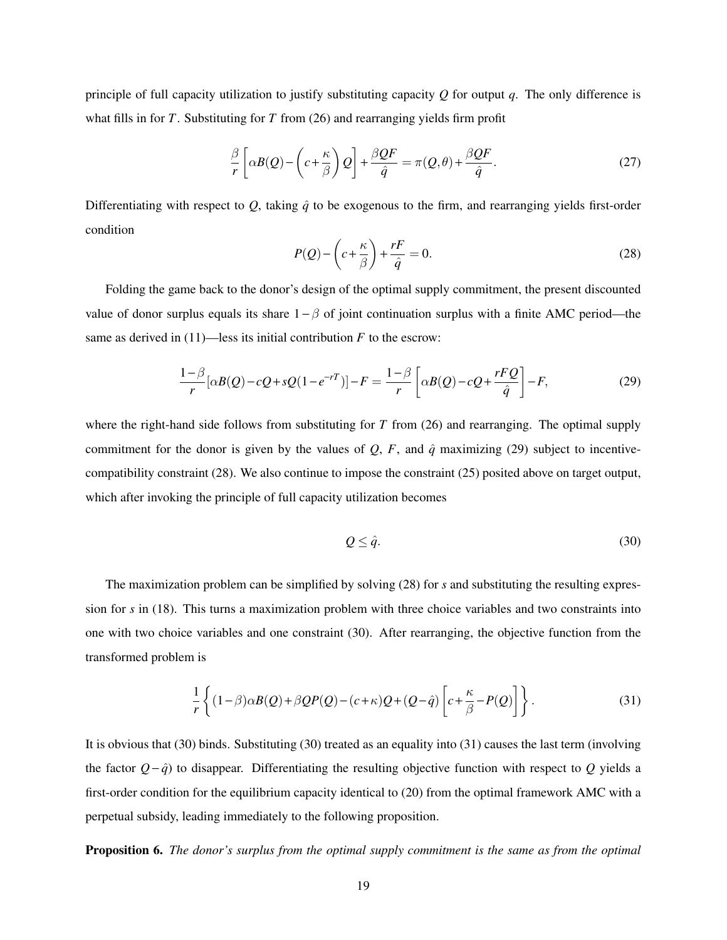principle of full capacity utilization to justify substituting capacity *Q* for output *q*. The only difference is what fills in for *T*. Substituting for *T* from (26) and rearranging yields firm profit

$$
\frac{\beta}{r} \left[ \alpha B(Q) - \left( c + \frac{\kappa}{\beta} \right) Q \right] + \frac{\beta Q F}{\hat{q}} = \pi (Q, \theta) + \frac{\beta Q F}{\hat{q}}.
$$
\n(27)

Differentiating with respect to  $Q$ , taking  $\hat{q}$  to be exogenous to the firm, and rearranging yields first-order condition

$$
P(Q) - \left(c + \frac{\kappa}{\beta}\right) + \frac{rF}{\hat{q}} = 0.
$$
\n(28)

Folding the game back to the donor's design of the optimal supply commitment, the present discounted value of donor surplus equals its share  $1 - \beta$  of joint continuation surplus with a finite AMC period—the same as derived in  $(11)$ —less its initial contribution *F* to the escrow:

$$
\frac{1-\beta}{r}[\alpha B(Q) - cQ + sQ(1 - e^{-rT})] - F = \frac{1-\beta}{r} \left[ \alpha B(Q) - cQ + \frac{rFQ}{\hat{q}} \right] - F,\tag{29}
$$

where the right-hand side follows from substituting for *T* from (26) and rearranging. The optimal supply commitment for the donor is given by the values of  $Q$ ,  $F$ , and  $\hat{q}$  maximizing (29) subject to incentivecompatibility constraint (28). We also continue to impose the constraint (25) posited above on target output, which after invoking the principle of full capacity utilization becomes

$$
Q \le \hat{q}.\tag{30}
$$

The maximization problem can be simplified by solving (28) for *s* and substituting the resulting expression for *s* in (18). This turns a maximization problem with three choice variables and two constraints into one with two choice variables and one constraint (30). After rearranging, the objective function from the transformed problem is

$$
\frac{1}{r}\left\{(1-\beta)\alpha B(Q)+\beta QP(Q)-(c+\kappa)Q+(Q-\hat{q})\left[c+\frac{\kappa}{\beta}-P(Q)\right]\right\}.
$$
\n(31)

It is obvious that (30) binds. Substituting (30) treated as an equality into (31) causes the last term (involving the factor  $Q - \hat{q}$  to disappear. Differentiating the resulting objective function with respect to  $Q$  yields a first-order condition for the equilibrium capacity identical to (20) from the optimal framework AMC with a perpetual subsidy, leading immediately to the following proposition.

Proposition 6. *The donor's surplus from the optimal supply commitment is the same as from the optimal*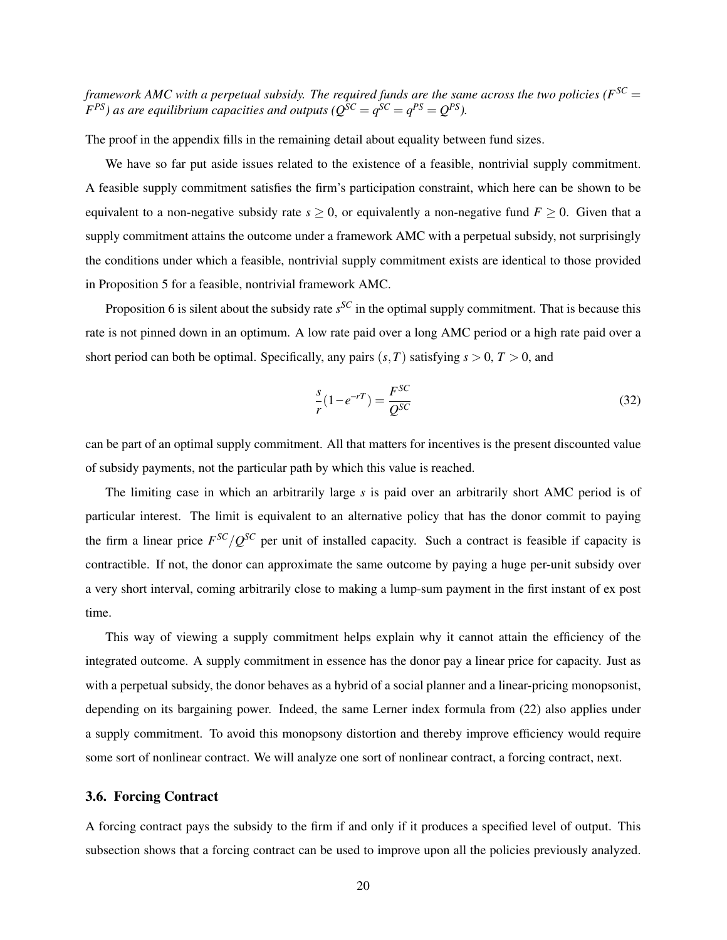*framework AMC with a perpetual subsidy. The required funds are the same across the two policies (* $F^{SC}$  *=*  $F^{PS}$ ) as are equilibrium capacities and outputs ( $Q^{SC} = q^{SC} = q^{PS} = Q^{PS}$ ).

The proof in the appendix fills in the remaining detail about equality between fund sizes.

We have so far put aside issues related to the existence of a feasible, nontrivial supply commitment. A feasible supply commitment satisfies the firm's participation constraint, which here can be shown to be equivalent to a non-negative subsidy rate  $s > 0$ , or equivalently a non-negative fund  $F > 0$ . Given that a supply commitment attains the outcome under a framework AMC with a perpetual subsidy, not surprisingly the conditions under which a feasible, nontrivial supply commitment exists are identical to those provided in Proposition 5 for a feasible, nontrivial framework AMC.

Proposition 6 is silent about the subsidy rate *s*<sup>SC</sup> in the optimal supply commitment. That is because this rate is not pinned down in an optimum. A low rate paid over a long AMC period or a high rate paid over a short period can both be optimal. Specifically, any pairs  $(s, T)$  satisfying  $s > 0$ ,  $T > 0$ , and

$$
\frac{s}{r}(1 - e^{-rT}) = \frac{F^{SC}}{Q^{SC}}
$$
\n(32)

can be part of an optimal supply commitment. All that matters for incentives is the present discounted value of subsidy payments, not the particular path by which this value is reached.

The limiting case in which an arbitrarily large *s* is paid over an arbitrarily short AMC period is of particular interest. The limit is equivalent to an alternative policy that has the donor commit to paying the firm a linear price  $F^{SC}/Q^{SC}$  per unit of installed capacity. Such a contract is feasible if capacity is contractible. If not, the donor can approximate the same outcome by paying a huge per-unit subsidy over a very short interval, coming arbitrarily close to making a lump-sum payment in the first instant of ex post time.

This way of viewing a supply commitment helps explain why it cannot attain the efficiency of the integrated outcome. A supply commitment in essence has the donor pay a linear price for capacity. Just as with a perpetual subsidy, the donor behaves as a hybrid of a social planner and a linear-pricing monopsonist, depending on its bargaining power. Indeed, the same Lerner index formula from (22) also applies under a supply commitment. To avoid this monopsony distortion and thereby improve efficiency would require some sort of nonlinear contract. We will analyze one sort of nonlinear contract, a forcing contract, next.

## 3.6. Forcing Contract

A forcing contract pays the subsidy to the firm if and only if it produces a specified level of output. This subsection shows that a forcing contract can be used to improve upon all the policies previously analyzed.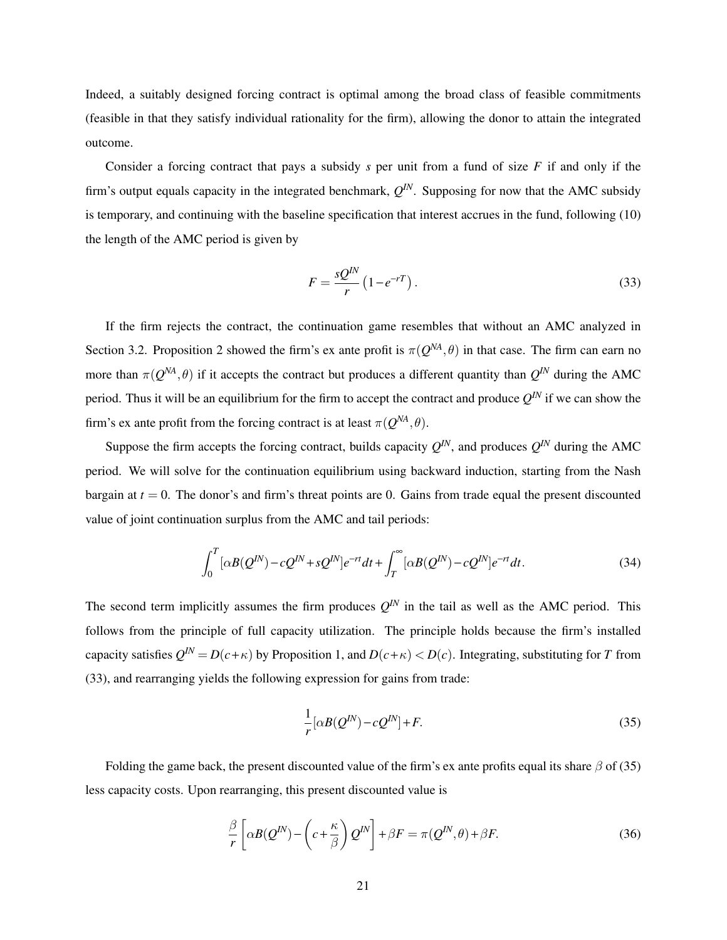Indeed, a suitably designed forcing contract is optimal among the broad class of feasible commitments (feasible in that they satisfy individual rationality for the firm), allowing the donor to attain the integrated outcome.

Consider a forcing contract that pays a subsidy *s* per unit from a fund of size *F* if and only if the firm's output equals capacity in the integrated benchmark,  $Q^{IN}$ . Supposing for now that the AMC subsidy is temporary, and continuing with the baseline specification that interest accrues in the fund, following (10) the length of the AMC period is given by

$$
F = \frac{sQ^{IN}}{r} \left(1 - e^{-rT}\right). \tag{33}
$$

If the firm rejects the contract, the continuation game resembles that without an AMC analyzed in Section 3.2. Proposition 2 showed the firm's ex ante profit is  $\pi(Q^{NA}, \theta)$  in that case. The firm can earn no more than  $\pi(Q^{NA}, \theta)$  if it accepts the contract but produces a different quantity than  $Q^{IN}$  during the AMC period. Thus it will be an equilibrium for the firm to accept the contract and produce  $Q^N$  if we can show the firm's ex ante profit from the forcing contract is at least  $\pi(Q^{NA}, \theta)$ .

Suppose the firm accepts the forcing contract, builds capacity  $Q^{IN}$ , and produces  $Q^{IN}$  during the AMC period. We will solve for the continuation equilibrium using backward induction, starting from the Nash bargain at  $t = 0$ . The donor's and firm's threat points are 0. Gains from trade equal the present discounted value of joint continuation surplus from the AMC and tail periods:

$$
\int_0^T [\alpha B(Q^{IN}) - cQ^{IN} + sQ^{IN}]e^{-rt}dt + \int_T^\infty [\alpha B(Q^{IN}) - cQ^{IN}]e^{-rt}dt.
$$
\n(34)

The second term implicitly assumes the firm produces  $Q^{IN}$  in the tail as well as the AMC period. This follows from the principle of full capacity utilization. The principle holds because the firm's installed capacity satisfies  $Q^{IN} = D(c+\kappa)$  by Proposition 1, and  $D(c+\kappa) < D(c)$ . Integrating, substituting for *T* from (33), and rearranging yields the following expression for gains from trade:

$$
\frac{1}{r} [\alpha B(Q^{IN}) - cQ^{IN}] + F.
$$
\n(35)

Folding the game back, the present discounted value of the firm's ex ante profits equal its share  $\beta$  of (35) less capacity costs. Upon rearranging, this present discounted value is

$$
\frac{\beta}{r} \left[ \alpha B(Q^{IN}) - \left( c + \frac{\kappa}{\beta} \right) Q^{IN} \right] + \beta F = \pi (Q^{IN}, \theta) + \beta F. \tag{36}
$$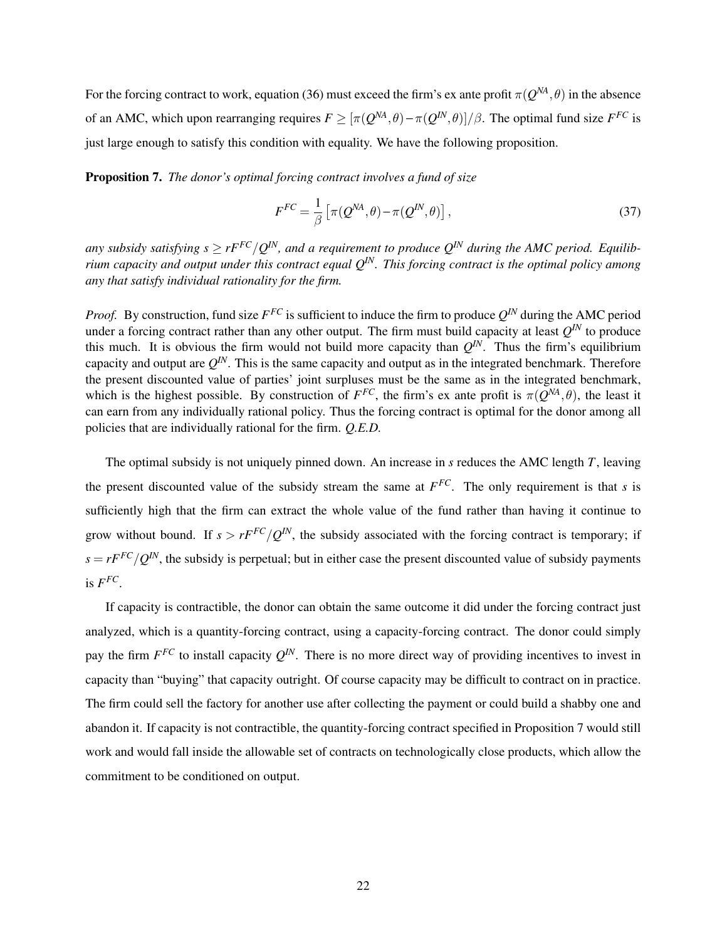For the forcing contract to work, equation (36) must exceed the firm's ex ante profit  $\pi(Q^{NA}, \theta)$  in the absence of an AMC, which upon rearranging requires  $F \geq [\pi(Q^{NA}, \theta) - \pi(Q^{IN}, \theta)]/\beta$ . The optimal fund size  $F^{FC}$  is just large enough to satisfy this condition with equality. We have the following proposition.

Proposition 7. *The donor's optimal forcing contract involves a fund of size*

$$
F^{FC} = \frac{1}{\beta} \left[ \pi(Q^{NA}, \theta) - \pi(Q^{IN}, \theta) \right],
$$
\n(37)

any subsidy satisfying  $s \geq rF^{FC}/Q^{IN}$ , and a requirement to produce  $Q^{IN}$  during the AMC period. Equilib*rium capacity and output under this contract equal QIN. This forcing contract is the optimal policy among any that satisfy individual rationality for the firm.*

*Proof.* By construction, fund size  $F^{FC}$  is sufficient to induce the firm to produce  $Q^{IN}$  during the AMC period under a forcing contract rather than any other output. The firm must build capacity at least  $Q^{IN}$  to produce this much. It is obvious the firm would not build more capacity than  $Q^{I N}$ . Thus the firm's equilibrium capacity and output are  $Q^{IN}$ . This is the same capacity and output as in the integrated benchmark. Therefore the present discounted value of parties' joint surpluses must be the same as in the integrated benchmark, which is the highest possible. By construction of  $F^{FC}$ , the firm's ex ante profit is  $\pi(Q^{NA}, \theta)$ , the least it can earn from any individually rational policy. Thus the forcing contract is optimal for the donor among all policies that are individually rational for the firm. *Q.E.D.*

The optimal subsidy is not uniquely pinned down. An increase in *s* reduces the AMC length *T*, leaving the present discounted value of the subsidy stream the same at  $F^{FC}$ . The only requirement is that *s* is sufficiently high that the firm can extract the whole value of the fund rather than having it continue to grow without bound. If  $s > rF^{FC}/Q^{IN}$ , the subsidy associated with the forcing contract is temporary; if  $s = rF^{FC}/Q^{IN}$ , the subsidy is perpetual; but in either case the present discounted value of subsidy payments is  $F^{FC}$ .

If capacity is contractible, the donor can obtain the same outcome it did under the forcing contract just analyzed, which is a quantity-forcing contract, using a capacity-forcing contract. The donor could simply pay the firm  $F^{FC}$  to install capacity  $Q^{IN}$ . There is no more direct way of providing incentives to invest in capacity than "buying" that capacity outright. Of course capacity may be difficult to contract on in practice. The firm could sell the factory for another use after collecting the payment or could build a shabby one and abandon it. If capacity is not contractible, the quantity-forcing contract specified in Proposition 7 would still work and would fall inside the allowable set of contracts on technologically close products, which allow the commitment to be conditioned on output.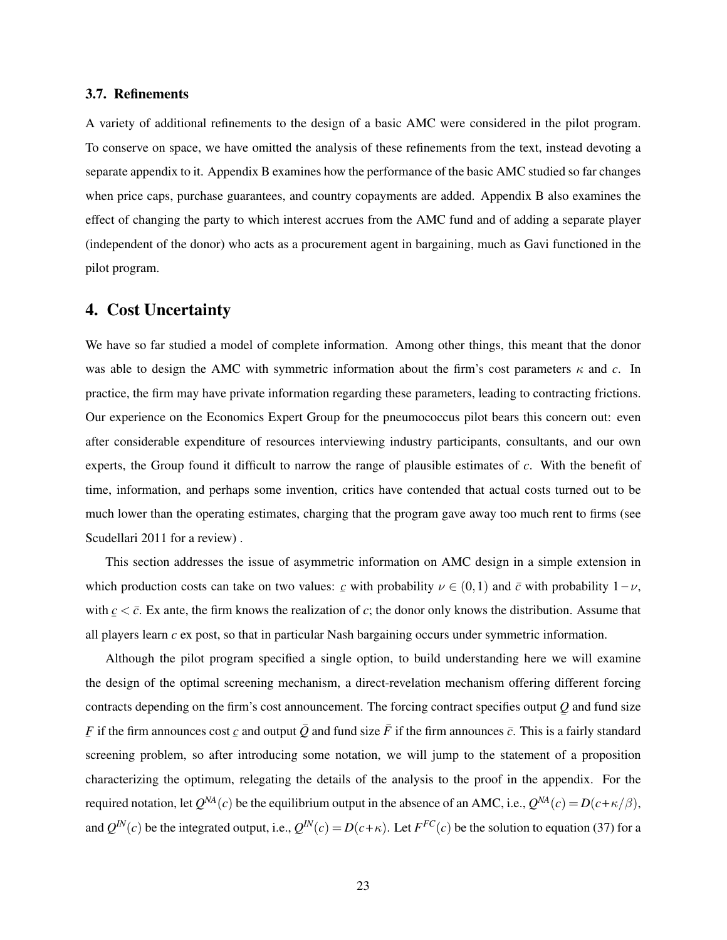## 3.7. Refinements

A variety of additional refinements to the design of a basic AMC were considered in the pilot program. To conserve on space, we have omitted the analysis of these refinements from the text, instead devoting a separate appendix to it. Appendix B examines how the performance of the basic AMC studied so far changes when price caps, purchase guarantees, and country copayments are added. Appendix B also examines the effect of changing the party to which interest accrues from the AMC fund and of adding a separate player (independent of the donor) who acts as a procurement agent in bargaining, much as Gavi functioned in the pilot program.

# 4. Cost Uncertainty

We have so far studied a model of complete information. Among other things, this meant that the donor was able to design the AMC with symmetric information about the firm's cost parameters  $\kappa$  and *c*. In practice, the firm may have private information regarding these parameters, leading to contracting frictions. Our experience on the Economics Expert Group for the pneumococcus pilot bears this concern out: even after considerable expenditure of resources interviewing industry participants, consultants, and our own experts, the Group found it difficult to narrow the range of plausible estimates of *c*. With the benefit of time, information, and perhaps some invention, critics have contended that actual costs turned out to be much lower than the operating estimates, charging that the program gave away too much rent to firms (see Scudellari 2011 for a review) .

This section addresses the issue of asymmetric information on AMC design in a simple extension in which production costs can take on two values:  $\mathbf{c}$  with probability  $\nu \in (0,1)$  and  $\mathbf{c}$  with probability  $1-\nu$ , with  $c < \bar{c}$ . Ex ante, the firm knows the realization of *c*; the donor only knows the distribution. Assume that all players learn *c* ex post, so that in particular Nash bargaining occurs under symmetric information.

Although the pilot program specified a single option, to build understanding here we will examine the design of the optimal screening mechanism, a direct-revelation mechanism offering different forcing contracts depending on the firm's cost announcement. The forcing contract specifies output *Q* and fund size ¯  $\underline{F}$  if the firm announces cost  $\underline{c}$  and output  $\overline{Q}$  and fund size  $\overline{F}$  if the firm announces  $\overline{c}$ . This is a fairly standard screening problem, so after introducing some notation, we will jump to the statement of a proposition characterizing the optimum, relegating the details of the analysis to the proof in the appendix. For the required notation, let  $Q^{NA}(c)$  be the equilibrium output in the absence of an AMC, i.e.,  $Q^{NA}(c) = D(c+\kappa/\beta)$ , and  $Q^{IN}(c)$  be the integrated output, i.e.,  $Q^{IN}(c) = D(c+\kappa)$ . Let  $F^{FC}(c)$  be the solution to equation (37) for a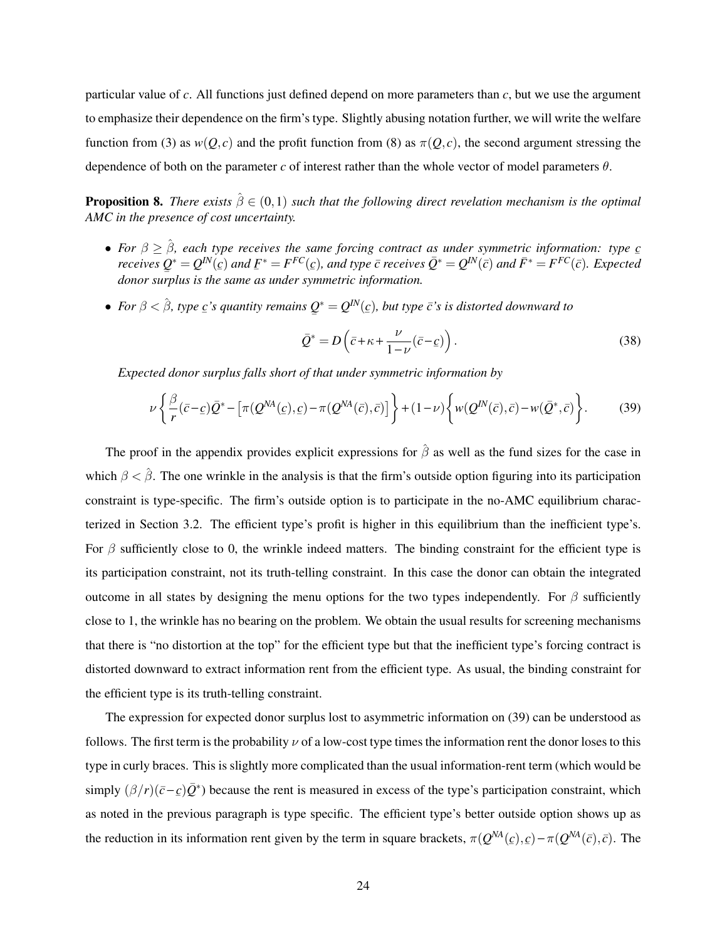particular value of *c*. All functions just defined depend on more parameters than *c*, but we use the argument to emphasize their dependence on the firm's type. Slightly abusing notation further, we will write the welfare function from (3) as  $w(Q, c)$  and the profit function from (8) as  $\pi(Q, c)$ , the second argument stressing the dependence of both on the parameter *c* of interest rather than the whole vector of model parameters  $\theta$ .

**Proposition 8.** *There exists*  $\hat{\beta} \in (0,1)$  *such that the following direct revelation mechanism is the optimal AMC in the presence of cost uncertainty.*

- *For*  $\beta \geq \hat{\beta}$ , each type receives the same forcing contract as under symmetric information: type  $\underline{c}$ <br>*reasing*  $O^* = O^{N}(a)$  and  $\overline{F}^* = \overline{F}^{FC}(a)$  and type  $\overline{a}$  reasing  $\overline{O}^* = O^{N}(\overline{a})$  and  $\overline{F$ receives  $Q^* = Q^{IN}(\varepsilon)$  and  $F^* = F^{FC}(\varepsilon)$ , and type  $\bar c$  receives  $\bar Q^* = Q^{IN}(\bar c)$  and  $\bar F^* = F^{FC}(\bar c)$ . Expected  $\sum_{i=1}^{\infty} \sum_{j=1}^{\infty} \sum_{j=1}^{\infty} \frac{1}{j}$  and  $\sum_{j=1}^{\infty} \sum_{j=1}^{\infty} \frac{1}{j}$  and  $\sum_{j=1}^{\infty} \sum_{j=1}^{\infty} \frac{1}{j}$  and  $\sum_{j=1}^{\infty} \sum_{j=1}^{\infty} \frac{1}{j}$  and  $\sum_{j=1}^{\infty} \sum_{j=1}^{\infty} \frac{1}{j}$  and  $\sum_{j=1}^{\infty} \sum_{j=1$
- For  $\beta < \hat{\beta}$ , type  $\underline{c}$ 's quantity remains  $\underline{Q}^* = Q^{IN}(\underline{c})$ , but type  $\overline{c}$ 's is distorted downward to ¯

$$
\bar{Q}^* = D\left(\bar{c} + \kappa + \frac{\nu}{1-\nu}(\bar{c}-\underline{c})\right). \tag{38}
$$

*Expected donor surplus falls short of that under symmetric information by*

$$
\nu \left\{ \frac{\beta}{r} (\bar{c} - \underline{c}) \bar{Q}^* - \left[ \pi (Q^{NA}(\underline{c}), \underline{c}) - \pi (Q^{NA}(\bar{c}), \bar{c}) \right] \right\} + (1 - \nu) \left\{ w(Q^{IN}(\bar{c}), \bar{c}) - w(\bar{Q}^*, \bar{c}) \right\}.
$$
 (39)

The proof in the appendix provides explicit expressions for  $\hat{\beta}$  as well as the fund sizes for the case in which  $\beta < \hat{\beta}$ . The one wrinkle in the analysis is that the firm's outside option figuring into its participation constraint is type-specific. The firm's outside option is to participate in the no-AMC equilibrium characterized in Section 3.2. The efficient type's profit is higher in this equilibrium than the inefficient type's. For  $\beta$  sufficiently close to 0, the wrinkle indeed matters. The binding constraint for the efficient type is its participation constraint, not its truth-telling constraint. In this case the donor can obtain the integrated outcome in all states by designing the menu options for the two types independently. For  $\beta$  sufficiently close to 1, the wrinkle has no bearing on the problem. We obtain the usual results for screening mechanisms that there is "no distortion at the top" for the efficient type but that the inefficient type's forcing contract is distorted downward to extract information rent from the efficient type. As usual, the binding constraint for the efficient type is its truth-telling constraint.

The expression for expected donor surplus lost to asymmetric information on (39) can be understood as follows. The first term is the probability  $\nu$  of a low-cost type times the information rent the donor loses to this type in curly braces. This is slightly more complicated than the usual information-rent term (which would be simply  $(\beta/r)(\bar{c}-\bar{c})\bar{Q}^*$ ) because the rent is measured in excess of the type's participation constraint, which as noted in the previous paragraph is type specific. The efficient type's better outside option shows up as the reduction in its information rent given by the term in square brackets,  $\pi(Q^{NA}(c), c) - \pi(Q^{NA}(\bar{c}), \bar{c})$ . The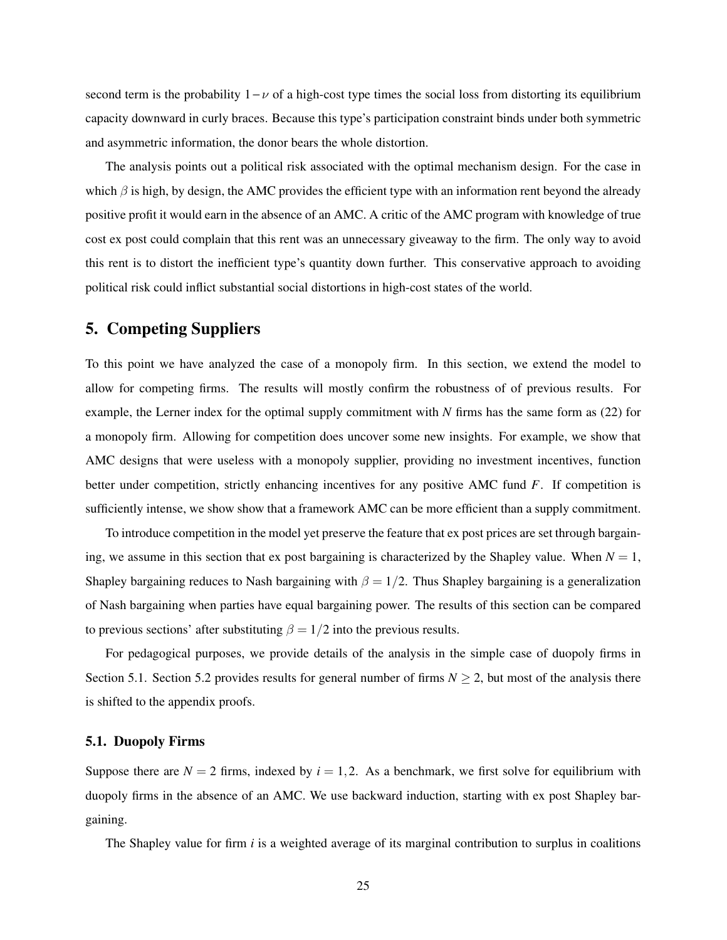second term is the probability  $1 - \nu$  of a high-cost type times the social loss from distorting its equilibrium capacity downward in curly braces. Because this type's participation constraint binds under both symmetric and asymmetric information, the donor bears the whole distortion.

The analysis points out a political risk associated with the optimal mechanism design. For the case in which  $\beta$  is high, by design, the AMC provides the efficient type with an information rent beyond the already positive profit it would earn in the absence of an AMC. A critic of the AMC program with knowledge of true cost ex post could complain that this rent was an unnecessary giveaway to the firm. The only way to avoid this rent is to distort the inefficient type's quantity down further. This conservative approach to avoiding political risk could inflict substantial social distortions in high-cost states of the world.

## 5. Competing Suppliers

To this point we have analyzed the case of a monopoly firm. In this section, we extend the model to allow for competing firms. The results will mostly confirm the robustness of of previous results. For example, the Lerner index for the optimal supply commitment with *N* firms has the same form as (22) for a monopoly firm. Allowing for competition does uncover some new insights. For example, we show that AMC designs that were useless with a monopoly supplier, providing no investment incentives, function better under competition, strictly enhancing incentives for any positive AMC fund *F*. If competition is sufficiently intense, we show show that a framework AMC can be more efficient than a supply commitment.

To introduce competition in the model yet preserve the feature that ex post prices are set through bargaining, we assume in this section that ex post bargaining is characterized by the Shapley value. When  $N = 1$ , Shapley bargaining reduces to Nash bargaining with  $\beta = 1/2$ . Thus Shapley bargaining is a generalization of Nash bargaining when parties have equal bargaining power. The results of this section can be compared to previous sections' after substituting  $\beta = 1/2$  into the previous results.

For pedagogical purposes, we provide details of the analysis in the simple case of duopoly firms in Section 5.1. Section 5.2 provides results for general number of firms  $N \ge 2$ , but most of the analysis there is shifted to the appendix proofs.

## 5.1. Duopoly Firms

Suppose there are  $N = 2$  firms, indexed by  $i = 1, 2$ . As a benchmark, we first solve for equilibrium with duopoly firms in the absence of an AMC. We use backward induction, starting with ex post Shapley bargaining.

The Shapley value for firm *i* is a weighted average of its marginal contribution to surplus in coalitions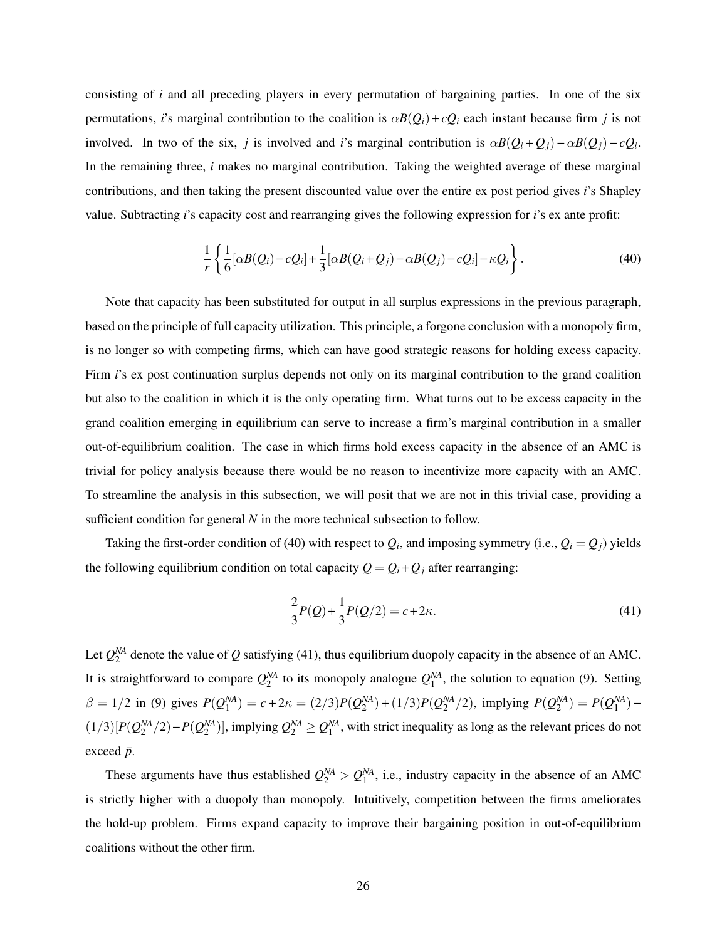consisting of *i* and all preceding players in every permutation of bargaining parties. In one of the six permutations, *i*'s marginal contribution to the coalition is  $\alpha B(Q_i) + cQ_i$  each instant because firm *j* is not involved. In two of the six, *j* is involved and *i*'s marginal contribution is  $\alpha B(Q_i+Q_j) - \alpha B(Q_j) - cQ_i$ . In the remaining three, *i* makes no marginal contribution. Taking the weighted average of these marginal contributions, and then taking the present discounted value over the entire ex post period gives *i*'s Shapley value. Subtracting *i*'s capacity cost and rearranging gives the following expression for *i*'s ex ante profit:

$$
\frac{1}{r}\left\{\frac{1}{6}[\alpha B(Q_i)-cQ_i]+\frac{1}{3}[\alpha B(Q_i+Q_j)-\alpha B(Q_j)-cQ_i]-\kappa Q_i\right\}.
$$
\n(40)

Note that capacity has been substituted for output in all surplus expressions in the previous paragraph, based on the principle of full capacity utilization. This principle, a forgone conclusion with a monopoly firm, is no longer so with competing firms, which can have good strategic reasons for holding excess capacity. Firm *i*'s ex post continuation surplus depends not only on its marginal contribution to the grand coalition but also to the coalition in which it is the only operating firm. What turns out to be excess capacity in the grand coalition emerging in equilibrium can serve to increase a firm's marginal contribution in a smaller out-of-equilibrium coalition. The case in which firms hold excess capacity in the absence of an AMC is trivial for policy analysis because there would be no reason to incentivize more capacity with an AMC. To streamline the analysis in this subsection, we will posit that we are not in this trivial case, providing a sufficient condition for general *N* in the more technical subsection to follow.

Taking the first-order condition of (40) with respect to  $Q_i$ , and imposing symmetry (i.e.,  $Q_i = Q_j$ ) yields the following equilibrium condition on total capacity  $Q = Q_i + Q_j$  after rearranging:

$$
\frac{2}{3}P(Q) + \frac{1}{3}P(Q/2) = c + 2\kappa.
$$
\n(41)

Let  $Q_2^{NA}$  denote the value of *Q* satisfying (41), thus equilibrium duopoly capacity in the absence of an AMC. It is straightforward to compare  $Q_2^{NA}$  to its monopoly analogue  $Q_1^{NA}$ , the solution to equation (9). Setting  $\beta = 1/2$  in (9) gives  $P(Q_1^{NA}) = c + 2\kappa = (2/3)P(Q_2^{NA}) + (1/3)P(Q_2^{NA}/2)$ , implying  $P(Q_2^{NA}) = P(Q_1^{NA}) (1/3)[P(Q_2^{NA}/2)-P(Q_2^{NA})]$ , implying  $Q_2^{NA} \geq Q_1^{NA}$ , with strict inequality as long as the relevant prices do not exceed  $\bar{p}$ .

These arguments have thus established  $Q_2^M > Q_1^M$ , i.e., industry capacity in the absence of an AMC is strictly higher with a duopoly than monopoly. Intuitively, competition between the firms ameliorates the hold-up problem. Firms expand capacity to improve their bargaining position in out-of-equilibrium coalitions without the other firm.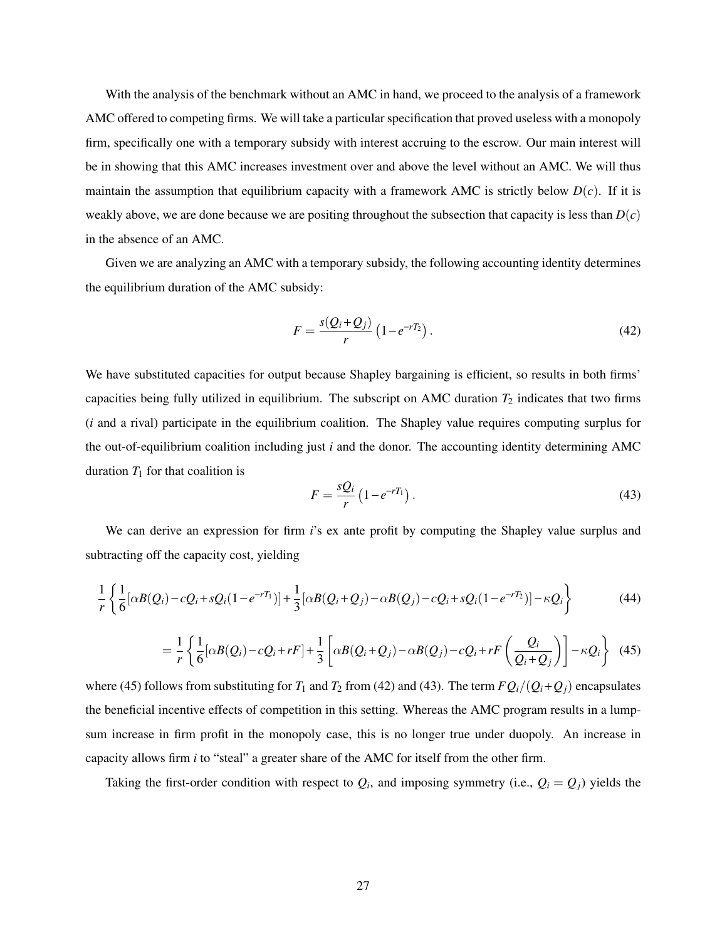With the analysis of the benchmark without an AMC in hand, we proceed to the analysis of a framework AMC offered to competing firms. We will take a particular specification that proved useless with a monopoly firm, specifically one with a temporary subsidy with interest accruing to the escrow. Our main interest will be in showing that this AMC increases investment over and above the level without an AMC. We will thus maintain the assumption that equilibrium capacity with a framework AMC is strictly below  $D(c)$ . If it is weakly above, we are done because we are positing throughout the subsection that capacity is less than  $D(c)$ in the absence of an AMC.

Given we are analyzing an AMC with a temporary subsidy, the following accounting identity determines the equilibrium duration of the AMC subsidy:

$$
F = \frac{s(Q_i + Q_j)}{r} \left(1 - e^{-rT_2}\right). \tag{42}
$$

We have substituted capacities for output because Shapley bargaining is efficient, so results in both firms' capacities being fully utilized in equilibrium. The subscript on AMC duration  $T_2$  indicates that two firms (*i* and a rival) participate in the equilibrium coalition. The Shapley value requires computing surplus for the out-of-equilibrium coalition including just *i* and the donor. The accounting identity determining AMC duration  $T_1$  for that coalition is

$$
F = \frac{sQ_i}{r} \left( 1 - e^{-rT_1} \right). \tag{43}
$$

We can derive an expression for firm *i*'s ex ante profit by computing the Shapley value surplus and subtracting off the capacity cost, yielding

$$
\frac{1}{r}\left\{\frac{1}{6}[\alpha B(Q_i)-cQ_i+sQ_i(1-e^{-rT_1})]+\frac{1}{3}[\alpha B(Q_i+Q_j)-\alpha B(Q_j)-cQ_i+sQ_i(1-e^{-rT_2})]-\kappa Q_i\right\}\tag{44}
$$

$$
= \frac{1}{r} \left\{ \frac{1}{6} [\alpha B(Q_i) - cQ_i + rF] + \frac{1}{3} \left[ \alpha B(Q_i + Q_j) - \alpha B(Q_j) - cQ_i + rF\left(\frac{Q_i}{Q_i + Q_j}\right) \right] - \kappa Q_i \right\} \tag{45}
$$

where (45) follows from substituting for  $T_1$  and  $T_2$  from (42) and (43). The term  $FQ_i/(Q_i+Q_j)$  encapsulates the beneficial incentive effects of competition in this setting. Whereas the AMC program results in a lumpsum increase in firm profit in the monopoly case, this is no longer true under duopoly. An increase in capacity allows firm *i* to "steal" a greater share of the AMC for itself from the other firm.

Taking the first-order condition with respect to  $Q_i$ , and imposing symmetry (i.e.,  $Q_i = Q_j$ ) yields the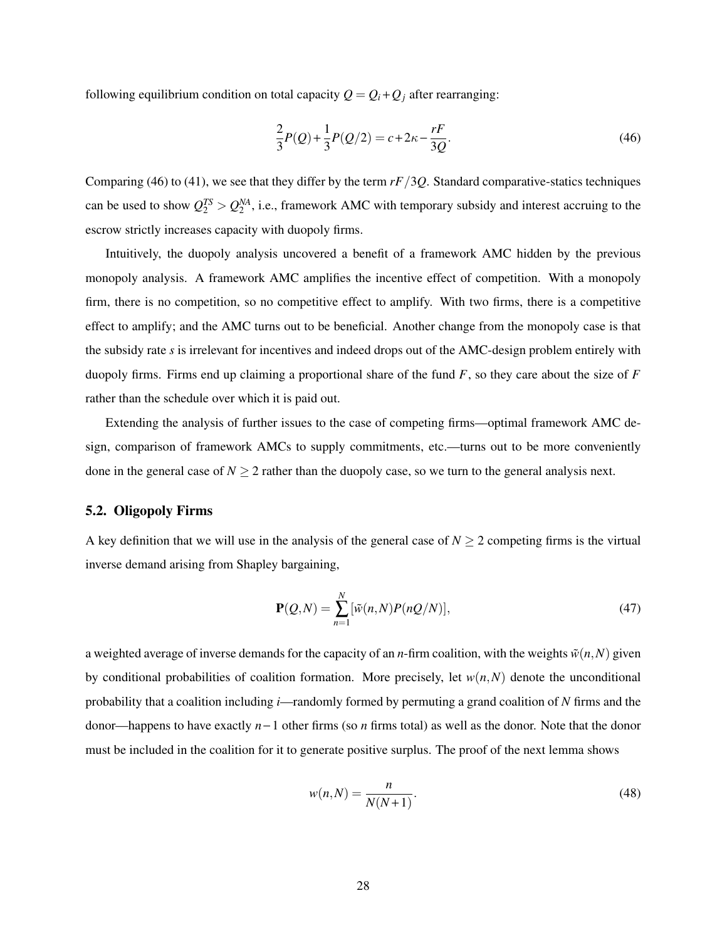following equilibrium condition on total capacity  $Q = Q_i + Q_j$  after rearranging:

$$
\frac{2}{3}P(Q) + \frac{1}{3}P(Q/2) = c + 2\kappa - \frac{rF}{3Q}.
$$
\n(46)

Comparing (46) to (41), we see that they differ by the term *rF*/3*Q*. Standard comparative-statics techniques can be used to show  $Q_2^{TS} > Q_2^{NA}$ , i.e., framework AMC with temporary subsidy and interest accruing to the escrow strictly increases capacity with duopoly firms.

Intuitively, the duopoly analysis uncovered a benefit of a framework AMC hidden by the previous monopoly analysis. A framework AMC amplifies the incentive effect of competition. With a monopoly firm, there is no competition, so no competitive effect to amplify. With two firms, there is a competitive effect to amplify; and the AMC turns out to be beneficial. Another change from the monopoly case is that the subsidy rate *s* is irrelevant for incentives and indeed drops out of the AMC-design problem entirely with duopoly firms. Firms end up claiming a proportional share of the fund *F*, so they care about the size of *F* rather than the schedule over which it is paid out.

Extending the analysis of further issues to the case of competing firms—optimal framework AMC design, comparison of framework AMCs to supply commitments, etc.—turns out to be more conveniently done in the general case of  $N \ge 2$  rather than the duopoly case, so we turn to the general analysis next.

## 5.2. Oligopoly Firms

A key definition that we will use in the analysis of the general case of  $N \ge 2$  competing firms is the virtual inverse demand arising from Shapley bargaining,

$$
\mathbf{P}(Q,N) = \sum_{n=1}^{N} [\tilde{w}(n,N)P(nQ/N)],\tag{47}
$$

a weighted average of inverse demands for the capacity of an *n*-firm coalition, with the weights  $\tilde{w}(n,N)$  given by conditional probabilities of coalition formation. More precisely, let  $w(n, N)$  denote the unconditional probability that a coalition including *i*—randomly formed by permuting a grand coalition of *N* firms and the donor—happens to have exactly *n* − 1 other firms (so *n* firms total) as well as the donor. Note that the donor must be included in the coalition for it to generate positive surplus. The proof of the next lemma shows

$$
w(n,N) = \frac{n}{N(N+1)}.\tag{48}
$$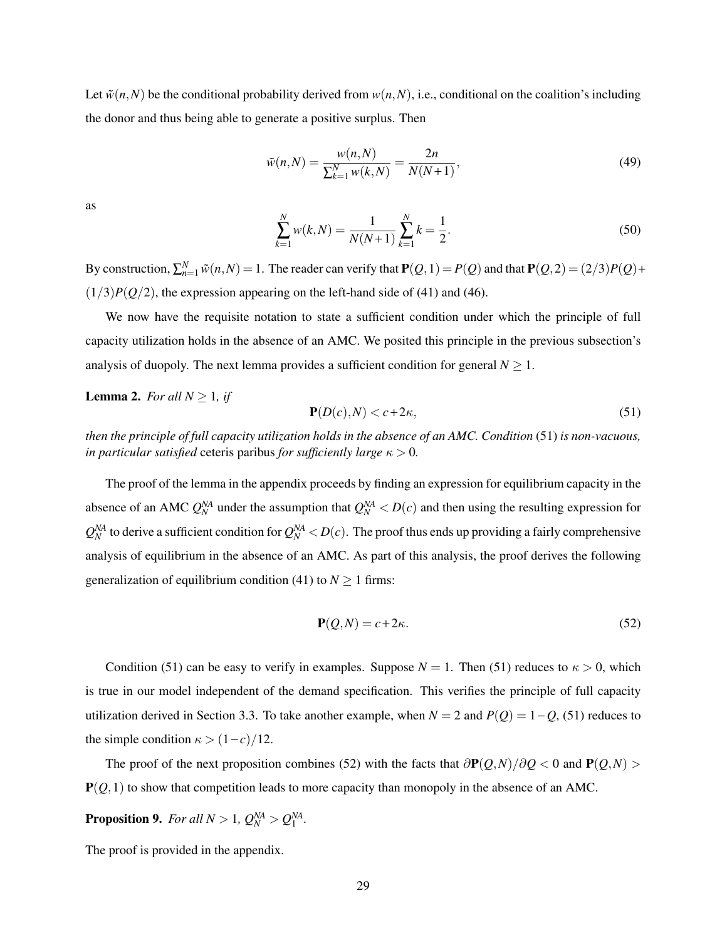Let  $\tilde{w}(n,N)$  be the conditional probability derived from  $w(n,N)$ , i.e., conditional on the coalition's including the donor and thus being able to generate a positive surplus. Then

$$
\tilde{w}(n,N) = \frac{w(n,N)}{\sum_{k=1}^{N} w(k,N)} = \frac{2n}{N(N+1)},
$$
\n(49)

as

$$
\sum_{k=1}^{N} w(k, N) = \frac{1}{N(N+1)} \sum_{k=1}^{N} k = \frac{1}{2}.
$$
\n(50)

By construction,  $\sum_{n=1}^{N} \tilde{w}(n, N) = 1$ . The reader can verify that  $P(Q, 1) = P(Q)$  and that  $P(Q, 2) = (2/3)P(Q) +$  $(1/3)P(Q/2)$ , the expression appearing on the left-hand side of (41) and (46).

We now have the requisite notation to state a sufficient condition under which the principle of full capacity utilization holds in the absence of an AMC. We posited this principle in the previous subsection's analysis of duopoly. The next lemma provides a sufficient condition for general  $N \geq 1$ .

## **Lemma 2.** *For all*  $N \geq 1$ *, if*

$$
\mathbf{P}(D(c),N) < c + 2\kappa,\tag{51}
$$

*then the principle of full capacity utilization holds in the absence of an AMC. Condition* (51) *is non-vacuous, in particular satisfied* ceteris paribus *for sufficiently large*  $\kappa > 0$ *.* 

The proof of the lemma in the appendix proceeds by finding an expression for equilibrium capacity in the absence of an AMC  $Q_N^{NA}$  under the assumption that  $Q_N^{NA} < D(c)$  and then using the resulting expression for  $Q_N^{NA}$  to derive a sufficient condition for  $Q_N^{NA}$  <  $D(c)$ . The proof thus ends up providing a fairly comprehensive analysis of equilibrium in the absence of an AMC. As part of this analysis, the proof derives the following generalization of equilibrium condition (41) to  $N \ge 1$  firms:

$$
\mathbf{P}(Q,N) = c + 2\kappa. \tag{52}
$$

Condition (51) can be easy to verify in examples. Suppose  $N = 1$ . Then (51) reduces to  $\kappa > 0$ , which is true in our model independent of the demand specification. This verifies the principle of full capacity utilization derived in Section 3.3. To take another example, when  $N = 2$  and  $P(Q) = 1 - Q$ , (51) reduces to the simple condition  $\kappa > (1 - c)/12$ .

The proof of the next proposition combines (52) with the facts that  $\frac{\partial P(Q,N)}{\partial Q}$  < 0 and  $P(Q,N)$  $P(Q, 1)$  to show that competition leads to more capacity than monopoly in the absence of an AMC.

**Proposition 9.** *For all*  $N > 1$ ,  $Q_N^{NA} > Q_1^{NA}$ .

The proof is provided in the appendix.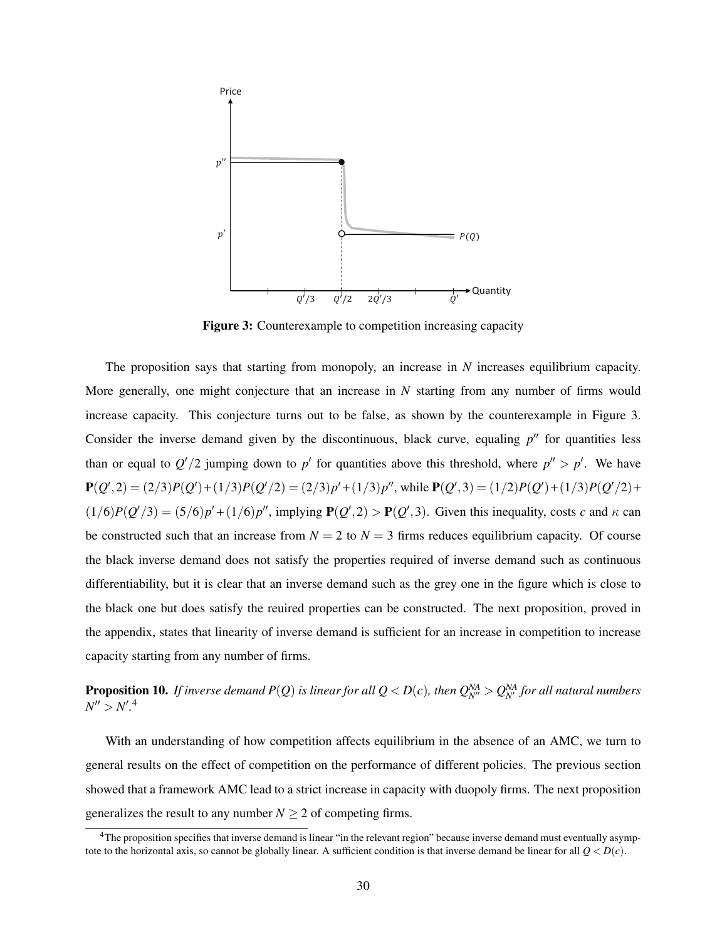

Figure 3: Counterexample to competition increasing capacity

increase capacity. This conjecture turns out to be false, as shown by the counterexample in Figure 3. The proposition says that starting from monopoly, an increase in *N* increases equilibrium capacity. More generally, one might conjecture that an increase in *N* starting from any number of firms would Consider the inverse demand given by the discontinuous, black curve, equaling  $p''$  for quantities less than or equal to  $Q'/2$  jumping down to p' for quantities above this threshold, where  $p'' > p'$ . We have  $P(Q', 2) = (2/3)P(Q') + (1/3)P(Q'/2) = (2/3)p' + (1/3)p''$ , while  $P(Q', 3) = (1/2)P(Q') + (1/3)P(Q'/2) +$  $(1/6)P(Q'/3) = (5/6)p' + (1/6)p''$ , implying  $P(Q', 2) > P(Q', 3)$ . Given this inequality, costs *c* and  $\kappa$  can be constructed such that an increase from  $N = 2$  to  $N = 3$  firms reduces equilibrium capacity. Of course the black inverse demand does not satisfy the properties required of inverse demand such as continuous differentiability, but it is clear that an inverse demand such as the grey one in the figure which is close to the black one but does satisfy the reuired properties can be constructed. The next proposition, proved in the appendix, states that linearity of inverse demand is sufficient for an increase in competition to increase capacity starting from any number of firms.

**Proposition 10.** *If inverse demand P*(*Q*) *is linear for all Q* < *D*(*c*), then  $Q_{N'}^{NA} > Q_{N'}^{NA}$  for all natural numbers  $N'' > N'.^4$ 

With an understanding of how competition affects equilibrium in the absence of an AMC, we turn to general results on the effect of competition on the performance of different policies. The previous section showed that a framework AMC lead to a strict increase in capacity with duopoly firms. The next proposition generalizes the result to any number  $N \geq 2$  of competing firms.

<sup>&</sup>lt;sup>4</sup>The proposition specifies that inverse demand is linear "in the relevant region" because inverse demand must eventually asymptote to the horizontal axis, so cannot be globally linear. A sufficient condition is that inverse demand be linear for all  $Q < D(c)$ .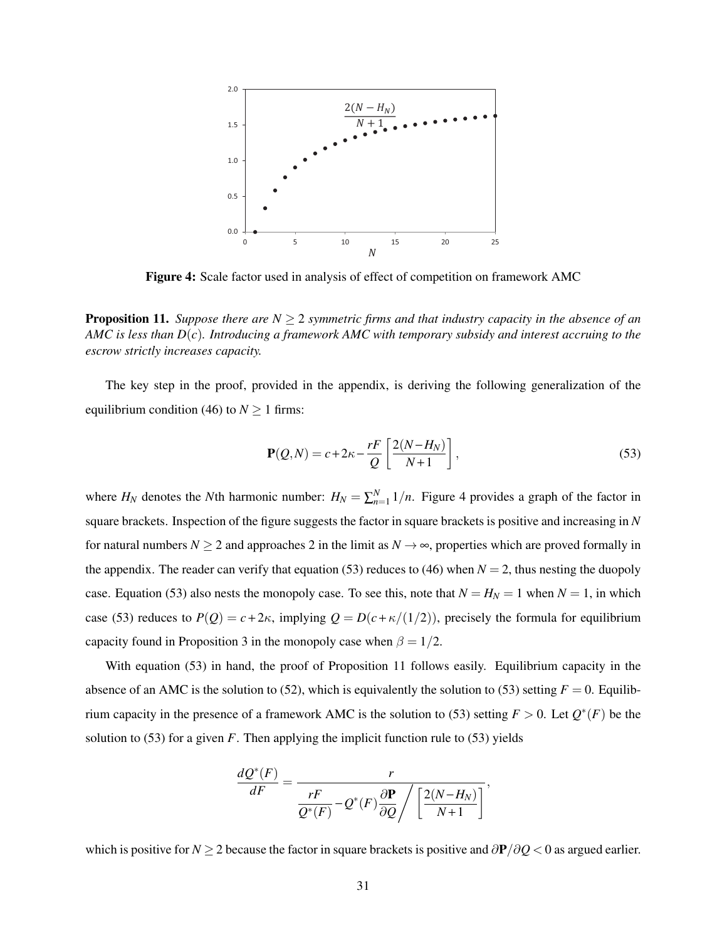

Figure 4: Scale factor used in analysis of effect of competition on framework AMC

**Proposition 11.** *Suppose there are N*  $\geq$  2 *symmetric firms and that industry capacity in the absence of an AMC is less than D*(*c*)*. Introducing a framework AMC with temporary subsidy and interest accruing to the escrow strictly increases capacity.*

The key step in the proof, provided in the appendix, is deriving the following generalization of the equilibrium condition (46) to  $N \ge 1$  firms:

$$
\mathbf{P}(Q,N) = c + 2\kappa - \frac{rF}{Q} \left[ \frac{2(N - H_N)}{N + 1} \right],\tag{53}
$$

where  $H_N$  denotes the *N*th harmonic number:  $H_N = \sum_{n=1}^N 1/n$ . Figure 4 provides a graph of the factor in square brackets. Inspection of the figure suggests the factor in square brackets is positive and increasing in *N* for natural numbers  $N \ge 2$  and approaches 2 in the limit as  $N \to \infty$ , properties which are proved formally in the appendix. The reader can verify that equation (53) reduces to (46) when  $N = 2$ , thus nesting the duopoly case. Equation (53) also nests the monopoly case. To see this, note that  $N = H_N = 1$  when  $N = 1$ , in which case (53) reduces to  $P(Q) = c + 2\kappa$ , implying  $Q = D(c + \kappa/(1/2))$ , precisely the formula for equilibrium capacity found in Proposition 3 in the monopoly case when  $\beta = 1/2$ .

With equation (53) in hand, the proof of Proposition 11 follows easily. Equilibrium capacity in the absence of an AMC is the solution to (52), which is equivalently the solution to (53) setting  $F = 0$ . Equilibrium capacity in the presence of a framework AMC is the solution to (53) setting  $F > 0$ . Let  $Q^*(F)$  be the solution to  $(53)$  for a given *F*. Then applying the implicit function rule to  $(53)$  yields

$$
\frac{dQ^*(F)}{dF} = \frac{r}{\frac{rF}{Q^*(F)} - Q^*(F)\frac{\partial P}{\partial Q}} / \left[\frac{2(N-H_N)}{N+1}\right],
$$

which is positive for *N* ≥ 2 because the factor in square brackets is positive and ∂P/∂*Q* < 0 as argued earlier.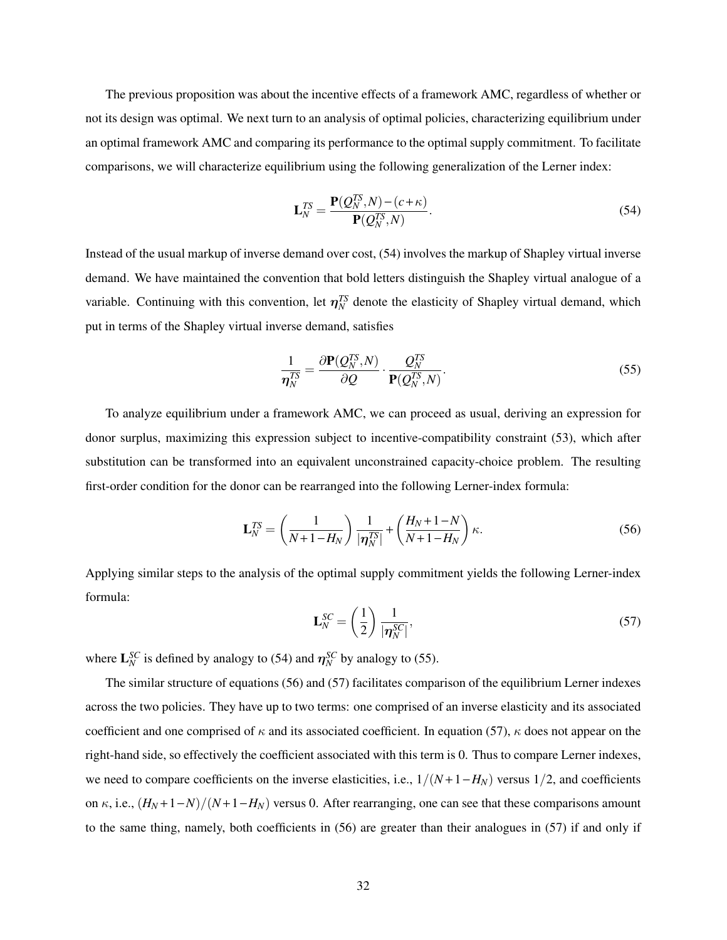The previous proposition was about the incentive effects of a framework AMC, regardless of whether or not its design was optimal. We next turn to an analysis of optimal policies, characterizing equilibrium under an optimal framework AMC and comparing its performance to the optimal supply commitment. To facilitate comparisons, we will characterize equilibrium using the following generalization of the Lerner index:

$$
\mathbf{L}_N^{TS} = \frac{\mathbf{P}(Q_N^{TS}, N) - (c + \kappa)}{\mathbf{P}(Q_N^{TS}, N)}.
$$
\n(54)

Instead of the usual markup of inverse demand over cost, (54) involves the markup of Shapley virtual inverse demand. We have maintained the convention that bold letters distinguish the Shapley virtual analogue of a variable. Continuing with this convention, let  $\eta_N^{TS}$  denote the elasticity of Shapley virtual demand, which put in terms of the Shapley virtual inverse demand, satisfies

$$
\frac{1}{\eta_N^{TS}} = \frac{\partial \mathbf{P}(Q_N^{TS}, N)}{\partial Q} \cdot \frac{Q_N^{TS}}{\mathbf{P}(Q_N^{TS}, N)}.\tag{55}
$$

To analyze equilibrium under a framework AMC, we can proceed as usual, deriving an expression for donor surplus, maximizing this expression subject to incentive-compatibility constraint (53), which after substitution can be transformed into an equivalent unconstrained capacity-choice problem. The resulting first-order condition for the donor can be rearranged into the following Lerner-index formula:

$$
\mathbf{L}_N^{TS} = \left(\frac{1}{N+1-H_N}\right) \frac{1}{|\boldsymbol{\eta}_N^{TS}|} + \left(\frac{H_N+1-N}{N+1-H_N}\right) \kappa.
$$
 (56)

Applying similar steps to the analysis of the optimal supply commitment yields the following Lerner-index formula:

$$
\mathbf{L}_N^{SC} = \left(\frac{1}{2}\right) \frac{1}{|\boldsymbol{\eta}_N^{SC}|},\tag{57}
$$

where  $\mathbf{L}_N^{SC}$  is defined by analogy to (54) and  $\eta_N^{SC}$  by analogy to (55).

The similar structure of equations (56) and (57) facilitates comparison of the equilibrium Lerner indexes across the two policies. They have up to two terms: one comprised of an inverse elasticity and its associated coefficient and one comprised of  $\kappa$  and its associated coefficient. In equation (57),  $\kappa$  does not appear on the right-hand side, so effectively the coefficient associated with this term is 0. Thus to compare Lerner indexes, we need to compare coefficients on the inverse elasticities, i.e.,  $1/(N+1-H_N)$  versus  $1/2$ , and coefficients on  $\kappa$ , i.e.,  $(H_N+1-N)/(N+1-H_N)$  versus 0. After rearranging, one can see that these comparisons amount to the same thing, namely, both coefficients in (56) are greater than their analogues in (57) if and only if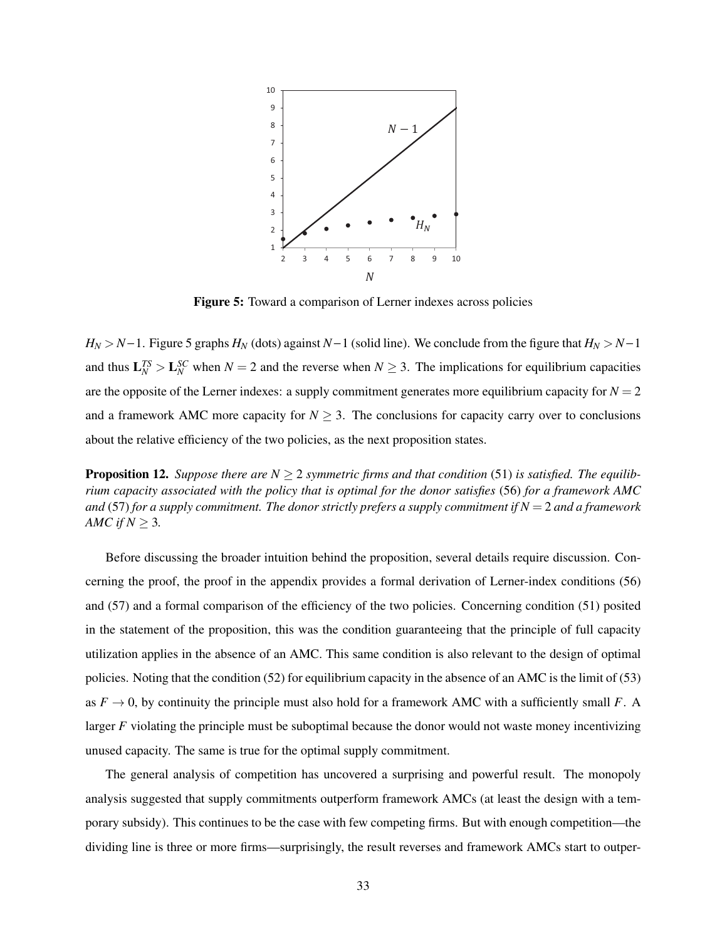

Figure 5: Toward a comparison of Lerner indexes across policies

about the relative efficiency of the two policies, as the next proposition states.  $H_N > N-1$ . Figure 5 graphs  $H_N$  (dots) against  $N-1$  (solid line). We conclude from the figure that  $H_N > N-1$ and thus  $L_N^{TS} > L_N^{SC}$  when  $N = 2$  and the reverse when  $N \geq 3$ . The implications for equilibrium capacities are the opposite of the Lerner indexes: a supply commitment generates more equilibrium capacity for  $N = 2$ and a framework AMC more capacity for  $N \geq 3$ . The conclusions for capacity carry over to conclusions

**Proposition 12.** Suppose there are  $N \geq 2$  symmetric firms and that condition (51) is satisfied. The equilib*rium capacity associated with the policy that is optimal for the donor satisfies* (56) *for a framework AMC and* (57) *for a supply commitment. The donor strictly prefers a supply commitment if*  $N = 2$  *and a framework AMC if*  $N \geq 3$ *.* 

Before discussing the broader intuition behind the proposition, several details require discussion. Concerning the proof, the proof in the appendix provides a formal derivation of Lerner-index conditions (56) and (57) and a formal comparison of the efficiency of the two policies. Concerning condition (51) posited in the statement of the proposition, this was the condition guaranteeing that the principle of full capacity utilization applies in the absence of an AMC. This same condition is also relevant to the design of optimal policies. Noting that the condition (52) for equilibrium capacity in the absence of an AMC is the limit of (53) as  $F \to 0$ , by continuity the principle must also hold for a framework AMC with a sufficiently small *F*. A larger *F* violating the principle must be suboptimal because the donor would not waste money incentivizing unused capacity. The same is true for the optimal supply commitment.

The general analysis of competition has uncovered a surprising and powerful result. The monopoly analysis suggested that supply commitments outperform framework AMCs (at least the design with a temporary subsidy). This continues to be the case with few competing firms. But with enough competition—the dividing line is three or more firms—surprisingly, the result reverses and framework AMCs start to outper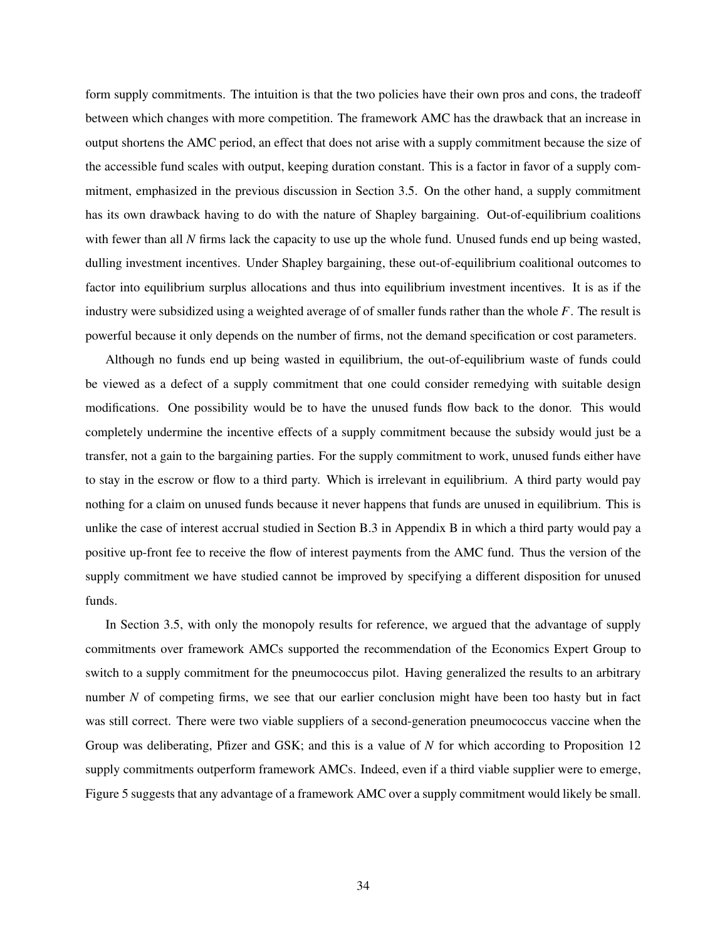form supply commitments. The intuition is that the two policies have their own pros and cons, the tradeoff between which changes with more competition. The framework AMC has the drawback that an increase in output shortens the AMC period, an effect that does not arise with a supply commitment because the size of the accessible fund scales with output, keeping duration constant. This is a factor in favor of a supply commitment, emphasized in the previous discussion in Section 3.5. On the other hand, a supply commitment has its own drawback having to do with the nature of Shapley bargaining. Out-of-equilibrium coalitions with fewer than all *N* firms lack the capacity to use up the whole fund. Unused funds end up being wasted, dulling investment incentives. Under Shapley bargaining, these out-of-equilibrium coalitional outcomes to factor into equilibrium surplus allocations and thus into equilibrium investment incentives. It is as if the industry were subsidized using a weighted average of of smaller funds rather than the whole *F*. The result is powerful because it only depends on the number of firms, not the demand specification or cost parameters.

Although no funds end up being wasted in equilibrium, the out-of-equilibrium waste of funds could be viewed as a defect of a supply commitment that one could consider remedying with suitable design modifications. One possibility would be to have the unused funds flow back to the donor. This would completely undermine the incentive effects of a supply commitment because the subsidy would just be a transfer, not a gain to the bargaining parties. For the supply commitment to work, unused funds either have to stay in the escrow or flow to a third party. Which is irrelevant in equilibrium. A third party would pay nothing for a claim on unused funds because it never happens that funds are unused in equilibrium. This is unlike the case of interest accrual studied in Section B.3 in Appendix B in which a third party would pay a positive up-front fee to receive the flow of interest payments from the AMC fund. Thus the version of the supply commitment we have studied cannot be improved by specifying a different disposition for unused funds.

In Section 3.5, with only the monopoly results for reference, we argued that the advantage of supply commitments over framework AMCs supported the recommendation of the Economics Expert Group to switch to a supply commitment for the pneumococcus pilot. Having generalized the results to an arbitrary number *N* of competing firms, we see that our earlier conclusion might have been too hasty but in fact was still correct. There were two viable suppliers of a second-generation pneumococcus vaccine when the Group was deliberating, Pfizer and GSK; and this is a value of *N* for which according to Proposition 12 supply commitments outperform framework AMCs. Indeed, even if a third viable supplier were to emerge, Figure 5 suggests that any advantage of a framework AMC over a supply commitment would likely be small.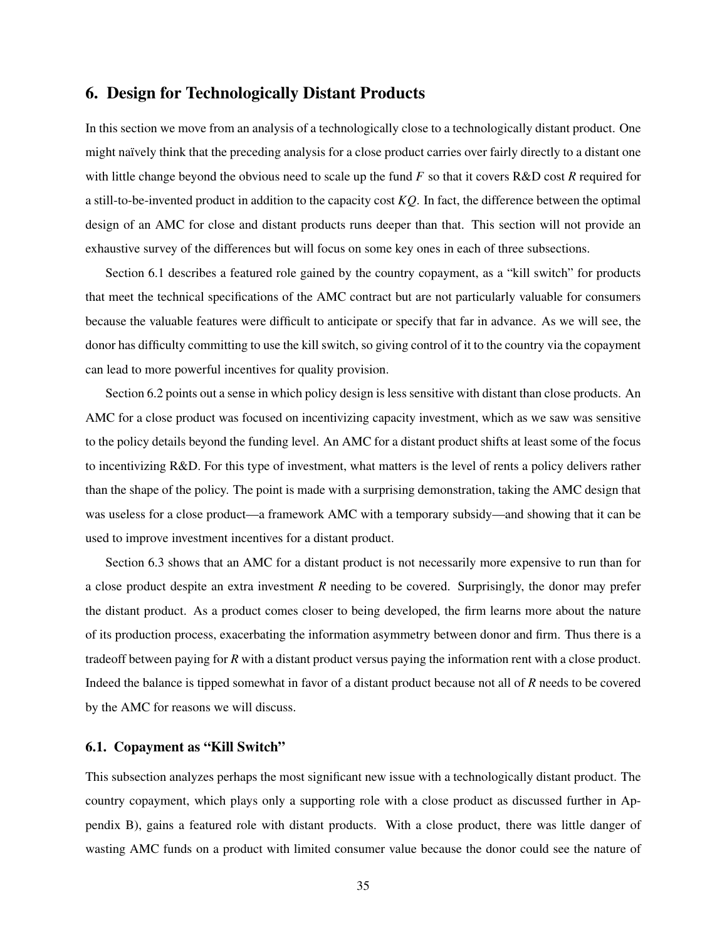# 6. Design for Technologically Distant Products

In this section we move from an analysis of a technologically close to a technologically distant product. One might naïvely think that the preceding analysis for a close product carries over fairly directly to a distant one with little change beyond the obvious need to scale up the fund *F* so that it covers R&D cost *R* required for a still-to-be-invented product in addition to the capacity cost *KQ*. In fact, the difference between the optimal design of an AMC for close and distant products runs deeper than that. This section will not provide an exhaustive survey of the differences but will focus on some key ones in each of three subsections.

Section 6.1 describes a featured role gained by the country copayment, as a "kill switch" for products that meet the technical specifications of the AMC contract but are not particularly valuable for consumers because the valuable features were difficult to anticipate or specify that far in advance. As we will see, the donor has difficulty committing to use the kill switch, so giving control of it to the country via the copayment can lead to more powerful incentives for quality provision.

Section 6.2 points out a sense in which policy design is less sensitive with distant than close products. An AMC for a close product was focused on incentivizing capacity investment, which as we saw was sensitive to the policy details beyond the funding level. An AMC for a distant product shifts at least some of the focus to incentivizing R&D. For this type of investment, what matters is the level of rents a policy delivers rather than the shape of the policy. The point is made with a surprising demonstration, taking the AMC design that was useless for a close product—a framework AMC with a temporary subsidy—and showing that it can be used to improve investment incentives for a distant product.

Section 6.3 shows that an AMC for a distant product is not necessarily more expensive to run than for a close product despite an extra investment *R* needing to be covered. Surprisingly, the donor may prefer the distant product. As a product comes closer to being developed, the firm learns more about the nature of its production process, exacerbating the information asymmetry between donor and firm. Thus there is a tradeoff between paying for *R* with a distant product versus paying the information rent with a close product. Indeed the balance is tipped somewhat in favor of a distant product because not all of *R* needs to be covered by the AMC for reasons we will discuss.

## 6.1. Copayment as "Kill Switch"

This subsection analyzes perhaps the most significant new issue with a technologically distant product. The country copayment, which plays only a supporting role with a close product as discussed further in Appendix B), gains a featured role with distant products. With a close product, there was little danger of wasting AMC funds on a product with limited consumer value because the donor could see the nature of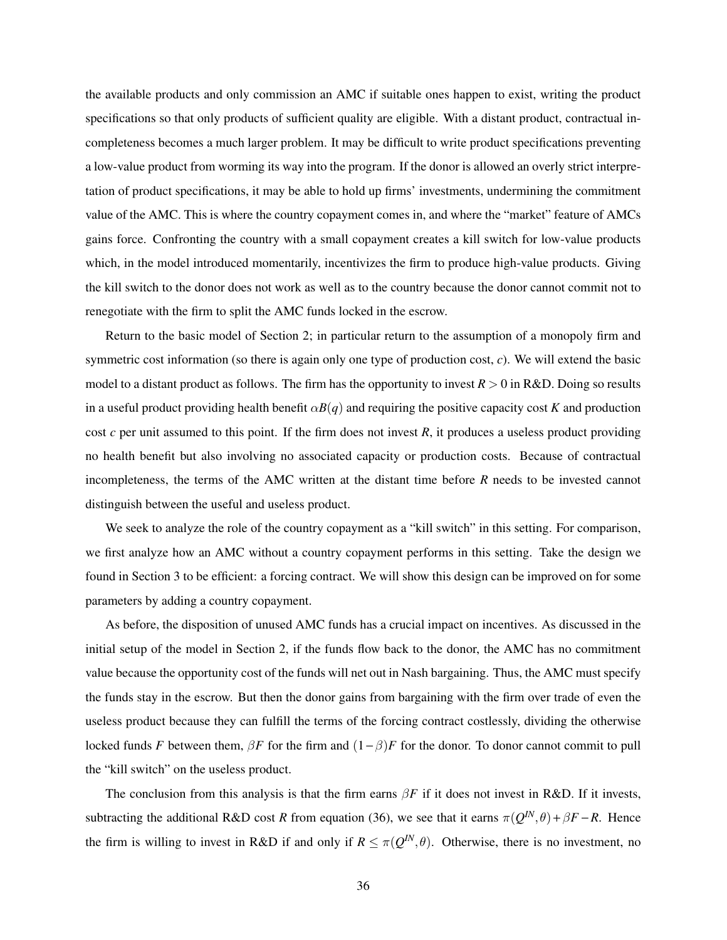the available products and only commission an AMC if suitable ones happen to exist, writing the product specifications so that only products of sufficient quality are eligible. With a distant product, contractual incompleteness becomes a much larger problem. It may be difficult to write product specifications preventing a low-value product from worming its way into the program. If the donor is allowed an overly strict interpretation of product specifications, it may be able to hold up firms' investments, undermining the commitment value of the AMC. This is where the country copayment comes in, and where the "market" feature of AMCs gains force. Confronting the country with a small copayment creates a kill switch for low-value products which, in the model introduced momentarily, incentivizes the firm to produce high-value products. Giving the kill switch to the donor does not work as well as to the country because the donor cannot commit not to renegotiate with the firm to split the AMC funds locked in the escrow.

Return to the basic model of Section 2; in particular return to the assumption of a monopoly firm and symmetric cost information (so there is again only one type of production cost, *c*). We will extend the basic model to a distant product as follows. The firm has the opportunity to invest  $R > 0$  in R&D. Doing so results in a useful product providing health benefit  $\alpha B(q)$  and requiring the positive capacity cost *K* and production cost  $c$  per unit assumed to this point. If the firm does not invest  $R$ , it produces a useless product providing no health benefit but also involving no associated capacity or production costs. Because of contractual incompleteness, the terms of the AMC written at the distant time before *R* needs to be invested cannot distinguish between the useful and useless product.

We seek to analyze the role of the country copayment as a "kill switch" in this setting. For comparison, we first analyze how an AMC without a country copayment performs in this setting. Take the design we found in Section 3 to be efficient: a forcing contract. We will show this design can be improved on for some parameters by adding a country copayment.

As before, the disposition of unused AMC funds has a crucial impact on incentives. As discussed in the initial setup of the model in Section 2, if the funds flow back to the donor, the AMC has no commitment value because the opportunity cost of the funds will net out in Nash bargaining. Thus, the AMC must specify the funds stay in the escrow. But then the donor gains from bargaining with the firm over trade of even the useless product because they can fulfill the terms of the forcing contract costlessly, dividing the otherwise locked funds *F* between them,  $\beta F$  for the firm and  $(1 - \beta)F$  for the donor. To donor cannot commit to pull the "kill switch" on the useless product.

The conclusion from this analysis is that the firm earns  $\beta F$  if it does not invest in R&D. If it invests, subtracting the additional R&D cost *R* from equation (36), we see that it earns  $\pi(Q^{IN},\theta) + \beta F - R$ . Hence the firm is willing to invest in R&D if and only if  $R \leq \pi(Q^{IN}, \theta)$ . Otherwise, there is no investment, no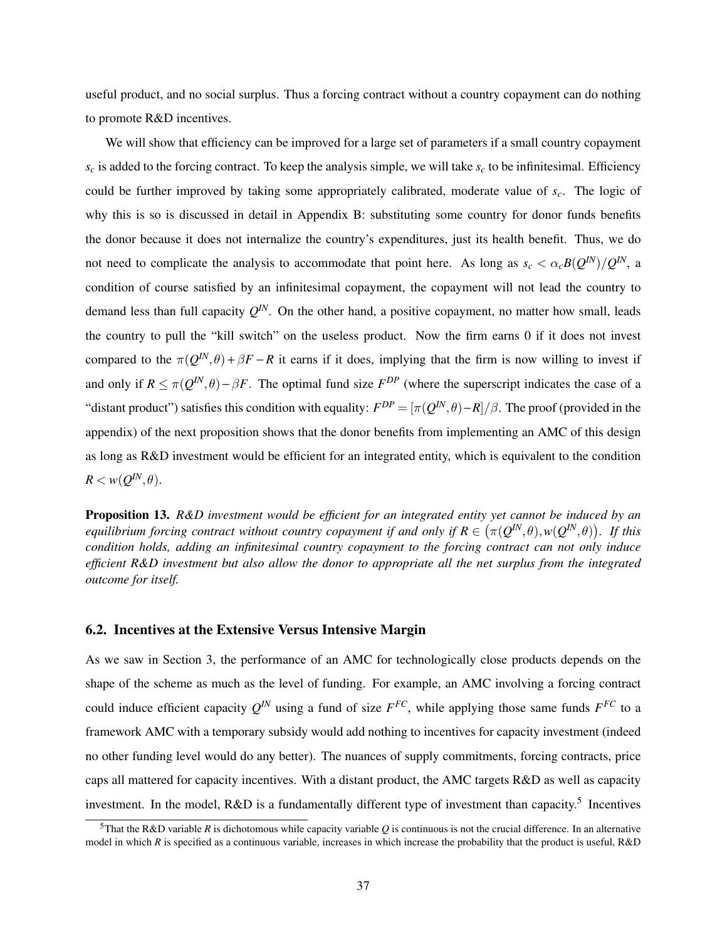useful product, and no social surplus. Thus a forcing contract without a country copayment can do nothing to promote R&D incentives.

We will show that efficiency can be improved for a large set of parameters if a small country copayment  $s_c$  is added to the forcing contract. To keep the analysis simple, we will take  $s_c$  to be infinitesimal. Efficiency could be further improved by taking some appropriately calibrated, moderate value of *sc*. The logic of why this is so is discussed in detail in Appendix B: substituting some country for donor funds benefits the donor because it does not internalize the country's expenditures, just its health benefit. Thus, we do not need to complicate the analysis to accommodate that point here. As long as  $s_c < \alpha_c B(Q^{IN})/Q^{IN}$ , a condition of course satisfied by an infinitesimal copayment, the copayment will not lead the country to demand less than full capacity  $Q^{IN}$ . On the other hand, a positive copayment, no matter how small, leads the country to pull the "kill switch" on the useless product. Now the firm earns 0 if it does not invest compared to the  $\pi(Q^{IN},\theta) + \beta F - R$  it earns if it does, implying that the firm is now willing to invest if and only if  $R \le \pi(Q^{IN}, \theta) - \beta F$ . The optimal fund size  $F^{DP}$  (where the superscript indicates the case of a "distant product") satisfies this condition with equality:  $F^{DP} = [\pi(Q^{IN}, \theta) - R]/\beta$ . The proof (provided in the appendix) of the next proposition shows that the donor benefits from implementing an AMC of this design as long as R&D investment would be efficient for an integrated entity, which is equivalent to the condition  $R < w(Q^{IN},\theta).$ 

Proposition 13. *R&D investment would be efficient for an integrated entity yet cannot be induced by an equilibrium forcing contract without country copayment if and only if*  $R \in (\pi(Q^{IN},\theta), w(Q^{IN},\theta))$ *. If this condition holds, adding an infinitesimal country copayment to the forcing contract can not only induce efficient R&D investment but also allow the donor to appropriate all the net surplus from the integrated outcome for itself.*

## 6.2. Incentives at the Extensive Versus Intensive Margin

As we saw in Section 3, the performance of an AMC for technologically close products depends on the shape of the scheme as much as the level of funding. For example, an AMC involving a forcing contract could induce efficient capacity  $Q^N$  using a fund of size  $F^{FC}$ , while applying those same funds  $F^{FC}$  to a framework AMC with a temporary subsidy would add nothing to incentives for capacity investment (indeed no other funding level would do any better). The nuances of supply commitments, forcing contracts, price caps all mattered for capacity incentives. With a distant product, the AMC targets R&D as well as capacity investment. In the model, R&D is a fundamentally different type of investment than capacity.<sup>5</sup> Incentives

<sup>&</sup>lt;sup>5</sup>That the R&D variable *R* is dichotomous while capacity variable *Q* is continuous is not the crucial difference. In an alternative model in which *R* is specified as a continuous variable, increases in which increase the probability that the product is useful, R&D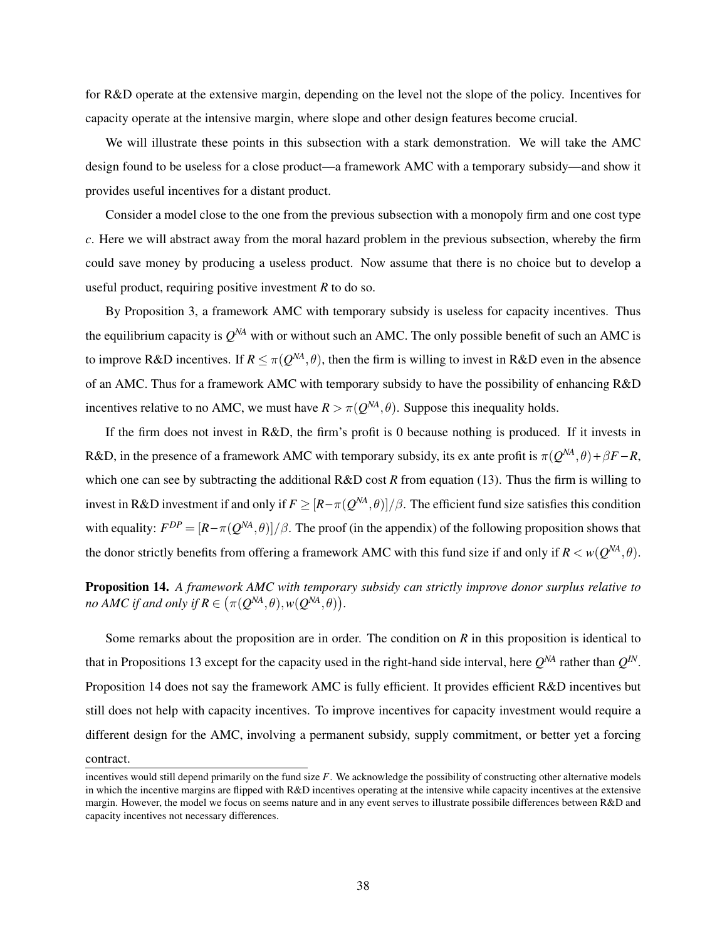for R&D operate at the extensive margin, depending on the level not the slope of the policy. Incentives for capacity operate at the intensive margin, where slope and other design features become crucial.

We will illustrate these points in this subsection with a stark demonstration. We will take the AMC design found to be useless for a close product—a framework AMC with a temporary subsidy—and show it provides useful incentives for a distant product.

Consider a model close to the one from the previous subsection with a monopoly firm and one cost type *c*. Here we will abstract away from the moral hazard problem in the previous subsection, whereby the firm could save money by producing a useless product. Now assume that there is no choice but to develop a useful product, requiring positive investment *R* to do so.

By Proposition 3, a framework AMC with temporary subsidy is useless for capacity incentives. Thus the equilibrium capacity is  $Q^{NA}$  with or without such an AMC. The only possible benefit of such an AMC is to improve R&D incentives. If  $R \leq \pi(Q^{NA}, \theta)$ , then the firm is willing to invest in R&D even in the absence of an AMC. Thus for a framework AMC with temporary subsidy to have the possibility of enhancing R&D incentives relative to no AMC, we must have  $R > \pi(Q^{NA}, \theta)$ . Suppose this inequality holds.

If the firm does not invest in R&D, the firm's profit is 0 because nothing is produced. If it invests in R&D, in the presence of a framework AMC with temporary subsidy, its ex ante profit is  $\pi(Q^{NA}, \theta) + \beta F - R$ , which one can see by subtracting the additional R&D cost *R* from equation (13). Thus the firm is willing to invest in R&D investment if and only if  $F \geq [R-\pi(Q^{NA}, \theta)]/\beta$ . The efficient fund size satisfies this condition with equality:  $F^{DP} = [R - \pi(Q^{NA}, \theta)]/\beta$ . The proof (in the appendix) of the following proposition shows that the donor strictly benefits from offering a framework AMC with this fund size if and only if  $R < w(Q^{NA}, \theta)$ .

Proposition 14. *A framework AMC with temporary subsidy can strictly improve donor surplus relative to no AMC if and only if*  $R \in (\pi(Q^{NA}, \theta), w(Q^{NA}, \theta)).$ 

Some remarks about the proposition are in order. The condition on *R* in this proposition is identical to that in Propositions 13 except for the capacity used in the right-hand side interval, here  $Q^{NA}$  rather than  $Q^{IN}$ . Proposition 14 does not say the framework AMC is fully efficient. It provides efficient R&D incentives but still does not help with capacity incentives. To improve incentives for capacity investment would require a different design for the AMC, involving a permanent subsidy, supply commitment, or better yet a forcing contract.

incentives would still depend primarily on the fund size *F*. We acknowledge the possibility of constructing other alternative models in which the incentive margins are flipped with R&D incentives operating at the intensive while capacity incentives at the extensive margin. However, the model we focus on seems nature and in any event serves to illustrate possibile differences between R&D and capacity incentives not necessary differences.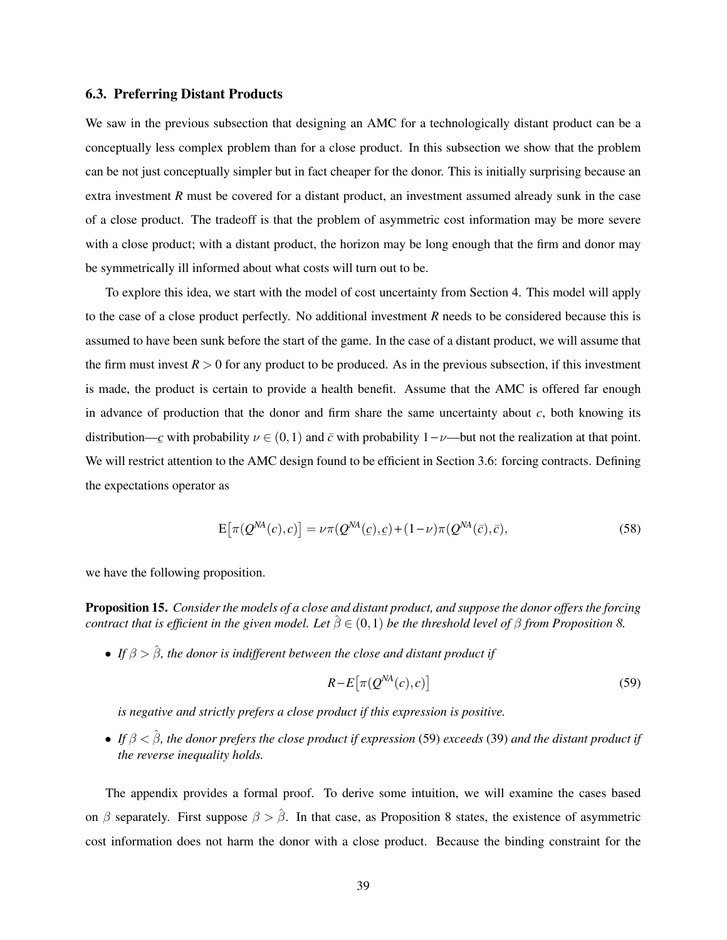## 6.3. Preferring Distant Products

We saw in the previous subsection that designing an AMC for a technologically distant product can be a conceptually less complex problem than for a close product. In this subsection we show that the problem can be not just conceptually simpler but in fact cheaper for the donor. This is initially surprising because an extra investment *R* must be covered for a distant product, an investment assumed already sunk in the case of a close product. The tradeoff is that the problem of asymmetric cost information may be more severe with a close product; with a distant product, the horizon may be long enough that the firm and donor may be symmetrically ill informed about what costs will turn out to be.

To explore this idea, we start with the model of cost uncertainty from Section 4. This model will apply to the case of a close product perfectly. No additional investment *R* needs to be considered because this is assumed to have been sunk before the start of the game. In the case of a distant product, we will assume that the firm must invest  $R > 0$  for any product to be produced. As in the previous subsection, if this investment is made, the product is certain to provide a health benefit. Assume that the AMC is offered far enough in advance of production that the donor and firm share the same uncertainty about  $c$ , both knowing its distribution— $c$  with probability  $\nu \in (0,1)$  and  $\bar{c}$  with probability 1-v—but not the realization at that point. We will restrict attention to the AMC design found to be efficient in Section 3.6: forcing contracts. Defining the expectations operator as

$$
E\big[\pi(Q^{NA}(c),c)\big] = \nu \pi(Q^{NA}(c),c) + (1-\nu)\pi(Q^{NA}(\bar{c}),\bar{c}),\tag{58}
$$

we have the following proposition.

Proposition 15. *Consider the models of a close and distant product, and suppose the donor offers the forcing contract that is efficient in the given model. Let*  $\hat{\beta} \in (0,1)$  *be the threshold level of*  $\beta$  *from Proposition 8.* 

• *If*  $\beta > \hat{\beta}$ , the donor is indifferent between the close and distant product if

$$
R - E\big[\pi(Q^{NA}(c), c)\big] \tag{59}
$$

*is negative and strictly prefers a close product if this expression is positive.*

• *If* β < βˆ*, the donor prefers the close product if expression* (59) *exceeds* (39) *and the distant product if the reverse inequality holds.*

The appendix provides a formal proof. To derive some intuition, we will examine the cases based on β separately. First suppose  $\beta > \hat{\beta}$ . In that case, as Proposition 8 states, the existence of asymmetric cost information does not harm the donor with a close product. Because the binding constraint for the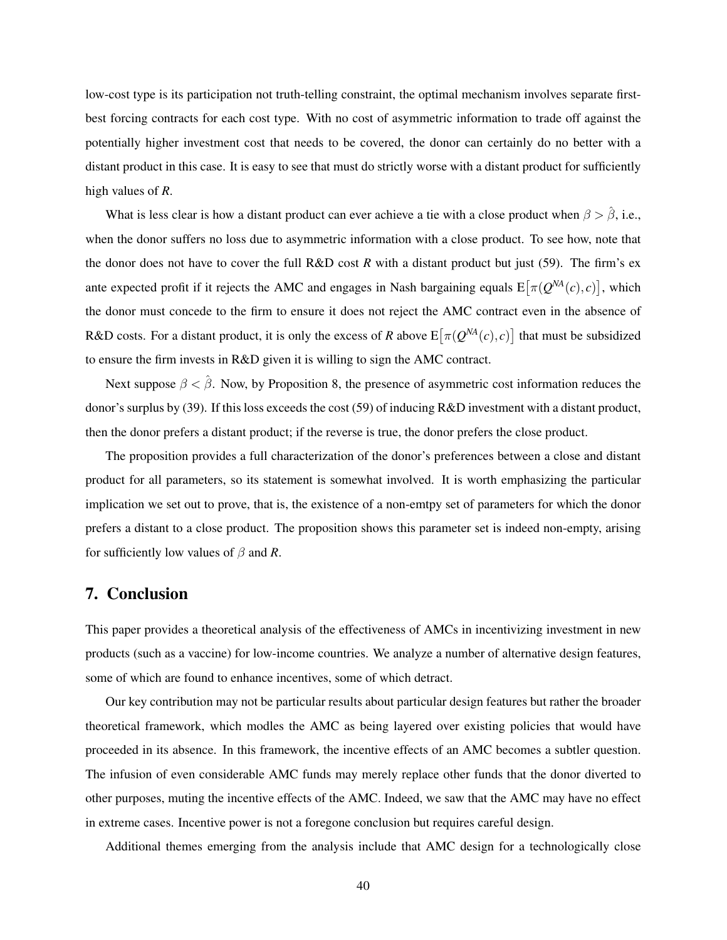low-cost type is its participation not truth-telling constraint, the optimal mechanism involves separate firstbest forcing contracts for each cost type. With no cost of asymmetric information to trade off against the potentially higher investment cost that needs to be covered, the donor can certainly do no better with a distant product in this case. It is easy to see that must do strictly worse with a distant product for sufficiently high values of *R*.

What is less clear is how a distant product can ever achieve a tie with a close product when  $\beta > \hat{\beta}$ , i.e., when the donor suffers no loss due to asymmetric information with a close product. To see how, note that the donor does not have to cover the full R&D cost *R* with a distant product but just (59). The firm's ex ante expected profit if it rejects the AMC and engages in Nash bargaining equals  $E[\pi(Q^{NA}(c), c)]$ , which the donor must concede to the firm to ensure it does not reject the AMC contract even in the absence of R&D costs. For a distant product, it is only the excess of *R* above  $E[\pi(Q^{NA}(c), c)]$  that must be subsidized to ensure the firm invests in R&D given it is willing to sign the AMC contract.

Next suppose  $\beta < \hat{\beta}$ . Now, by Proposition 8, the presence of asymmetric cost information reduces the donor's surplus by (39). If this loss exceeds the cost (59) of inducing R&D investment with a distant product, then the donor prefers a distant product; if the reverse is true, the donor prefers the close product.

The proposition provides a full characterization of the donor's preferences between a close and distant product for all parameters, so its statement is somewhat involved. It is worth emphasizing the particular implication we set out to prove, that is, the existence of a non-emtpy set of parameters for which the donor prefers a distant to a close product. The proposition shows this parameter set is indeed non-empty, arising for sufficiently low values of  $\beta$  and R.

## 7. Conclusion

This paper provides a theoretical analysis of the effectiveness of AMCs in incentivizing investment in new products (such as a vaccine) for low-income countries. We analyze a number of alternative design features, some of which are found to enhance incentives, some of which detract.

Our key contribution may not be particular results about particular design features but rather the broader theoretical framework, which modles the AMC as being layered over existing policies that would have proceeded in its absence. In this framework, the incentive effects of an AMC becomes a subtler question. The infusion of even considerable AMC funds may merely replace other funds that the donor diverted to other purposes, muting the incentive effects of the AMC. Indeed, we saw that the AMC may have no effect in extreme cases. Incentive power is not a foregone conclusion but requires careful design.

Additional themes emerging from the analysis include that AMC design for a technologically close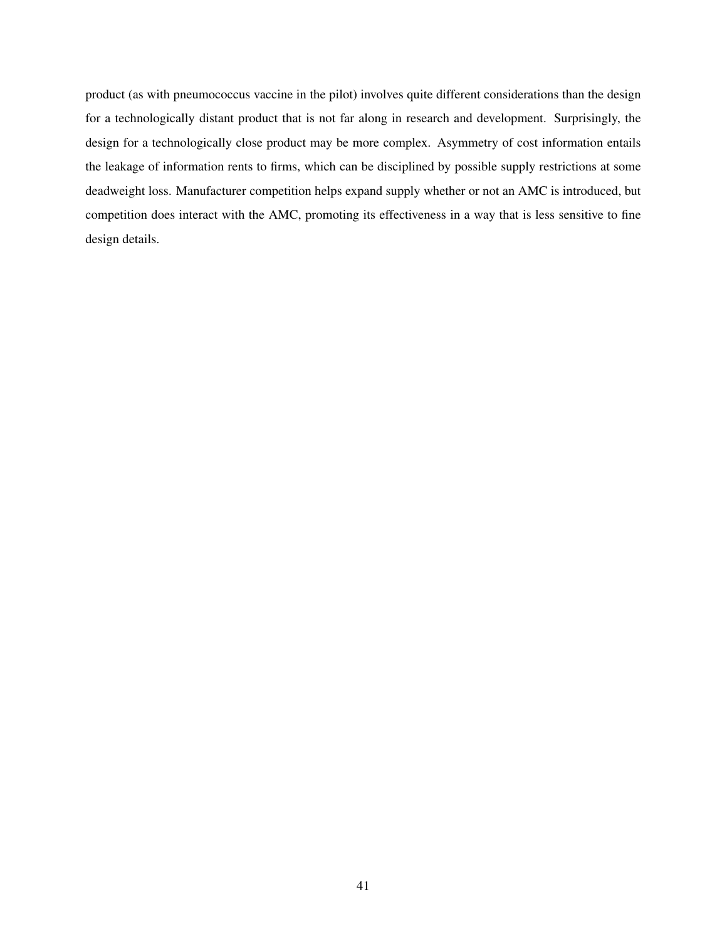product (as with pneumococcus vaccine in the pilot) involves quite different considerations than the design for a technologically distant product that is not far along in research and development. Surprisingly, the design for a technologically close product may be more complex. Asymmetry of cost information entails the leakage of information rents to firms, which can be disciplined by possible supply restrictions at some deadweight loss. Manufacturer competition helps expand supply whether or not an AMC is introduced, but competition does interact with the AMC, promoting its effectiveness in a way that is less sensitive to fine design details.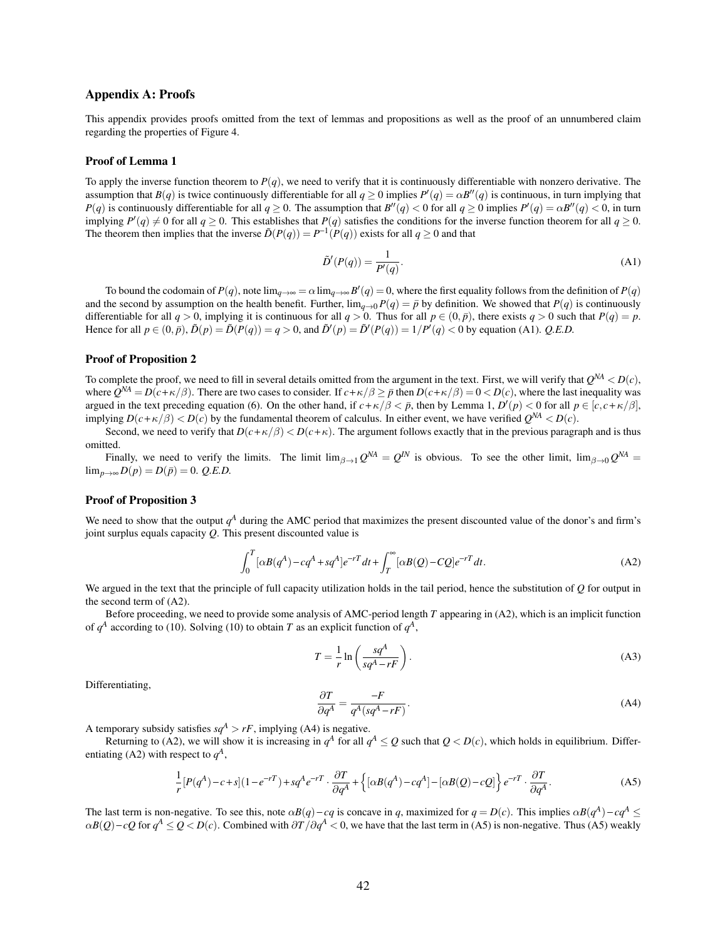#### Appendix A: Proofs

This appendix provides proofs omitted from the text of lemmas and propositions as well as the proof of an unnumbered claim regarding the properties of Figure 4.

#### Proof of Lemma 1

To apply the inverse function theorem to *P*(*q*), we need to verify that it is continuously differentiable with nonzero derivative. The assumption that  $B(q)$  is twice continuously differentiable for all  $q \ge 0$  implies  $P'(q) = \alpha B''(q)$  is continuous, in turn implying that *P*(*q*) is continuously differentiable for all  $q \ge 0$ . The assumption that  $B''(q) < 0$  for all  $q \ge 0$  implies  $P'(q) = \alpha B''(q) < 0$ , in turn implying  $P'(q) \neq 0$  for all  $q \geq 0$ . This establishes that  $P(q)$  satisfies the conditions for the inverse function theorem for all  $q \geq 0$ . The theorem then implies that the inverse  $\tilde{D}(P(q)) = P^{-1}(P(q))$  exists for all  $q \ge 0$  and that

$$
\tilde{D}'(P(q)) = \frac{1}{P'(q)}.\tag{A1}
$$

To bound the codomain of  $P(q)$ , note  $\lim_{q\to\infty} a = \alpha \lim_{q\to\infty} B'(q) = 0$ , where the first equality follows from the definition of  $P(q)$ and the second by assumption on the health benefit. Further,  $\lim_{a\to 0} P(q) = \bar{p}$  by definition. We showed that  $P(q)$  is continuously differentiable for all  $q > 0$ , implying it is continuous for all  $q > 0$ . Thus for all  $p \in (0, \bar{p})$ , there exists  $q > 0$  such that  $P(q) = p$ . Hence for all  $p \in (0, \bar{p}), \tilde{D}(p) = \tilde{D}(P(q)) = q > 0$ , and  $\tilde{D}'(p) = \tilde{D}'(P(q)) = 1/P'(q) < 0$  by equation (A1). *Q.E.D.* 

#### Proof of Proposition 2

To complete the proof, we need to fill in several details omitted from the argument in the text. First, we will verify that  $Q^{NA} < D(c)$ , where  $Q^{NA} = D(c + \kappa/\beta)$ . There are two cases to consider. If  $c + \kappa/\beta \ge \bar{p}$  then  $D(c + \kappa/\beta) = 0 < D(c)$ , where the last inequality was argued in the text preceding equation (6). On the other hand, if  $c + \kappa/\beta < \bar{p}$ , then by Lemma 1,  $D'(p) < 0$  for all  $p \in [c, c + \kappa/\beta]$ , implying  $D(c+\kappa/\beta) < D(c)$  by the fundamental theorem of calculus. In either event, we have verified  $Q^{NA} < D(c)$ .

Second, we need to verify that  $D(c+\kappa/\beta) < D(c+\kappa)$ . The argument follows exactly that in the previous paragraph and is thus omitted.

Finally, we need to verify the limits. The limit  $\lim_{\beta \to 1} Q^{NA} = Q^{IN}$  is obvious. To see the other limit,  $\lim_{\beta \to 0} Q^{NA} =$  $\lim_{p \to \infty} D(p) = D(\bar{p}) = 0$ . *Q.E.D.* 

#### Proof of Proposition 3

We need to show that the output  $q^A$  during the AMC period that maximizes the present discounted value of the donor's and firm's joint surplus equals capacity *Q*. This present discounted value is

$$
\int_0^T [\alpha B(q^A) - cq^A + sq^A] e^{-rT} dt + \int_T^\infty [\alpha B(Q) - CQ] e^{-rT} dt.
$$
\n(A2)

We argued in the text that the principle of full capacity utilization holds in the tail period, hence the substitution of *Q* for output in the second term of (A2).

Before proceeding, we need to provide some analysis of AMC-period length *T* appearing in (A2), which is an implicit function of  $q^A$  according to (10). Solving (10) to obtain *T* as an explicit function of  $q^A$ ,

$$
T = \frac{1}{r} \ln \left( \frac{sq^A}{sq^A - rF} \right). \tag{A3}
$$

Differentiating,

$$
\frac{\partial T}{\partial q^A} = \frac{-F}{q^A (sq^A - rF)}.\tag{A4}
$$

A temporary subsidy satisfies  $sq^A > rF$ , implying (A4) is negative.

Returning to (A2), we will show it is increasing in  $q^A$  for all  $q^A \leq Q$  such that  $Q < D(c)$ , which holds in equilibrium. Differentiating (A2) with respect to  $q^A$ ,

$$
\frac{1}{r}[P(q^A) - c + s](1 - e^{-rT}) + sq^A e^{-rT} \cdot \frac{\partial T}{\partial q^A} + \left\{ [\alpha B(q^A) - cq^A] - [\alpha B(Q) - cQ] \right\} e^{-rT} \cdot \frac{\partial T}{\partial q^A}.
$$
\n(A5)

The last term is non-negative. To see this, note  $\alpha B(q) - cq$  is concave in *q*, maximized for  $q = D(c)$ . This implies  $\alpha B(q^A) - cq^A \leq$  $\alpha B(Q) - cQ$  for  $q^A \leq Q < D(c)$ . Combined with  $\partial T/\partial q^A < 0$ , we have that the last term in (A5) is non-negative. Thus (A5) weakly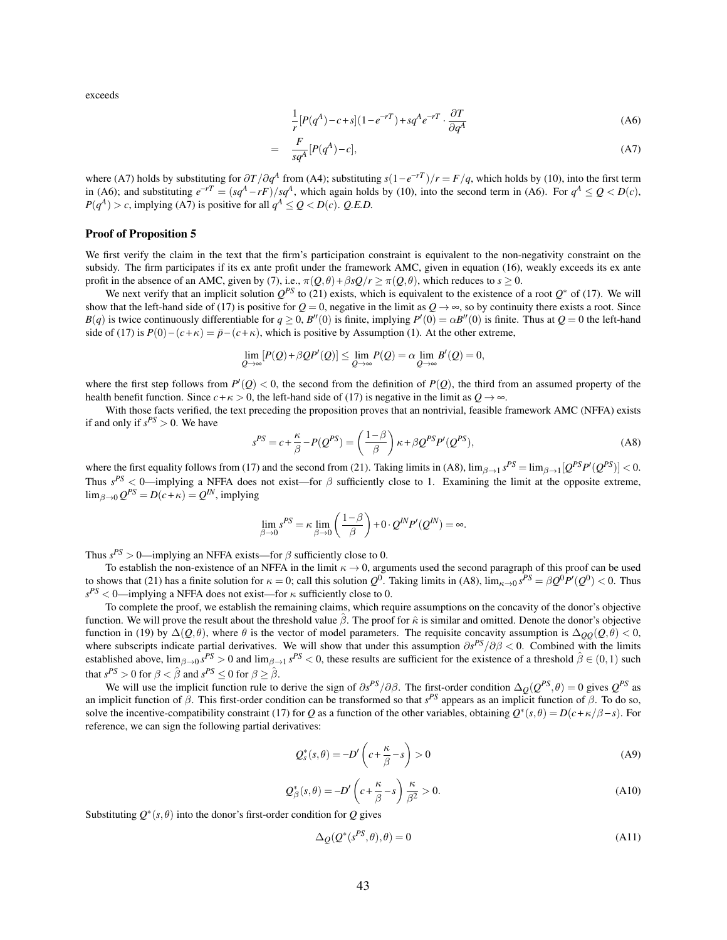exceeds

$$
\frac{1}{r}[P(q^A) - c + s](1 - e^{-rT}) + sq^A e^{-rT} \cdot \frac{\partial T}{\partial q^A}
$$
\n(A6)

$$
\frac{F}{sq^A}[P(q^A)-c],\tag{A7}
$$

where (A7) holds by substituting for  $\partial T/\partial q^A$  from (A4); substituting  $s(1 - e^{-rT})/r = F/q$ , which holds by (10), into the first term in (A6); and substituting  $e^{-rT} = (sq^A - rF)/sq^A$ , which again holds by (10), into the second term in (A6). For  $q^A \leq Q < D(c)$ ,  $P(q^A) > c$ , implying (A7) is positive for all  $q^A \le Q < D(c)$ . *Q.E.D.* 

=

#### Proof of Proposition 5

We first verify the claim in the text that the firm's participation constraint is equivalent to the non-negativity constraint on the subsidy. The firm participates if its ex ante profit under the framework AMC, given in equation (16), weakly exceeds its ex ante profit in the absence of an AMC, given by (7), i.e.,  $\pi(Q, \theta) + \beta sQ/r \ge \pi(Q, \theta)$ , which reduces to  $s \ge 0$ .

We next verify that an implicit solution  $Q^{PS}$  to (21) exists, which is equivalent to the existence of a root  $Q^*$  of (17). We will show that the left-hand side of (17) is positive for  $Q = 0$ , negative in the limit as  $Q \rightarrow \infty$ , so by continuity there exists a root. Since *B*(*q*) is twice continuously differentiable for  $q \ge 0$ , *B*<sup>*n*</sup>(0) is finite, implying *P*<sup>*i*</sup>(0) =  $\alpha$ *B*<sup>*n*</sup>(0) is finite. Thus at *Q* = 0 the left-hand side of (17) is  $P(0) - (c + \kappa) = \bar{p} - (c + \kappa)$ , which is positive by Assumption (1). At the other extreme,

$$
\lim_{Q\to\infty}[P(Q)+\beta Q P'(Q)]\leq \lim_{Q\to\infty}P(Q)=\alpha \lim_{Q\to\infty}B'(Q)=0,
$$

where the first step follows from  $P'(Q) < 0$ , the second from the definition of  $P(Q)$ , the third from an assumed property of the health benefit function. Since  $c + \kappa > 0$ , the left-hand side of (17) is negative in the limit as  $Q \rightarrow \infty$ .

With those facts verified, the text preceding the proposition proves that an nontrivial, feasible framework AMC (NFFA) exists if and only if  $s^{PS} > 0$ . We have

$$
s^{PS} = c + \frac{\kappa}{\beta} - P(Q^{PS}) = \left(\frac{1-\beta}{\beta}\right)\kappa + \beta Q^{PS} P'(Q^{PS}),\tag{A8}
$$

where the first equality follows from (17) and the second from (21). Taking limits in (A8),  $\lim_{\beta \to 1} s^{PS} = \lim_{\beta \to 1} [Q^{PS}P'(Q^{PS})] < 0$ . Thus  $s^{PS}$  < 0—implying a NFFA does not exist—for  $\beta$  sufficiently close to 1. Examining the limit at the opposite extreme,  $\lim_{\beta \to 0} Q^{PS} = D(c + \kappa) = Q^{IN}$ , implying

$$
\lim_{\beta \to 0} s^{PS} = \kappa \lim_{\beta \to 0} \left( \frac{1-\beta}{\beta} \right) + 0 \cdot Q^{IN} P'(Q^{IN}) = \infty.
$$

Thus  $s^{PS} > 0$ —implying an NFFA exists—for  $\beta$  sufficiently close to 0.

To establish the non-existence of an NFFA in the limit  $\kappa \to 0$ , arguments used the second paragraph of this proof can be used to shows that (21) has a finite solution for  $\kappa = 0$ ; call this solution  $Q^0$ . Taking limits in (A8),  $\lim_{\kappa \to 0} s^{PS} = \beta Q^0 P'(Q^0) < 0$ . Thus  $s^{PS}$  < 0—implying a NFFA does not exist—for  $\kappa$  sufficiently close to 0.

To complete the proof, we establish the remaining claims, which require assumptions on the concavity of the donor's objective function. We will prove the result about the threshold value  $\hat{\beta}$ . The proof for  $\hat{\kappa}$  is similar and omitted. Denote the donor's objective function in (19) by  $\Delta(Q,\theta)$ , where  $\theta$  is the vector of model parameters. The requisite concavity assumption is  $\Delta_{OO}(Q,\theta) < 0$ , where subscripts indicate partial derivatives. We will show that under this assumption ∂*s PS*/∂β < 0. Combined with the limits established above,  $\lim_{\beta \to 0} s^{PS} > 0$  and  $\lim_{\beta \to 1} s^{PS} < 0$ , these results are sufficient for the existence of a threshold  $\hat{\beta} \in (0,1)$  such that  $s^{PS} > 0$  for  $\beta < \hat{\beta}$  and  $s^{PS} \le 0$  for  $\beta \ge \hat{\beta}$ .

We will use the implicit function rule to derive the sign of  $\partial s^{PS}/\partial \beta$ . The first-order condition  $\Delta_{Q}(Q^{PS}, \theta) = 0$  gives  $Q^{PS}$  as an implicit function of  $\beta$ . This first-order condition can be transformed so that  $s^{PS}$  appears as an implicit function of  $\beta$ . To do so, solve the incentive-compatibility constraint (17) for *Q* as a function of the other variables, obtaining  $Q^*(s, \theta) = D(c + \kappa/\beta - s)$ . For reference, we can sign the following partial derivatives:

$$
Q_s^*(s,\theta) = -D'\left(c + \frac{\kappa}{\beta} - s\right) > 0\tag{A9}
$$

$$
Q_{\beta}^{*}(s,\theta) = -D'\left(c + \frac{\kappa}{\beta} - s\right) \frac{\kappa}{\beta^{2}} > 0.
$$
\n(A10)

Substituting  $Q^*(s, \theta)$  into the donor's first-order condition for Q gives

$$
\Delta_{\mathcal{Q}}(\mathcal{Q}^*(s^{PS}, \theta), \theta) = 0 \tag{A11}
$$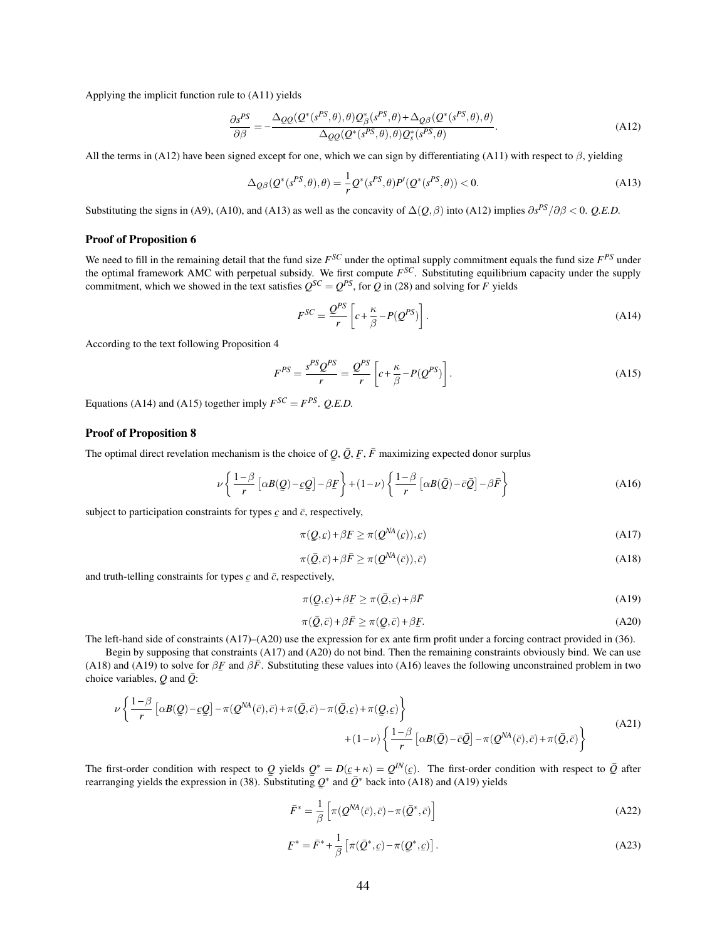Applying the implicit function rule to (A11) yields

$$
\frac{\partial s^{PS}}{\partial \beta} = -\frac{\Delta_{QQ}(Q^*(s^{PS}, \theta), \theta)Q^*_{\beta}(s^{PS}, \theta) + \Delta_{Q\beta}(Q^*(s^{PS}, \theta), \theta)}{\Delta_{QQ}(Q^*(s^{PS}, \theta), \theta)Q^*_s(s^{PS}, \theta)}.
$$
\n(A12)

All the terms in (A12) have been signed except for one, which we can sign by differentiating (A11) with respect to  $\beta$ , yielding

$$
\Delta_{Q\beta}(Q^*(s^{PS},\theta),\theta) = -\frac{1}{r}Q^*(s^{PS},\theta)P'(Q^*(s^{PS},\theta)) < 0. \tag{A13}
$$

Substituting the signs in (A9), (A10), and (A13) as well as the concavity of  $\Delta(Q, \beta)$  into (A12) implies  $\partial s^{PS}/\partial \beta < 0$ . *Q.E.D.* 

#### Proof of Proposition 6

We need to fill in the remaining detail that the fund size  $F^{SC}$  under the optimal supply commitment equals the fund size  $F^{PS}$  under the optimal framework AMC with perpetual subsidy. We first compute *F SC*. Substituting equilibrium capacity under the supply commitment, which we showed in the text satisfies  $Q^{SC} = Q^{PS}$ , for *Q* in (28) and solving for *F* yields

$$
F^{SC} = \frac{Q^{PS}}{r} \left[ c + \frac{\kappa}{\beta} - P(Q^{PS}) \right].
$$
 (A14)

According to the text following Proposition 4

$$
F^{PS} = \frac{s^{PS} Q^{PS}}{r} = \frac{Q^{PS}}{r} \left[ c + \frac{\kappa}{\beta} - P(Q^{PS}) \right].
$$
 (A15)

Equations (A14) and (A15) together imply  $F^{SC} = F^{PS}$ . *Q.E.D.* 

### Proof of Proposition 8

The optimal direct revelation mechanism is the choice of  $Q$ ,  $\overline{Q}$ ,  $\overline{F}$ ,  $\overline{F}$  maximizing expected donor surplus ¯

$$
\nu \left\{ \frac{1-\beta}{r} \left[ \alpha B(\mathcal{Q}) - \mathcal{L} \mathcal{Q} \right] - \beta \mathcal{F} \right\} + (1-\nu) \left\{ \frac{1-\beta}{r} \left[ \alpha B(\mathcal{Q}) - \bar{c} \mathcal{Q} \right] - \beta \bar{F} \right\} \tag{A16}
$$

subject to participation constraints for types  $\mathfrak c$  and  $\bar{\mathfrak c}$ , respectively,

$$
\pi(\underline{Q}, \underline{c}) + \beta \underline{F} \ge \pi(\underline{Q}^{NA}(\underline{c})), \underline{c}) \tag{A17}
$$

$$
\pi(\bar{Q}, \bar{c}) + \beta \bar{F} \ge \pi(Q^{NA}(\bar{c})), \bar{c})
$$
\n(A18)

and truth-telling constraints for types  $\mathcal{L}$  and  $\bar{c}$ , respectively,

$$
\pi(\underline{Q}, \underline{c}) + \beta \underline{F} \ge \pi(\overline{Q}, \underline{c}) + \beta \overline{F}
$$
\n(A19)

$$
\pi(\bar{Q}, \bar{c}) + \beta \bar{F} \ge \pi(Q, \bar{c}) + \beta \underline{F}.
$$
\n(A20)

The left-hand side of constraints (A17)–(A20) use the expression for ex ante firm profit under a forcing contract provided in (36).

Begin by supposing that constraints (A17) and (A20) do not bind. Then the remaining constraints obviously bind. We can use (A18) and (A19) to solve for  $\beta \vec{F}$  and  $\beta \vec{F}$ . Substituting these values into (A16) leaves the following unconstrained problem in two choice variables. Q and  $\vec{\theta}$ . choice variables,  $Q$  and  $\overline{Q}$ : ¯

$$
\nu \left\{ \frac{1-\beta}{r} \left[ \alpha B(\mathcal{Q}) - \underline{c}\mathcal{Q} \right] - \pi (\mathcal{Q}^{NA}(\bar{c}), \bar{c}) + \pi (\bar{\mathcal{Q}}, \bar{c}) - \pi (\bar{\mathcal{Q}}, \underline{c}) + \pi (\mathcal{Q}, \underline{c}) \right\} + (1-\nu) \left\{ \frac{1-\beta}{r} \left[ \alpha B(\bar{\mathcal{Q}}) - \bar{c}\bar{\mathcal{Q}} \right] - \pi (\mathcal{Q}^{NA}(\bar{c}), \bar{c}) + \pi (\bar{\mathcal{Q}}, \bar{c}) \right\}
$$
(A21)

The first-order condition with respect to Q yields  $Q^* = D(\underline{c} + \kappa) = Q^{\text{IN}}(\underline{c})$ . The first-order condition with respect to  $\overline{Q}$  after  $\frac{1}{2}$  rearranging yields the expression in (38). Substituting  $Q^*$  and  $\overline{Q}^*$  back into (A18) and (A19) yields ¯

$$
\bar{F}^* = \frac{1}{\beta} \left[ \pi(Q^{NA}(\bar{c}), \bar{c}) - \pi(\bar{Q}^*, \bar{c}) \right]
$$
(A22)

$$
F^* = \bar{F}^* + \frac{1}{\beta} \left[ \pi(\bar{Q}^*, c) - \pi(\underline{Q}^*, c) \right].
$$
 (A23)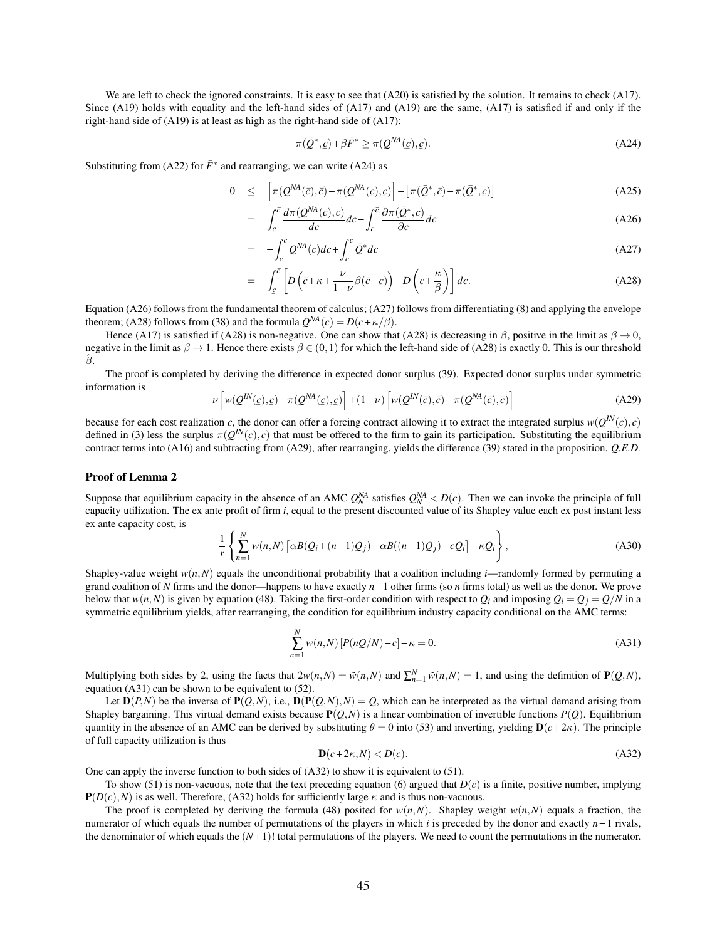We are left to check the ignored constraints. It is easy to see that (A20) is satisfied by the solution. It remains to check (A17). Since (A19) holds with equality and the left-hand sides of (A17) and (A19) are the same, (A17) is satisfied if and only if the right-hand side of (A19) is at least as high as the right-hand side of (A17):

$$
\pi(\bar{Q}^*, c) + \beta \bar{F}^* \ge \pi(Q^{NA}(c), c). \tag{A24}
$$

Substituting from (A22) for  $\bar{F}^*$  and rearranging, we can write (A24) as

$$
0 \leq \left[ \pi(Q^{NA}(\bar{c}), \bar{c}) - \pi(Q^{NA}(\underline{c}), \underline{c}) \right] - \left[ \pi(\bar{Q}^*, \bar{c}) - \pi(\bar{Q}^*, \underline{c}) \right] \tag{A25}
$$

$$
= \int_{\mathcal{E}}^{\overline{c}} \frac{d\pi(\mathcal{Q}^{M}(c), c)}{dc} dc - \int_{\mathcal{E}}^{\overline{c}} \frac{\partial \pi(\overline{\mathcal{Q}}^{*}, c)}{\partial c} dc \tag{A26}
$$

$$
= -\int_{c}^{\overline{c}} Q^{NA}(c)dc + \int_{c}^{\overline{c}} \overline{Q}^{*}dc \tag{A27}
$$

$$
= \int_{\mathcal{L}}^{\overline{c}} \left[ D \left( \overline{c} + \kappa + \frac{\nu}{1 - \nu} \beta (\overline{c} - \underline{c}) \right) - D \left( c + \frac{\kappa}{\beta} \right) \right] dc.
$$
 (A28)

Equation (A26) follows from the fundamental theorem of calculus; (A27) follows from differentiating (8) and applying the envelope theorem; (A28) follows from (38) and the formula  $Q^{NA}(c) = D(c + \kappa/\beta)$ .

Hence (A17) is satisfied if (A28) is non-negative. One can show that (A28) is decreasing in  $\beta$ , positive in the limit as  $\beta \to 0$ , negative in the limit as  $\beta \to 1$ . Hence there exists  $\beta \in (0,1)$  for which the left-hand side of (A28) is exactly 0. This is our threshold  $\hat{\beta}$ .

The proof is completed by deriving the difference in expected donor surplus (39). Expected donor surplus under symmetric information is

$$
\nu \left[ w(Q^{IN}(\varepsilon), \varepsilon) - \pi(Q^{NA}(\varepsilon), \varepsilon) \right] + (1 - \nu) \left[ w(Q^{IN}(\overline{c}), \overline{c}) - \pi(Q^{NA}(\overline{c}), \overline{c}) \right]
$$
(A29)

because for each cost realization *c*, the donor can offer a forcing contract allowing it to extract the integrated surplus  $w(Q^{IN}(c), c)$ defined in (3) less the surplus  $\pi(Q^{IN}(c), c)$  that must be offered to the firm to gain its participation. Substituting the equilibrium contract terms into (A16) and subtracting from (A29), after rearranging, yields the difference (39) stated in the proposition. *Q.E.D.*

#### Proof of Lemma 2

Suppose that equilibrium capacity in the absence of an AMC  $Q_N^{NA}$  satisfies  $Q_N^{NA} < D(c)$ . Then we can invoke the principle of full capacity utilization. The ex ante profit of firm *i*, equal to the present discounted value of its Shapley value each ex post instant less ex ante capacity cost, is

$$
\frac{1}{r}\left\{\sum_{n=1}^{N}w(n,N)\left[\alpha B(Q_i+(n-1)Q_j)-\alpha B((n-1)Q_j)-cQ_i\right]-\kappa Q_i\right\},\tag{A30}
$$

Shapley-value weight  $w(n, N)$  equals the unconditional probability that a coalition including *i*—randomly formed by permuting a grand coalition of *N* firms and the donor—happens to have exactly *n*−1 other firms (so *n* firms total) as well as the donor. We prove below that  $w(n, N)$  is given by equation (48). Taking the first-order condition with respect to  $Q_i$  and imposing  $Q_i = Q_j = Q/N$  in a symmetric equilibrium yields, after rearranging, the condition for equilibrium industry capacity conditional on the AMC terms:

$$
\sum_{n=1}^{N} w(n,N) \left[ P(nQ/N) - c \right] - \kappa = 0.
$$
\n(A31)

Multiplying both sides by 2, using the facts that  $2w(n,N) = \tilde{w}(n,N)$  and  $\sum_{n=1}^{N} \tilde{w}(n,N) = 1$ , and using the definition of  $P(Q, N)$ , equation (A31) can be shown to be equivalent to (52).

Let  $D(P, N)$  be the inverse of  $P(Q, N)$ , i.e.,  $D(P(Q, N), N) = Q$ , which can be interpreted as the virtual demand arising from Shapley bargaining. This virtual demand exists because  $P(O, N)$  is a linear combination of invertible functions  $P(O)$ . Equilibrium quantity in the absence of an AMC can be derived by substituting  $\theta = 0$  into (53) and inverting, yielding  $\mathbf{D}(c + 2\kappa)$ . The principle of full capacity utilization is thus

$$
\mathbf{D}(c+2\kappa, N) < D(c). \tag{A32}
$$

One can apply the inverse function to both sides of (A32) to show it is equivalent to (51).

To show (51) is non-vacuous, note that the text preceding equation (6) argued that  $D(c)$  is a finite, positive number, implying  $P(D(c),N)$  is as well. Therefore, (A32) holds for sufficiently large  $\kappa$  and is thus non-vacuous.

The proof is completed by deriving the formula (48) posited for  $w(n,N)$ . Shapley weight  $w(n,N)$  equals a fraction, the numerator of which equals the number of permutations of the players in which *i* is preceded by the donor and exactly *n* − 1 rivals, the denominator of which equals the  $(N+1)!$  total permutations of the players. We need to count the permutations in the numerator.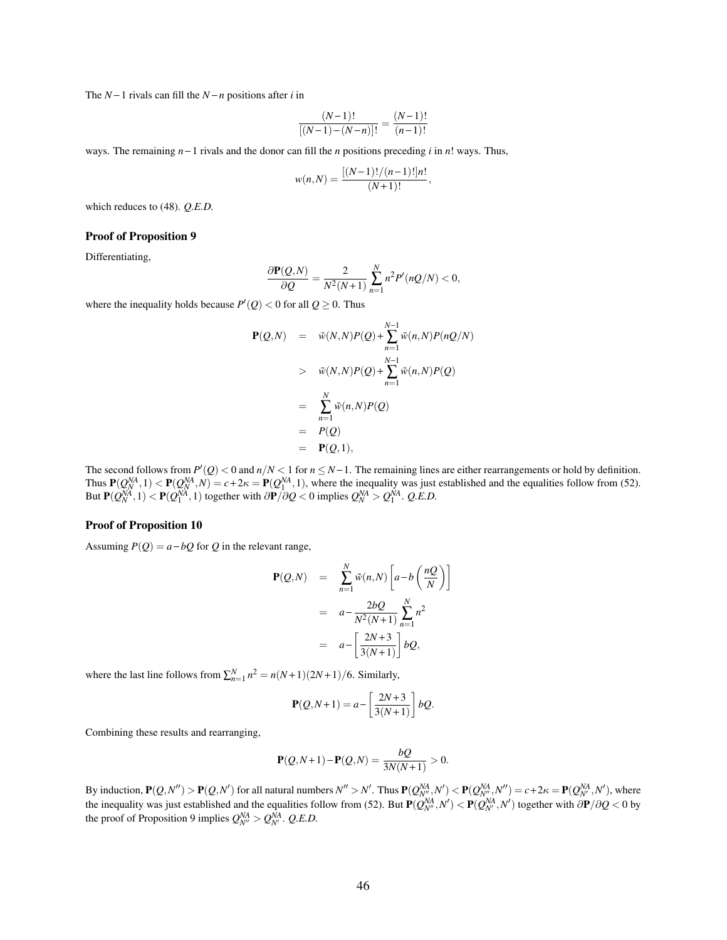The *N* − 1 rivals can fill the *N* − *n* positions after *i* in

$$
\frac{(N-1)!}{[(N-1)-(N-n)]!} = \frac{(N-1)!}{(n-1)!}
$$

ways. The remaining *n* − 1 rivals and the donor can fill the *n* positions preceding *i* in *n*! ways. Thus,

$$
w(n,N) = \frac{[(N-1)!/(n-1)!]n!}{(N+1)!}
$$

,

which reduces to (48). *Q.E.D.*

#### Proof of Proposition 9

Differentiating,

$$
\frac{\partial \mathbf{P}(Q,N)}{\partial Q} = \frac{2}{N^2(N+1)} \sum_{n=1}^N n^2 P'(nQ/N) < 0,
$$

where the inequality holds because  $P'(Q) < 0$  for all  $Q \ge 0$ . Thus

$$
\mathbf{P}(Q,N) = \tilde{w}(N,N)P(Q) + \sum_{n=1}^{N-1} \tilde{w}(n,N)P(nQ/N)
$$
  
>  $\tilde{w}(N,N)P(Q) + \sum_{n=1}^{N-1} \tilde{w}(n,N)P(Q)$   
=  $\sum_{n=1}^{N} \tilde{w}(n,N)P(Q)$   
=  $P(Q)$   
=  $\mathbf{P}(Q,1),$ 

The second follows from  $P'(Q) < 0$  and  $n/N < 1$  for  $n \le N-1$ . The remaining lines are either rearrangements or hold by definition. Thus  $P(Q_N^{NA}, 1) < P(Q_N^{NA}, N) = c + 2\kappa = P(Q_1^{NA}, 1)$ , where the inequality was just established and the equalities follow from (52). But  $P(Q_N^{NA}, 1) < P(Q_1^{NA}, 1)$  together with  $\partial P/\partial Q < 0$  implies  $Q_N^{NA} > Q_1^{NA}$ . *Q.E.D.* 

#### Proof of Proposition 10

Assuming  $P(Q) = a - bQ$  for *Q* in the relevant range,

$$
\mathbf{P}(Q,N) = \sum_{n=1}^{N} \tilde{w}(n,N) \left[ a - b \left( \frac{nQ}{N} \right) \right]
$$
  
=  $a - \frac{2bQ}{N^2(N+1)} \sum_{n=1}^{N} n^2$   
=  $a - \left[ \frac{2N+3}{3(N+1)} \right] bQ,$ 

where the last line follows from  $\sum_{n=1}^{N} n^2 = n(N+1)(2N+1)/6$ . Similarly,

$$
\mathbf{P}(Q, N+1) = a - \left[\frac{2N+3}{3(N+1)}\right]bQ.
$$

Combining these results and rearranging,

$$
\mathbf{P}(Q, N+1) - \mathbf{P}(Q, N) = \frac{bQ}{3N(N+1)} > 0.
$$

By induction,  $\mathbf{P}(Q, N'') > \mathbf{P}(Q, N')$  for all natural numbers  $N'' > N'$ . Thus  $\mathbf{P}(Q_{N''}^{NA}, N') < \mathbf{P}(Q_{N''}^{NA}, N'') = c + 2\kappa = \mathbf{P}(Q_{N'}^{NA}, N')$ , where the inequality was just established and the equalities follow from (52). But  $P(Q_{N'}^{NA}, N') < P(Q_{N'}^{NA}, N')$  together with  $\partial P/\partial Q < 0$  by the proof of Proposition 9 implies  $Q_{N}^{NA} > Q_{N}^{NA}$ . *Q.E.D.*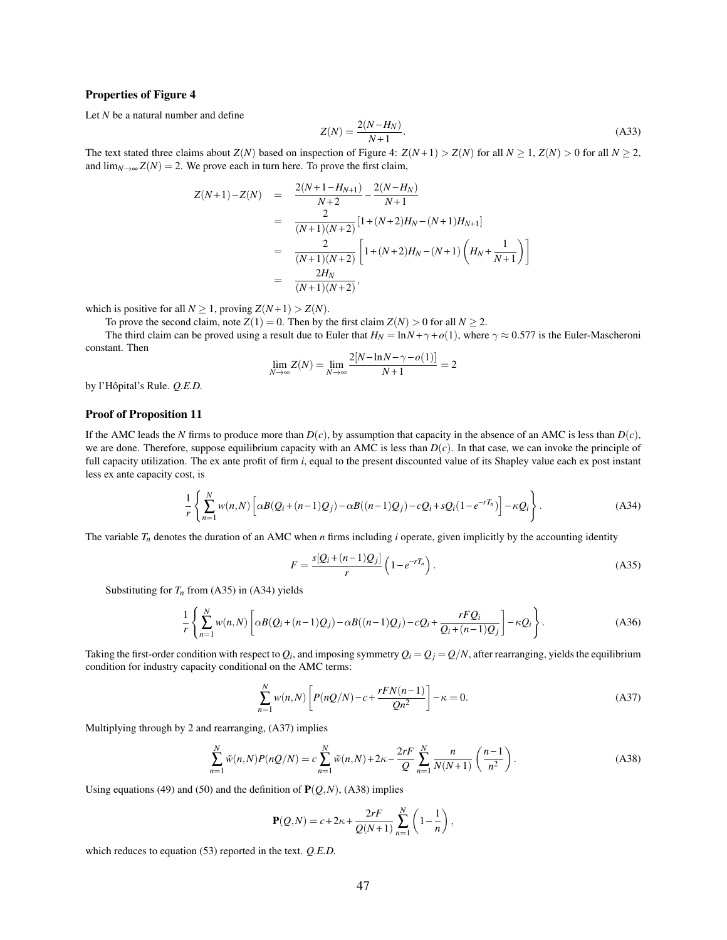#### Properties of Figure 4

Let *N* be a natural number and define

$$
Z(N) = \frac{2(N - H_N)}{N + 1}.
$$
\n(A33)

The text stated three claims about  $Z(N)$  based on inspection of Figure 4:  $Z(N+1) > Z(N)$  for all  $N > 1$ ,  $Z(N) > 0$  for all  $N > 2$ , and  $\lim_{N\to\infty} Z(N) = 2$ . We prove each in turn here. To prove the first claim,

$$
Z(N+1) - Z(N) = \frac{2(N+1-H_{N+1})}{N+2} - \frac{2(N-H_N)}{N+1}
$$
  
= 
$$
\frac{2}{(N+1)(N+2)} [1 + (N+2)H_N - (N+1)H_{N+1}]
$$
  
= 
$$
\frac{2}{(N+1)(N+2)} [1 + (N+2)H_N - (N+1)H_{N+1}]
$$
  
= 
$$
\frac{2H_N}{(N+1)(N+2)},
$$

which is positive for all  $N \ge 1$ , proving  $Z(N+1) > Z(N)$ .

To prove the second claim, note  $Z(1) = 0$ . Then by the first claim  $Z(N) > 0$  for all  $N \ge 2$ .

The third claim can be proved using a result due to Euler that  $H_N = \ln N + \gamma + o(1)$ , where  $\gamma \approx 0.577$  is the Euler-Mascheroni constant. Then

$$
\lim_{N \to \infty} Z(N) = \lim_{N \to \infty} \frac{2[N - \ln N - \gamma - o(1)]}{N + 1} = 2
$$

by l'Hôpital's Rule. *Q.E.D.*

#### Proof of Proposition 11

If the AMC leads the *N* firms to produce more than  $D(c)$ , by assumption that capacity in the absence of an AMC is less than  $D(c)$ , we are done. Therefore, suppose equilibrium capacity with an AMC is less than  $D(c)$ . In that case, we can invoke the principle of full capacity utilization. The ex ante profit of firm *i*, equal to the present discounted value of its Shapley value each ex post instant less ex ante capacity cost, is

$$
\frac{1}{r}\left\{\sum_{n=1}^{N}w(n,N)\left[\alpha B(Q_i+(n-1)Q_j)-\alpha B((n-1)Q_j)-cQ_i+sQ_i(1-e^{-rT_n})\right]-\kappa Q_i\right\}.
$$
\n(A34)

The variable  $T_n$  denotes the duration of an AMC when *n* firms including *i* operate, given implicitly by the accounting identity

$$
F = \frac{s[Q_i + (n-1)Q_j]}{r} \left(1 - e^{-rT_n}\right).
$$
 (A35)

Substituting for  $T<sub>n</sub>$  from (A35) in (A34) yields

$$
\frac{1}{r}\left\{\sum_{n=1}^{N}w(n,N)\left[\alpha B(Q_i+(n-1)Q_j)-\alpha B((n-1)Q_j)-cQ_i+\frac{rFQ_i}{Q_i+(n-1)Q_j}\right]-\kappa Q_i\right\}.
$$
\n(A36)

Taking the first-order condition with respect to  $Q_i$ , and imposing symmetry  $Q_i=Q_j=Q/N$ , after rearranging, yields the equilibrium condition for industry capacity conditional on the AMC terms:

$$
\sum_{n=1}^{N} w(n,N) \left[ P(nQ/N) - c + \frac{rFN(n-1)}{Qn^2} \right] - \kappa = 0.
$$
 (A37)

Multiplying through by 2 and rearranging, (A37) implies

$$
\sum_{n=1}^{N} \tilde{w}(n,N)P(nQ/N) = c \sum_{n=1}^{N} \tilde{w}(n,N) + 2\kappa - \frac{2rF}{Q} \sum_{n=1}^{N} \frac{n}{N(N+1)} \left(\frac{n-1}{n^2}\right).
$$
 (A38)

Using equations (49) and (50) and the definition of  $P(Q,N)$ , (A38) implies

$$
\mathbf{P}(Q,N) = c + 2\kappa + \frac{2rF}{Q(N+1)} \sum_{n=1}^{N} \left(1 - \frac{1}{n}\right),
$$

which reduces to equation (53) reported in the text. *Q.E.D.*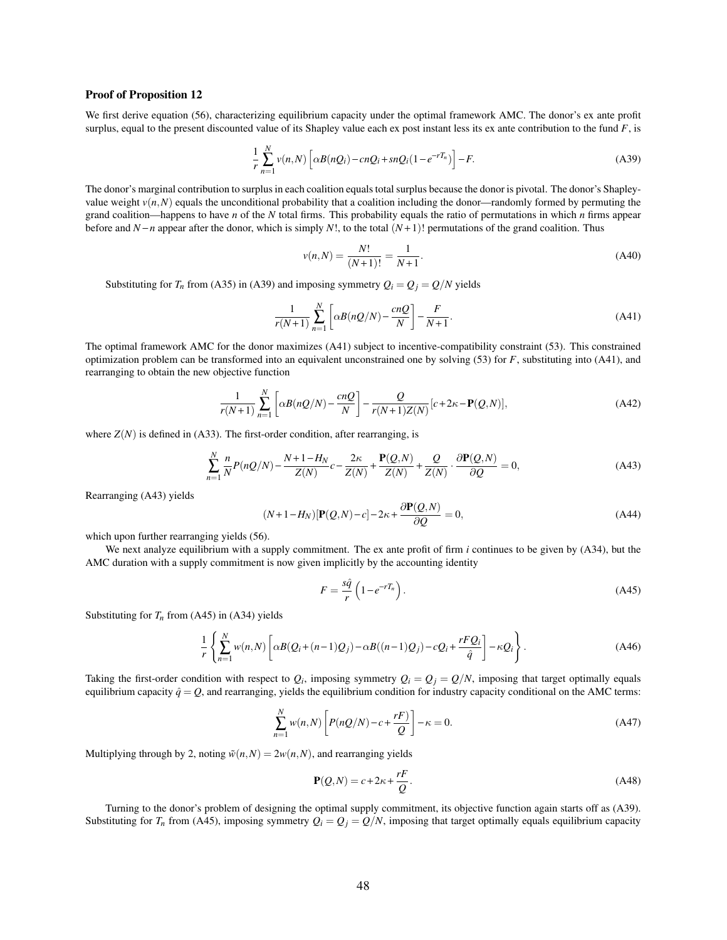#### Proof of Proposition 12

We first derive equation (56), characterizing equilibrium capacity under the optimal framework AMC. The donor's ex ante profit surplus, equal to the present discounted value of its Shapley value each ex post instant less its ex ante contribution to the fund *F*, is

$$
\frac{1}{r}\sum_{n=1}^{N}v(n,N)\left[\alpha B(nQ_i)-cnQ_i+snQ_i(1-e^{-rT_n})\right]-F.
$$
\n(A39)

The donor's marginal contribution to surplus in each coalition equals total surplus because the donor is pivotal. The donor's Shapleyvalue weight  $v(n, N)$  equals the unconditional probability that a coalition including the donor—randomly formed by permuting the grand coalition—happens to have *n* of the *N* total firms. This probability equals the ratio of permutations in which *n* firms appear before and  $N - n$  appear after the donor, which is simply  $N!$ , to the total  $(N + 1)!$  permutations of the grand coalition. Thus

$$
v(n,N) = \frac{N!}{(N+1)!} = \frac{1}{N+1}.
$$
\n(A40)

Substituting for  $T_n$  from (A35) in (A39) and imposing symmetry  $Q_i = Q_j = Q/N$  yields

$$
\frac{1}{r(N+1)}\sum_{n=1}^{N}\left[\alpha B(nQ/N)-\frac{cnQ}{N}\right]-\frac{F}{N+1}.\tag{A41}
$$

The optimal framework AMC for the donor maximizes (A41) subject to incentive-compatibility constraint (53). This constrained optimization problem can be transformed into an equivalent unconstrained one by solving (53) for *F*, substituting into (A41), and rearranging to obtain the new objective function

$$
\frac{1}{r(N+1)}\sum_{n=1}^{N}\left[\alpha B(nQ/N)-\frac{cnQ}{N}\right]-\frac{Q}{r(N+1)Z(N)}[c+2\kappa-\mathbf{P}(Q,N)],\tag{A42}
$$

where  $Z(N)$  is defined in (A33). The first-order condition, after rearranging, is

$$
\sum_{n=1}^{N} \frac{n}{N} P(nQ/N) - \frac{N+1-H_N}{Z(N)} c - \frac{2\kappa}{Z(N)} + \frac{\mathbf{P}(Q,N)}{Z(N)} + \frac{Q}{Z(N)} \cdot \frac{\partial \mathbf{P}(Q,N)}{\partial Q} = 0,
$$
\n(A43)

Rearranging (A43) yields

$$
(N+1-H_N)[\mathbf{P}(Q,N)-c]-2\kappa+\frac{\partial \mathbf{P}(Q,N)}{\partial Q}=0,
$$
\n(A44)

which upon further rearranging yields  $(56)$ .

We next analyze equilibrium with a supply commitment. The ex ante profit of firm *i* continues to be given by (A34), but the AMC duration with a supply commitment is now given implicitly by the accounting identity

$$
F = \frac{s\hat{q}}{r} \left( 1 - e^{-rT_n} \right). \tag{A45}
$$

Substituting for  $T<sub>n</sub>$  from (A45) in (A34) yields

$$
\frac{1}{r}\left\{\sum_{n=1}^{N}w(n,N)\left[\alpha B(Q_i+(n-1)Q_j)-\alpha B((n-1)Q_j)-cQ_i+\frac{rFQ_i}{\hat{q}}\right]-\kappa Q_i\right\}.
$$
\n(A46)

Taking the first-order condition with respect to  $Q_i$ , imposing symmetry  $Q_i = Q_j = Q/N$ , imposing that target optimally equals equilibrium capacity  $\hat{q} = Q$ , and rearranging, yields the equilibrium condition for industry capacity conditional on the AMC terms:

$$
\sum_{n=1}^{N} w(n,N) \left[ P(nQ/N) - c + \frac{rF}{Q} \right] - \kappa = 0.
$$
\n(A47)

Multiplying through by 2, noting  $\tilde{w}(n,N) = 2w(n,N)$ , and rearranging yields

$$
\mathbf{P}(Q,N) = c + 2\kappa + \frac{rF}{Q}.
$$
\n(A48)

Turning to the donor's problem of designing the optimal supply commitment, its objective function again starts off as (A39). Substituting for  $T_n$  from (A45), imposing symmetry  $Q_i = Q_j = Q/N$ , imposing that target optimally equals equilibrium capacity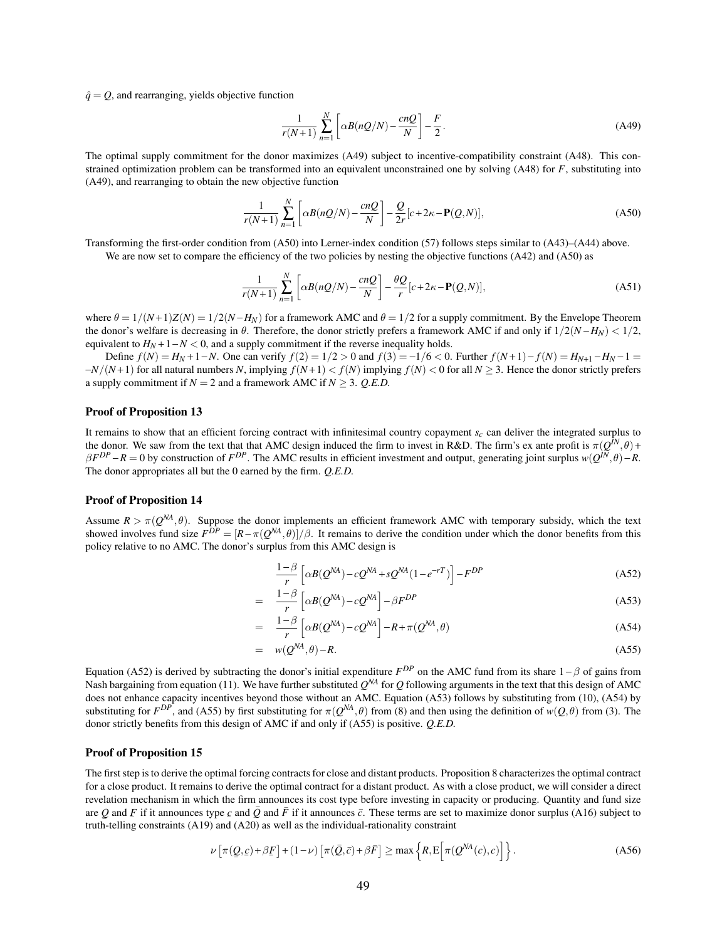$\hat{q} = Q$ , and rearranging, yields objective function

$$
\frac{1}{r(N+1)}\sum_{n=1}^{N}\left[\alpha B(nQ/N)-\frac{cnQ}{N}\right]-\frac{F}{2}.
$$
\n(A49)

The optimal supply commitment for the donor maximizes (A49) subject to incentive-compatibility constraint (A48). This constrained optimization problem can be transformed into an equivalent unconstrained one by solving (A48) for *F*, substituting into (A49), and rearranging to obtain the new objective function

$$
\frac{1}{r(N+1)}\sum_{n=1}^{N}\left[\alpha B(nQ/N)-\frac{cnQ}{N}\right]-\frac{Q}{2r}[c+2\kappa-\mathbf{P}(Q,N)],\tag{A50}
$$

Transforming the first-order condition from (A50) into Lerner-index condition (57) follows steps similar to (A43)–(A44) above. We are now set to compare the efficiency of the two policies by nesting the objective functions (A42) and (A50) as

$$
\frac{1}{r(N+1)}\sum_{n=1}^{N}\left[\alpha B(nQ/N)-\frac{cnQ}{N}\right]-\frac{\theta Q}{r}[c+2\kappa-\mathbf{P}(Q,N)],\tag{A51}
$$

where  $\theta = 1/(N+1)Z(N) = 1/2(N - H_N)$  for a framework AMC and  $\theta = 1/2$  for a supply commitment. By the Envelope Theorem the donor's welfare is decreasing in  $\theta$ . Therefore, the donor strictly prefers a framework AMC if and only if  $1/2(N - H_N) < 1/2$ , equivalent to  $H_N + 1 - N < 0$ , and a supply commitment if the reverse inequality holds.

Define  $f(N) = H_N + 1 - N$ . One can verify  $f(2) = 1/2 > 0$  and  $f(3) = -1/6 < 0$ . Further  $f(N+1) - f(N) = H_{N+1} - H_N - 1 =$ −*N*/(*N* +1) for all natural numbers *N*, implying *f*(*N* +1) < *f*(*N*) implying *f*(*N*) < 0 for all *N* ≥ 3. Hence the donor strictly prefers a supply commitment if  $N = 2$  and a framework AMC if  $N > 3$ . *Q.E.D.* 

#### Proof of Proposition 13

It remains to show that an efficient forcing contract with infinitesimal country copayment *sc* can deliver the integrated surplus to the donor. We saw from the text that that AMC design induced the firm to invest in R&D. The firm's ex ante profit is  $\pi(Q^N, \theta)$  +  $\beta F^{DP} - R = 0$  by construction of  $F^{DP}$ . The AMC results in efficient investment and output, generating joint surplus  $w(Q^{IN}, \theta) - R$ . The donor appropriates all but the 0 earned by the firm. *Q.E.D.*

#### Proof of Proposition 14

Assume  $R > \pi(Q^{NA}, \theta)$ . Suppose the donor implements an efficient framework AMC with temporary subsidy, which the text showed involves fund size  $F^{DP} = [R - \pi(Q^{NA}, \theta)]/\beta$ . It remains to derive the condition under which the donor benefits from this policy relative to no AMC. The donor's surplus from this AMC design is

$$
\frac{1-\beta}{r} \left[ \alpha B(Q^{NA}) - cQ^{NA} + sQ^{NA} (1 - e^{-rT}) \right] - F^{DP}
$$
\n(A52)

$$
= \frac{1-\beta}{r} \left[ \alpha B(Q^{NA}) - cQ^{NA} \right] - \beta F^{DP} \tag{A53}
$$

$$
= \frac{1-\beta}{r} \left[ \alpha B(Q^{NA}) - cQ^{NA} \right] - R + \pi (Q^{NA}, \theta) \tag{A54}
$$

$$
= w(Q^{NA}, \theta) - R. \tag{A55}
$$

Equation (A52) is derived by subtracting the donor's initial expenditure  $F^{DP}$  on the AMC fund from its share  $1-\beta$  of gains from Nash bargaining from equation (11). We have further substituted  $Q^{NA}$  for  $Q$  following arguments in the text that this design of AMC does not enhance capacity incentives beyond those without an AMC. Equation (A53) follows by substituting from (10), (A54) by substituting for  $F^{DP}$ , and (A55) by first substituting for  $\pi(Q^{NA}, \theta)$  from (8) and then using the definition of  $w(Q, \theta)$  from (3). The donor strictly benefits from this design of AMC if and only if (A55) is positive. *Q.E.D.*

#### Proof of Proposition 15

The first step is to derive the optimal forcing contracts for close and distant products. Proposition 8 characterizes the optimal contract for a close product. It remains to derive the optimal contract for a distant product. As with a close product, we will consider a direct revelation mechanism in which the firm announces its cost type before investing in capacity or producing. Quantity and fund size are Q and F if it announces type c and  $\bar{Q}$  and  $\bar{F}$  if it announces  $\bar{c}$ . These terms are set to maximize donor surplus (A16) subject to  $\frac{1}{2}$  and  $\frac{1}{2}$  in a uniformless type  $\frac{1}{2}$  and  $\frac{1}{2}$  and  $\frac{1}{2}$  in a uniformless c. These terms are set a<br>truth-telling constraints (A19) and (A20) as well as the individual-rationality constraint

$$
\nu \left[ \pi(\underline{Q}, c) + \beta \underline{F} \right] + (1 - \nu) \left[ \pi(\bar{Q}, \bar{c}) + \beta \bar{F} \right] \ge \max \left\{ R, E \left[ \pi(Q^{NA}(c), c) \right] \right\}.
$$
 (A56)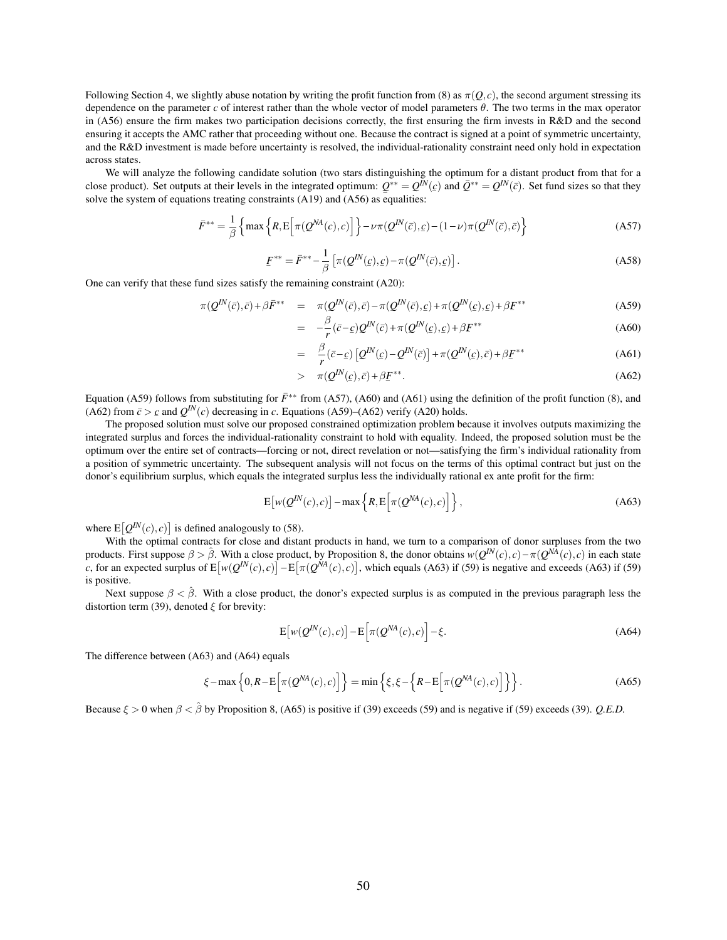Following Section 4, we slightly abuse notation by writing the profit function from (8) as  $\pi(Q, c)$ , the second argument stressing its dependence on the parameter *c* of interest rather than the whole vector of model parameters θ. The two terms in the max operator in (A56) ensure the firm makes two participation decisions correctly, the first ensuring the firm invests in R&D and the second ensuring it accepts the AMC rather that proceeding without one. Because the contract is signed at a point of symmetric uncertainty, and the R&D investment is made before uncertainty is resolved, the individual-rationality constraint need only hold in expectation across states.

We will analyze the following candidate solution (two stars distinguishing the optimum for a distant product from that for a close product). Set outputs at their levels in the integrated optimum:  $Q^{**} = Q^{\bar{I}N}(\epsilon)$  and  $\bar{Q}^{**} = Q^{\bar{I}N}(\bar{\epsilon})$ . Set fund sizes so that they solve the system of equations treating constraints (A19) and (A56) as equalities:

$$
\bar{F}^{**} = \frac{1}{\beta} \left\{ \max \left\{ R, E \left[ \pi(Q^{NA}(c), c) \right] \right\} - \nu \pi(Q^{IN}(\bar{c}), \underline{c}) - (1 - \nu) \pi(Q^{IN}(\bar{c}), \bar{c}) \right\}
$$
(A57)

$$
F^{**} = \bar{F}^{**} - \frac{1}{\beta} \left[ \pi(Q^{IN}(\underline{c}), \underline{c}) - \pi(Q^{IN}(\overline{c}), \underline{c}) \right].
$$
 (A58)

One can verify that these fund sizes satisfy the remaining constraint (A20):

$$
\pi(Q^{IN}(\bar{c}), \bar{c}) + \beta \bar{F}^{**} = \pi(Q^{IN}(\bar{c}), \bar{c}) - \pi(Q^{IN}(\bar{c}), c) + \pi(Q^{IN}(\bar{c}), c) + \beta \underline{F}^{**}
$$
\n(A59)

$$
= -\frac{\beta}{r} (\bar{c} - \underline{c}) Q^N(\bar{c}) + \pi (Q^N(\underline{c}), \underline{c}) + \beta E^{**}
$$
\n(A60)

$$
= \frac{\beta}{r} (\bar{c}-c) \left[ \mathcal{Q}^{IN}(\bar{c}) - \mathcal{Q}^{IN}(\bar{c}) \right] + \pi (\mathcal{Q}^{IN}(\bar{c}), \bar{c}) + \beta F^{**}
$$
\n(A61)

$$
> \pi(Q^{IN}(\mathcal{C}), \bar{\mathcal{C}}) + \beta \underline{F}^{**}.
$$
 (A62)

Equation (A59) follows from substituting for  $\bar{F}^{**}$  from (A57), (A60) and (A61) using the definition of the profit function (8), and (A62) from  $\bar{c} > \underline{c}$  and  $Q^{IN}(c)$  decreasing in *c*. Equations (A59)–(A62) verify (A20) holds.

The proposed solution must solve our proposed constrained optimization problem because it involves outputs maximizing the integrated surplus and forces the individual-rationality constraint to hold with equality. Indeed, the proposed solution must be the optimum over the entire set of contracts—forcing or not, direct revelation or not—satisfying the firm's individual rationality from a position of symmetric uncertainty. The subsequent analysis will not focus on the terms of this optimal contract but just on the donor's equilibrium surplus, which equals the integrated surplus less the individually rational ex ante profit for the firm:

$$
E\big[w(Q^{IN}(c),c)\big]-\max\left\{R,E\big[\pi(Q^{NA}(c),c)\big]\right\},\tag{A63}
$$

where  $E[Q^{IN}(c), c]$  is defined analogously to (58).

With the optimal contracts for close and distant products in hand, we turn to a comparison of donor surpluses from the two products. First suppose  $\beta > \hat{\beta}$ . With a close product, by Proposition 8, the donor obtains  $w(Q^{IN}(c), c) - \pi(Q^{N\hat{A}}(c), c)$  in each state *c*, for an expected surplus of  $E[w(Q^{I N}(c), c)] - E[\pi(Q^{N A}(c), c)]$ , which equals (A63) if (59) is negative and exceeds (A63) if (59) is positive.

Next suppose  $\beta < \hat{\beta}$ . With a close product, the donor's expected surplus is as computed in the previous paragraph less the distortion term (39), denoted  $\xi$  for brevity:

$$
E\big[w(Q^{IN}(c),c)\big]-E\big[\pi(Q^{NA}(c),c)\big]-\xi.
$$
\n(A64)

The difference between (A63) and (A64) equals

$$
\xi - \max\left\{0, R - \mathbb{E}\left[\pi(Q^{NA}(c), c)\right]\right\} = \min\left\{\xi, \xi - \left\{R - \mathbb{E}\left[\pi(Q^{NA}(c), c)\right]\right\}\right\}.
$$
 (A65)

Because  $\xi > 0$  when  $\beta < \hat{\beta}$  by Proposition 8, (A65) is positive if (39) exceeds (59) and is negative if (59) exceeds (39). *Q.E.D.*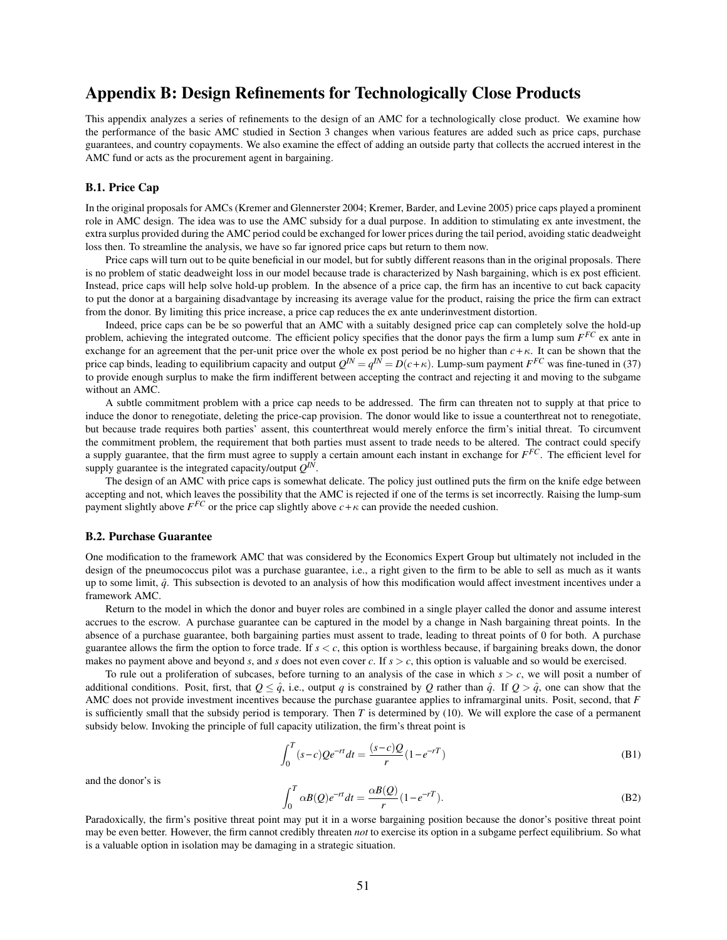# Appendix B: Design Refinements for Technologically Close Products

This appendix analyzes a series of refinements to the design of an AMC for a technologically close product. We examine how the performance of the basic AMC studied in Section 3 changes when various features are added such as price caps, purchase guarantees, and country copayments. We also examine the effect of adding an outside party that collects the accrued interest in the AMC fund or acts as the procurement agent in bargaining.

#### B.1. Price Cap

In the original proposals for AMCs (Kremer and Glennerster 2004; Kremer, Barder, and Levine 2005) price caps played a prominent role in AMC design. The idea was to use the AMC subsidy for a dual purpose. In addition to stimulating ex ante investment, the extra surplus provided during the AMC period could be exchanged for lower prices during the tail period, avoiding static deadweight loss then. To streamline the analysis, we have so far ignored price caps but return to them now.

Price caps will turn out to be quite beneficial in our model, but for subtly different reasons than in the original proposals. There is no problem of static deadweight loss in our model because trade is characterized by Nash bargaining, which is ex post efficient. Instead, price caps will help solve hold-up problem. In the absence of a price cap, the firm has an incentive to cut back capacity to put the donor at a bargaining disadvantage by increasing its average value for the product, raising the price the firm can extract from the donor. By limiting this price increase, a price cap reduces the ex ante underinvestment distortion.

Indeed, price caps can be be so powerful that an AMC with a suitably designed price cap can completely solve the hold-up problem, achieving the integrated outcome. The efficient policy specifies that the donor pays the firm a lump sum *F FC* ex ante in exchange for an agreement that the per-unit price over the whole ex post period be no higher than  $c + \kappa$ . It can be shown that the price cap binds, leading to equilibrium capacity and output  $Q^{IN} = q^{IN} = D(c+\kappa)$ . Lump-sum payment  $F^{FC}$  was fine-tuned in (37) to provide enough surplus to make the firm indifferent between accepting the contract and rejecting it and moving to the subgame without an AMC.

A subtle commitment problem with a price cap needs to be addressed. The firm can threaten not to supply at that price to induce the donor to renegotiate, deleting the price-cap provision. The donor would like to issue a counterthreat not to renegotiate, but because trade requires both parties' assent, this counterthreat would merely enforce the firm's initial threat. To circumvent the commitment problem, the requirement that both parties must assent to trade needs to be altered. The contract could specify a supply guarantee, that the firm must agree to supply a certain amount each instant in exchange for *F FC*. The efficient level for supply guarantee is the integrated capacity/output  $Q^{IN}$ .

The design of an AMC with price caps is somewhat delicate. The policy just outlined puts the firm on the knife edge between accepting and not, which leaves the possibility that the AMC is rejected if one of the terms is set incorrectly. Raising the lump-sum payment slightly above  $F^{FC}$  or the price cap slightly above  $c + \kappa$  can provide the needed cushion.

#### B.2. Purchase Guarantee

One modification to the framework AMC that was considered by the Economics Expert Group but ultimately not included in the design of the pneumococcus pilot was a purchase guarantee, i.e., a right given to the firm to be able to sell as much as it wants up to some limit, *q*ˆ. This subsection is devoted to an analysis of how this modification would affect investment incentives under a framework AMC.

Return to the model in which the donor and buyer roles are combined in a single player called the donor and assume interest accrues to the escrow. A purchase guarantee can be captured in the model by a change in Nash bargaining threat points. In the absence of a purchase guarantee, both bargaining parties must assent to trade, leading to threat points of 0 for both. A purchase guarantee allows the firm the option to force trade. If  $s < c$ , this option is worthless because, if bargaining breaks down, the donor makes no payment above and beyond *s*, and *s* does not even cover *c*. If  $s > c$ , this option is valuable and so would be exercised.

To rule out a proliferation of subcases, before turning to an analysis of the case in which  $s > c$ , we will posit a number of additional conditions. Posit, first, that  $Q \leq \hat{q}$ , i.e., output *q* is constrained by *Q* rather than  $\hat{q}$ . If  $Q > \hat{q}$ , one can show that the AMC does not provide investment incentives because the purchase guarantee applies to inframarginal units. Posit, second, that *F* is sufficiently small that the subsidy period is temporary. Then  $T$  is determined by (10). We will explore the case of a permanent subsidy below. Invoking the principle of full capacity utilization, the firm's threat point is

$$
\int_0^T (s-c)Qe^{-rt}dt = \frac{(s-c)Q}{r}(1-e^{-rT})
$$
\n(B1)

and the donor's is

$$
\int_0^T \alpha B(Q)e^{-rt}dt = \frac{\alpha B(Q)}{r}(1 - e^{-rT}).
$$
\n(B2)

Paradoxically, the firm's positive threat point may put it in a worse bargaining position because the donor's positive threat point may be even better. However, the firm cannot credibly threaten *not* to exercise its option in a subgame perfect equilibrium. So what is a valuable option in isolation may be damaging in a strategic situation.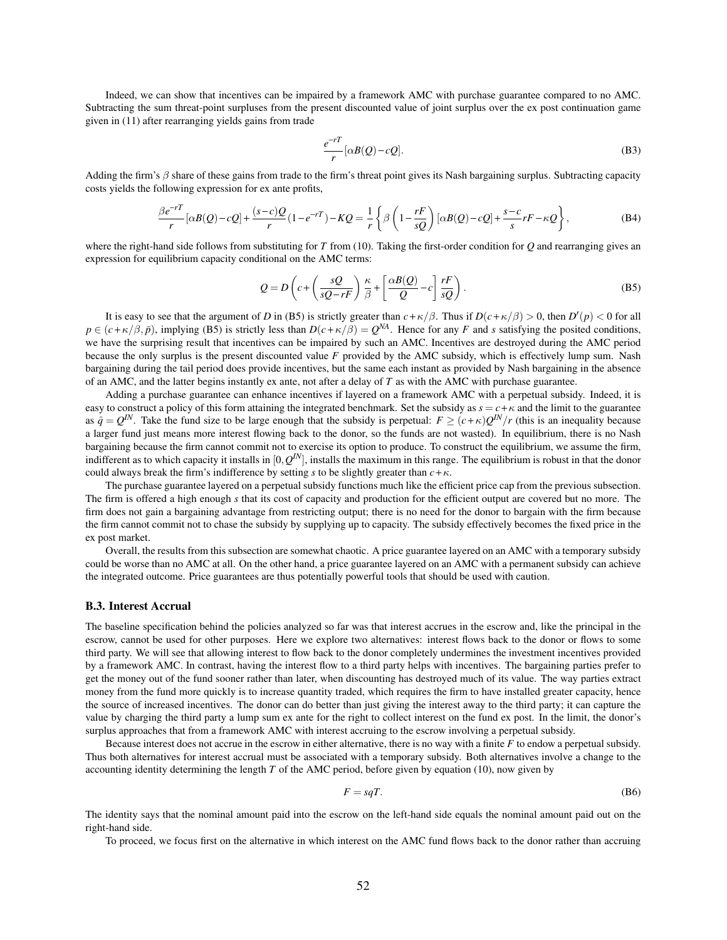Indeed, we can show that incentives can be impaired by a framework AMC with purchase guarantee compared to no AMC. Subtracting the sum threat-point surpluses from the present discounted value of joint surplus over the ex post continuation game given in (11) after rearranging yields gains from trade

$$
\frac{e^{-rT}}{r}[\alpha B(Q) - cQ].
$$
 (B3)

Adding the firm's  $\beta$  share of these gains from trade to the firm's threat point gives its Nash bargaining surplus. Subtracting capacity costs yields the following expression for ex ante profits,

$$
\frac{\beta e^{-rT}}{r} [\alpha B(Q) - cQ] + \frac{(s-c)Q}{r} (1 - e^{-rT}) - KQ = \frac{1}{r} \left\{ \beta \left( 1 - \frac{rF}{sQ} \right) [\alpha B(Q) - cQ] + \frac{s-c}{s} rF - \kappa Q \right\},\tag{B4}
$$

where the right-hand side follows from substituting for *T* from (10). Taking the first-order condition for *Q* and rearranging gives an expression for equilibrium capacity conditional on the AMC terms:

$$
Q = D\left(c + \left(\frac{sQ}{sQ - rF}\right)\frac{\kappa}{\beta} + \left[\frac{\alpha B(Q)}{Q} - c\right]\frac{rF}{sQ}\right).
$$
 (B5)

It is easy to see that the argument of *D* in (B5) is strictly greater than  $c + \kappa/\beta$ . Thus if  $D(c + \kappa/\beta) > 0$ , then  $D'(p) < 0$  for all  $p \in (c + \kappa/\beta, \bar{p})$ , implying (B5) is strictly less than  $D(c + \kappa/\beta) = Q^{NA}$ . Hence for any *F* and *s* satisfying the posited conditions, we have the surprising result that incentives can be impaired by such an AMC. Incentives are destroyed during the AMC period because the only surplus is the present discounted value *F* provided by the AMC subsidy, which is effectively lump sum. Nash bargaining during the tail period does provide incentives, but the same each instant as provided by Nash bargaining in the absence of an AMC, and the latter begins instantly ex ante, not after a delay of *T* as with the AMC with purchase guarantee.

Adding a purchase guarantee can enhance incentives if layered on a framework AMC with a perpetual subsidy. Indeed, it is easy to construct a policy of this form attaining the integrated benchmark. Set the subsidy as  $s = c + \kappa$  and the limit to the guarantee as  $\hat{q} = Q^N$ . Take the fund size to be large enough that the subsidy is perpetual:  $F \ge (c + \kappa)Q^N/r$  (this is an inequality because a larger fund just means more interest flowing back to the donor, so the funds are not wasted). In equilibrium, there is no Nash bargaining because the firm cannot commit not to exercise its option to produce. To construct the equilibrium, we assume the firm, indifferent as to which capacity it installs in  $[0,Q^{IN}]$ , installs the maximum in this range. The equilibrium is robust in that the donor could always break the firm's indifference by setting *s* to be slightly greater than  $c + \kappa$ .

The purchase guarantee layered on a perpetual subsidy functions much like the efficient price cap from the previous subsection. The firm is offered a high enough *s* that its cost of capacity and production for the efficient output are covered but no more. The firm does not gain a bargaining advantage from restricting output; there is no need for the donor to bargain with the firm because the firm cannot commit not to chase the subsidy by supplying up to capacity. The subsidy effectively becomes the fixed price in the ex post market.

Overall, the results from this subsection are somewhat chaotic. A price guarantee layered on an AMC with a temporary subsidy could be worse than no AMC at all. On the other hand, a price guarantee layered on an AMC with a permanent subsidy can achieve the integrated outcome. Price guarantees are thus potentially powerful tools that should be used with caution.

#### B.3. Interest Accrual

The baseline specification behind the policies analyzed so far was that interest accrues in the escrow and, like the principal in the escrow, cannot be used for other purposes. Here we explore two alternatives: interest flows back to the donor or flows to some third party. We will see that allowing interest to flow back to the donor completely undermines the investment incentives provided by a framework AMC. In contrast, having the interest flow to a third party helps with incentives. The bargaining parties prefer to get the money out of the fund sooner rather than later, when discounting has destroyed much of its value. The way parties extract money from the fund more quickly is to increase quantity traded, which requires the firm to have installed greater capacity, hence the source of increased incentives. The donor can do better than just giving the interest away to the third party; it can capture the value by charging the third party a lump sum ex ante for the right to collect interest on the fund ex post. In the limit, the donor's surplus approaches that from a framework AMC with interest accruing to the escrow involving a perpetual subsidy.

Because interest does not accrue in the escrow in either alternative, there is no way with a finite *F* to endow a perpetual subsidy. Thus both alternatives for interest accrual must be associated with a temporary subsidy. Both alternatives involve a change to the accounting identity determining the length *T* of the AMC period, before given by equation (10), now given by

$$
F = sqT.\tag{B6}
$$

The identity says that the nominal amount paid into the escrow on the left-hand side equals the nominal amount paid out on the right-hand side.

To proceed, we focus first on the alternative in which interest on the AMC fund flows back to the donor rather than accruing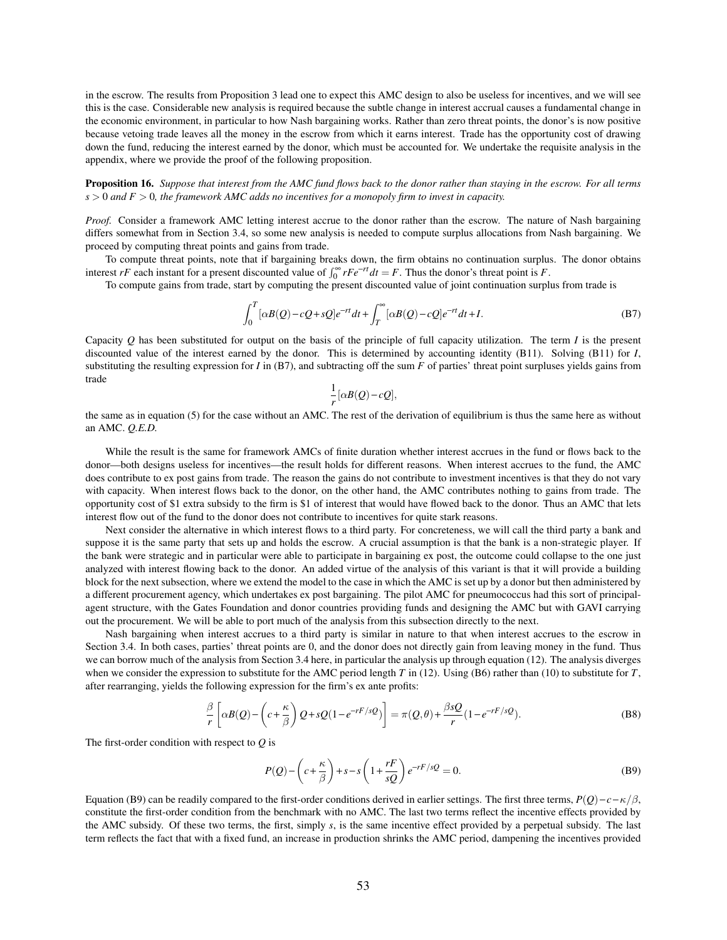in the escrow. The results from Proposition 3 lead one to expect this AMC design to also be useless for incentives, and we will see this is the case. Considerable new analysis is required because the subtle change in interest accrual causes a fundamental change in the economic environment, in particular to how Nash bargaining works. Rather than zero threat points, the donor's is now positive because vetoing trade leaves all the money in the escrow from which it earns interest. Trade has the opportunity cost of drawing down the fund, reducing the interest earned by the donor, which must be accounted for. We undertake the requisite analysis in the appendix, where we provide the proof of the following proposition.

Proposition 16. *Suppose that interest from the AMC fund flows back to the donor rather than staying in the escrow. For all terms s* > 0 *and F* > 0*, the framework AMC adds no incentives for a monopoly firm to invest in capacity.*

*Proof.* Consider a framework AMC letting interest accrue to the donor rather than the escrow. The nature of Nash bargaining differs somewhat from in Section 3.4, so some new analysis is needed to compute surplus allocations from Nash bargaining. We proceed by computing threat points and gains from trade.

To compute threat points, note that if bargaining breaks down, the firm obtains no continuation surplus. The donor obtains interest *rF* each instant for a present discounted value of  $\int_0^\infty r F e^{-rt} dt = F$ . Thus the donor's threat point is *F*.

To compute gains from trade, start by computing the present discounted value of joint continuation surplus from trade is

$$
\int_0^T [\alpha B(Q) - cQ + sQ] e^{-rt} dt + \int_T^\infty [\alpha B(Q) - cQ] e^{-rt} dt + I.
$$
\n(B7)

Capacity *Q* has been substituted for output on the basis of the principle of full capacity utilization. The term *I* is the present discounted value of the interest earned by the donor. This is determined by accounting identity (B11). Solving (B11) for *I*, substituting the resulting expression for *I* in (B7), and subtracting off the sum *F* of parties' threat point surpluses yields gains from trade

$$
\frac{1}{r}[\alpha B(Q)-cQ],
$$

the same as in equation (5) for the case without an AMC. The rest of the derivation of equilibrium is thus the same here as without an AMC. *Q.E.D.*

While the result is the same for framework AMCs of finite duration whether interest accrues in the fund or flows back to the donor—both designs useless for incentives—the result holds for different reasons. When interest accrues to the fund, the AMC does contribute to ex post gains from trade. The reason the gains do not contribute to investment incentives is that they do not vary with capacity. When interest flows back to the donor, on the other hand, the AMC contributes nothing to gains from trade. The opportunity cost of \$1 extra subsidy to the firm is \$1 of interest that would have flowed back to the donor. Thus an AMC that lets interest flow out of the fund to the donor does not contribute to incentives for quite stark reasons.

Next consider the alternative in which interest flows to a third party. For concreteness, we will call the third party a bank and suppose it is the same party that sets up and holds the escrow. A crucial assumption is that the bank is a non-strategic player. If the bank were strategic and in particular were able to participate in bargaining ex post, the outcome could collapse to the one just analyzed with interest flowing back to the donor. An added virtue of the analysis of this variant is that it will provide a building block for the next subsection, where we extend the model to the case in which the AMC is set up by a donor but then administered by a different procurement agency, which undertakes ex post bargaining. The pilot AMC for pneumococcus had this sort of principalagent structure, with the Gates Foundation and donor countries providing funds and designing the AMC but with GAVI carrying out the procurement. We will be able to port much of the analysis from this subsection directly to the next.

Nash bargaining when interest accrues to a third party is similar in nature to that when interest accrues to the escrow in Section 3.4. In both cases, parties' threat points are 0, and the donor does not directly gain from leaving money in the fund. Thus we can borrow much of the analysis from Section 3.4 here, in particular the analysis up through equation (12). The analysis diverges when we consider the expression to substitute for the AMC period length *T* in (12). Using (B6) rather than (10) to substitute for *T*, after rearranging, yields the following expression for the firm's ex ante profits:

$$
\frac{\beta}{r} \left[ \alpha B(Q) - \left( c + \frac{\kappa}{\beta} \right) Q + sQ(1 - e^{-rF/sQ}) \right] = \pi(Q, \theta) + \frac{\beta sQ}{r} (1 - e^{-rF/sQ}).
$$
\n(B8)

The first-order condition with respect to *Q* is

$$
P(Q) - \left(c + \frac{\kappa}{\beta}\right) + s - s\left(1 + \frac{rF}{sQ}\right)e^{-rF/sQ} = 0.
$$
 (B9)

Equation (B9) can be readily compared to the first-order conditions derived in earlier settings. The first three terms,  $P(Q)$  –  $c - \kappa/\beta$ , constitute the first-order condition from the benchmark with no AMC. The last two terms reflect the incentive effects provided by the AMC subsidy. Of these two terms, the first, simply *s*, is the same incentive effect provided by a perpetual subsidy. The last term reflects the fact that with a fixed fund, an increase in production shrinks the AMC period, dampening the incentives provided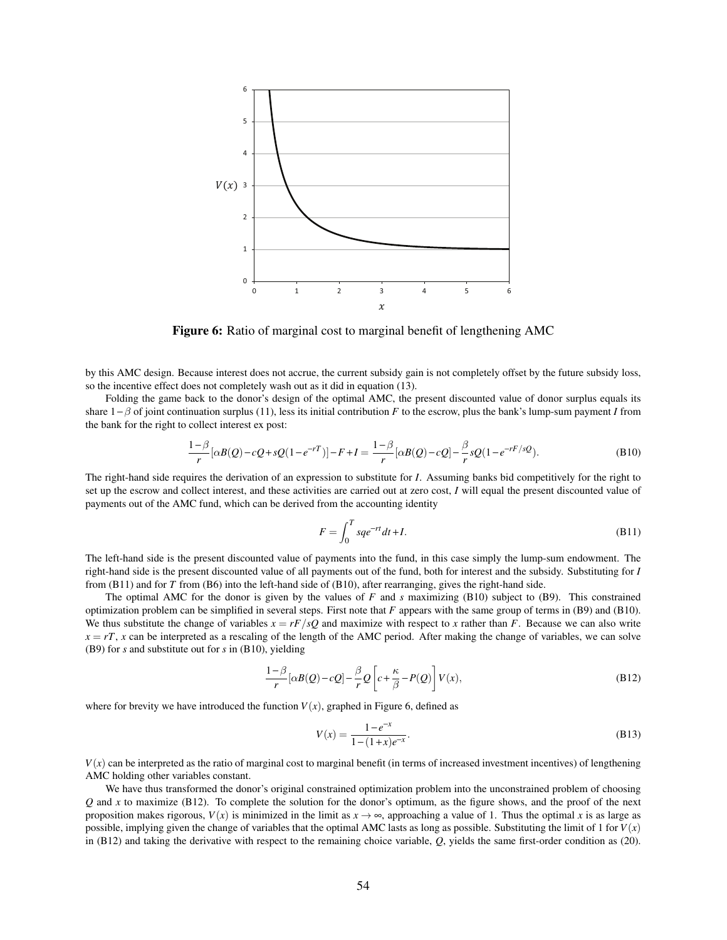

Figure 6: Ratio of marginal cost to marginal benefit of lengthening AMC

by this AMC design. Because interest does not accrue, the current subsidy gain is not completely offset by the future subsidy loss, so the incentive effect does not completely wash out as it did in equation (13).

Folding the game back to the donor's design of the optimal AMC, the present discounted value of donor surplus equals its share 1−β of joint continuation surplus (11), less its initial contribution *F* to the escrow, plus the bank's lump-sum payment *I* from the bank for the right to collect interest ex post:

$$
\frac{1-\beta}{r} [\alpha B(Q) - cQ + sQ(1 - e^{-rT})] - F + I = \frac{1-\beta}{r} [\alpha B(Q) - cQ] - \frac{\beta}{r} sQ(1 - e^{-rF/sQ}).
$$
\n(B10)

The right-hand side requires the derivation of an expression to substitute for *I*. Assuming banks bid competitively for the right to set up the escrow and collect interest, and these activities are carried out at zero cost, *I* will equal the present discounted value of payments out of the AMC fund, which can be derived from the accounting identity

$$
F = \int_0^T s q e^{-rt} dt + I.
$$
 (B11)

The left-hand side is the present discounted value of payments into the fund, in this case simply the lump-sum endowment. The right-hand side is the present discounted value of all payments out of the fund, both for interest and the subsidy. Substituting for *I* from (B11) and for *T* from (B6) into the left-hand side of (B10), after rearranging, gives the right-hand side.

The optimal AMC for the donor is given by the values of *F* and *s* maximizing (B10) subject to (B9). This constrained optimization problem can be simplified in several steps. First note that *F* appears with the same group of terms in (B9) and (B10). We thus substitute the change of variables  $x = rF/sQ$  and maximize with respect to x rather than *F*. Because we can also write  $x = rT$ , *x* can be interpreted as a rescaling of the length of the AMC period. After making the change of variables, we can solve (B9) for *s* and substitute out for *s* in (B10), yielding

$$
\frac{1-\beta}{r} [\alpha B(Q) - cQ] - \frac{\beta}{r} Q \left[ c + \frac{\kappa}{\beta} - P(Q) \right] V(x),\tag{B12}
$$

where for brevity we have introduced the function  $V(x)$ , graphed in Figure 6, defined as

$$
V(x) = \frac{1 - e^{-x}}{1 - (1 + x)e^{-x}}.
$$
\n(B13)

 $V(x)$  can be interpreted as the ratio of marginal cost to marginal benefit (in terms of increased investment incentives) of lengthening AMC holding other variables constant.

We have thus transformed the donor's original constrained optimization problem into the unconstrained problem of choosing *Q* and *x* to maximize (B12). To complete the solution for the donor's optimum, as the figure shows, and the proof of the next proposition makes rigorous,  $V(x)$  is minimized in the limit as  $x \to \infty$ , approaching a value of 1. Thus the optimal *x* is as large as possible, implying given the change of variables that the optimal AMC lasts as long as possible. Substituting the limit of 1 for  $V(x)$ in (B12) and taking the derivative with respect to the remaining choice variable, *Q*, yields the same first-order condition as (20).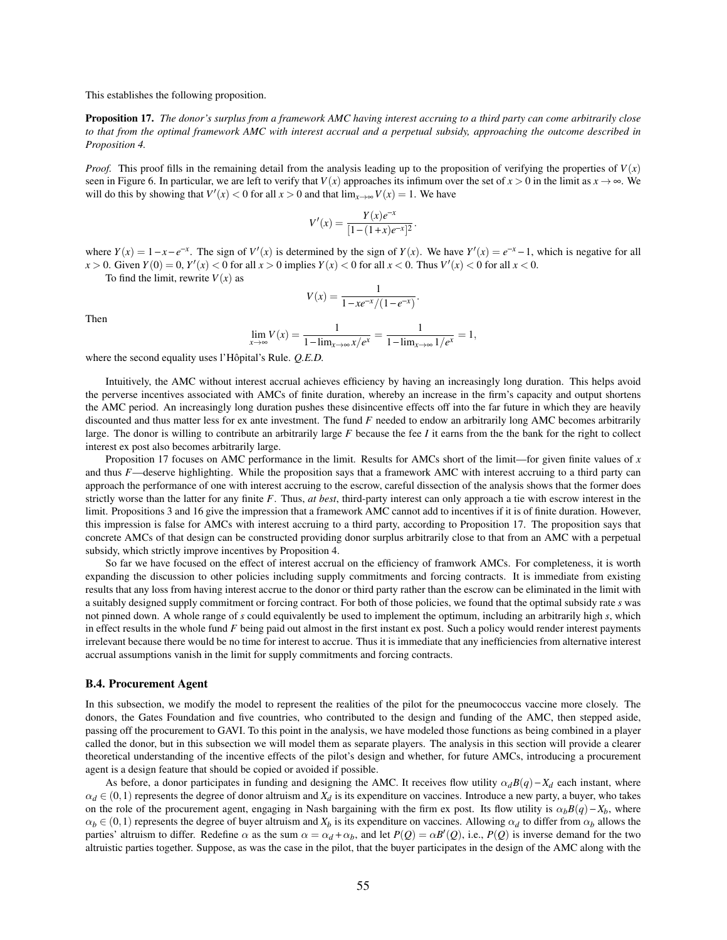This establishes the following proposition.

Proposition 17. *The donor's surplus from a framework AMC having interest accruing to a third party can come arbitrarily close to that from the optimal framework AMC with interest accrual and a perpetual subsidy, approaching the outcome described in Proposition 4.*

*Proof.* This proof fills in the remaining detail from the analysis leading up to the proposition of verifying the properties of  $V(x)$ seen in Figure 6. In particular, we are left to verify that  $V(x)$  approaches its infimum over the set of  $x > 0$  in the limit as  $x \to \infty$ . We will do this by showing that  $V'(x) < 0$  for all  $x > 0$  and that  $\lim_{x \to \infty} V(x) = 1$ . We have

$$
V'(x) = \frac{Y(x)e^{-x}}{[1-(1+x)e^{-x}]^2}.
$$

where  $Y(x) = 1 - x - e^{-x}$ . The sign of  $V'(x)$  is determined by the sign of  $Y(x)$ . We have  $Y'(x) = e^{-x} - 1$ , which is negative for all  $x > 0$ . Given  $Y(0) = 0$ ,  $Y'(x) < 0$  for all  $x > 0$  implies  $Y(x) < 0$  for all  $x < 0$ . Thus  $V'(x) < 0$  for all  $x < 0$ .

To find the limit, rewrite  $V(x)$  as

$$
V(x) = \frac{1}{1 - xe^{-x}/(1 - e^{-x})}.
$$

Then

$$
\lim_{x \to \infty} V(x) = \frac{1}{1 - \lim_{x \to \infty} x/e^x} = \frac{1}{1 - \lim_{x \to \infty} 1/e^x} = 1,
$$

where the second equality uses l'Hôpital's Rule. *Q.E.D.*

Intuitively, the AMC without interest accrual achieves efficiency by having an increasingly long duration. This helps avoid the perverse incentives associated with AMCs of finite duration, whereby an increase in the firm's capacity and output shortens the AMC period. An increasingly long duration pushes these disincentive effects off into the far future in which they are heavily discounted and thus matter less for ex ante investment. The fund *F* needed to endow an arbitrarily long AMC becomes arbitrarily large. The donor is willing to contribute an arbitrarily large *F* because the fee *I* it earns from the the bank for the right to collect interest ex post also becomes arbitrarily large.

Proposition 17 focuses on AMC performance in the limit. Results for AMCs short of the limit—for given finite values of *x* and thus *F*—deserve highlighting. While the proposition says that a framework AMC with interest accruing to a third party can approach the performance of one with interest accruing to the escrow, careful dissection of the analysis shows that the former does strictly worse than the latter for any finite *F*. Thus, *at best*, third-party interest can only approach a tie with escrow interest in the limit. Propositions 3 and 16 give the impression that a framework AMC cannot add to incentives if it is of finite duration. However, this impression is false for AMCs with interest accruing to a third party, according to Proposition 17. The proposition says that concrete AMCs of that design can be constructed providing donor surplus arbitrarily close to that from an AMC with a perpetual subsidy, which strictly improve incentives by Proposition 4.

So far we have focused on the effect of interest accrual on the efficiency of framwork AMCs. For completeness, it is worth expanding the discussion to other policies including supply commitments and forcing contracts. It is immediate from existing results that any loss from having interest accrue to the donor or third party rather than the escrow can be eliminated in the limit with a suitably designed supply commitment or forcing contract. For both of those policies, we found that the optimal subsidy rate *s* was not pinned down. A whole range of *s* could equivalently be used to implement the optimum, including an arbitrarily high *s*, which in effect results in the whole fund *F* being paid out almost in the first instant ex post. Such a policy would render interest payments irrelevant because there would be no time for interest to accrue. Thus it is immediate that any inefficiencies from alternative interest accrual assumptions vanish in the limit for supply commitments and forcing contracts.

#### B.4. Procurement Agent

In this subsection, we modify the model to represent the realities of the pilot for the pneumococcus vaccine more closely. The donors, the Gates Foundation and five countries, who contributed to the design and funding of the AMC, then stepped aside, passing off the procurement to GAVI. To this point in the analysis, we have modeled those functions as being combined in a player called the donor, but in this subsection we will model them as separate players. The analysis in this section will provide a clearer theoretical understanding of the incentive effects of the pilot's design and whether, for future AMCs, introducing a procurement agent is a design feature that should be copied or avoided if possible.

As before, a donor participates in funding and designing the AMC. It receives flow utility  $\alpha_d B(q) - X_d$  each instant, where  $\alpha_d \in (0,1)$  represents the degree of donor altruism and  $X_d$  is its expenditure on vaccines. Introduce a new party, a buyer, who takes on the role of the procurement agent, engaging in Nash bargaining with the firm ex post. Its flow utility is  $\alpha_b B(q) - X_b$ , where  $\alpha_b \in (0,1)$  represents the degree of buyer altruism and  $X_b$  is its expenditure on vaccines. Allowing  $\alpha_d$  to differ from  $\alpha_b$  allows the parties' altruism to differ. Redefine  $\alpha$  as the sum  $\alpha = \alpha_d + \alpha_b$ , and let  $P(Q) = \alpha B'(Q)$ , i.e.,  $P(Q)$  is inverse demand for the two altruistic parties together. Suppose, as was the case in the pilot, that the buyer participates in the design of the AMC along with the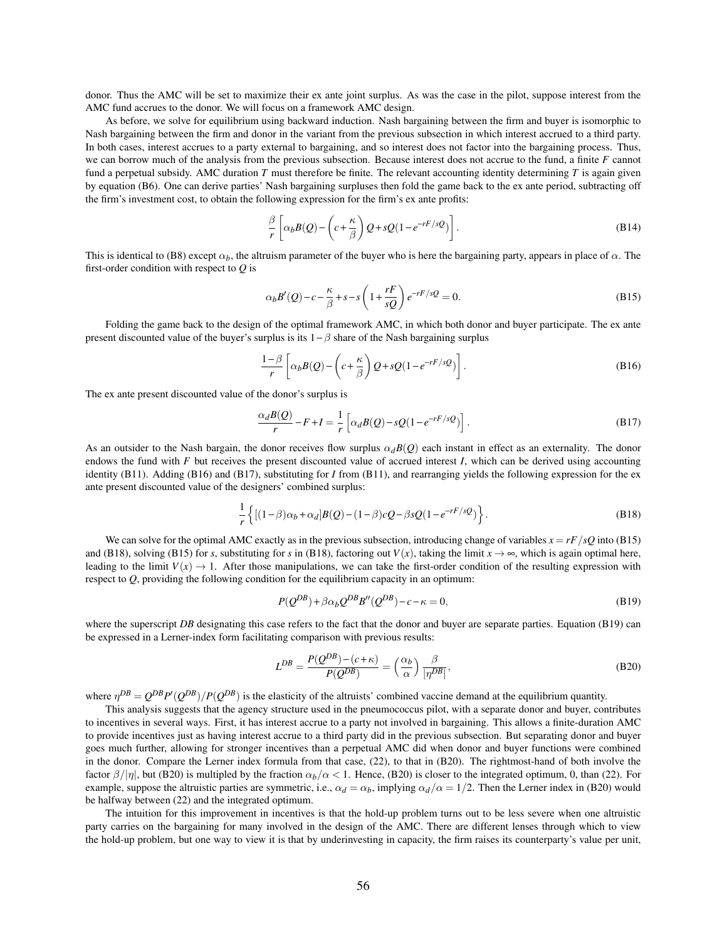donor. Thus the AMC will be set to maximize their ex ante joint surplus. As was the case in the pilot, suppose interest from the AMC fund accrues to the donor. We will focus on a framework AMC design.

As before, we solve for equilibrium using backward induction. Nash bargaining between the firm and buyer is isomorphic to Nash bargaining between the firm and donor in the variant from the previous subsection in which interest accrued to a third party. In both cases, interest accrues to a party external to bargaining, and so interest does not factor into the bargaining process. Thus, we can borrow much of the analysis from the previous subsection. Because interest does not accrue to the fund, a finite *F* cannot fund a perpetual subsidy. AMC duration *T* must therefore be finite. The relevant accounting identity determining *T* is again given by equation (B6). One can derive parties' Nash bargaining surpluses then fold the game back to the ex ante period, subtracting off the firm's investment cost, to obtain the following expression for the firm's ex ante profits:

$$
\frac{\beta}{r} \left[ \alpha_b B(Q) - \left( c + \frac{\kappa}{\beta} \right) Q + sQ(1 - e^{-rF/sQ}) \right].
$$
\n(B14)

This is identical to (B8) except  $\alpha_b$ , the altruism parameter of the buyer who is here the bargaining party, appears in place of  $\alpha$ . The first-order condition with respect to *Q* is

$$
\alpha_b B'(Q) - c - \frac{\kappa}{\beta} + s - s \left( 1 + \frac{rF}{sQ} \right) e^{-rF/sQ} = 0.
$$
\n(B15)

Folding the game back to the design of the optimal framework AMC, in which both donor and buyer participate. The ex ante present discounted value of the buyer's surplus is its  $1 - \beta$  share of the Nash bargaining surplus

$$
\frac{1-\beta}{r}\left[\alpha_b B(Q) - \left(c + \frac{\kappa}{\beta}\right)Q + sQ(1 - e^{-rF/sQ})\right].
$$
\n(B16)

The ex ante present discounted value of the donor's surplus is

$$
\frac{\alpha_d B(Q)}{r} - F + I = \frac{1}{r} \left[ \alpha_d B(Q) - sQ(1 - e^{-rF/sQ}) \right].
$$
\n(B17)

As an outsider to the Nash bargain, the donor receives flow surplus  $\alpha_d B(0)$  each instant in effect as an externality. The donor endows the fund with  $F$  but receives the present discounted value of accrued interest  $I$ , which can be derived using accounting identity (B11). Adding (B16) and (B17), substituting for *I* from (B11), and rearranging yields the following expression for the ex ante present discounted value of the designers' combined surplus:

$$
\frac{1}{r}\left\{[(1-\beta)\alpha_b + \alpha_d]B(Q) - (1-\beta)cQ - \beta sQ(1 - e^{-rF/sQ})\right\}.
$$
\n(B18)

We can solve for the optimal AMC exactly as in the previous subsection, introducing change of variables  $x = rF/sQ$  into (B15) and (B18), solving (B15) for *s*, substituting for *s* in (B18), factoring out  $V(x)$ , taking the limit  $x \to \infty$ , which is again optimal here, leading to the limit  $V(x) \rightarrow 1$ . After those manipulations, we can take the first-order condition of the resulting expression with respect to *Q*, providing the following condition for the equilibrium capacity in an optimum:

$$
P(Q^{DB}) + \beta \alpha_b Q^{DB} B''(Q^{DB}) - c - \kappa = 0,
$$
\n(B19)

where the superscript *DB* designating this case refers to the fact that the donor and buyer are separate parties. Equation (B19) can be expressed in a Lerner-index form facilitating comparison with previous results:

$$
L^{DB} = \frac{P(Q^{DB}) - (c + \kappa)}{P(Q^{DB})} = \left(\frac{\alpha_b}{\alpha}\right) \frac{\beta}{|\eta^{DB}|},\tag{B20}
$$

where  $\eta^{DB} = Q^{DB}P'(Q^{DB})/P(Q^{DB})$  is the elasticity of the altruists' combined vaccine demand at the equilibrium quantity.

This analysis suggests that the agency structure used in the pneumococcus pilot, with a separate donor and buyer, contributes to incentives in several ways. First, it has interest accrue to a party not involved in bargaining. This allows a finite-duration AMC to provide incentives just as having interest accrue to a third party did in the previous subsection. But separating donor and buyer goes much further, allowing for stronger incentives than a perpetual AMC did when donor and buyer functions were combined in the donor. Compare the Lerner index formula from that case, (22), to that in (B20). The rightmost-hand of both involve the factor  $\beta/|\eta|$ , but (B20) is multipled by the fraction  $\alpha_b/\alpha < 1$ . Hence, (B20) is closer to the integrated optimum, 0, than (22). For example, suppose the altruistic parties are symmetric, i.e.,  $\alpha_d = \alpha_b$ , implying  $\alpha_d/\alpha = 1/2$ . Then the Lerner index in (B20) would be halfway between (22) and the integrated optimum.

The intuition for this improvement in incentives is that the hold-up problem turns out to be less severe when one altruistic party carries on the bargaining for many involved in the design of the AMC. There are different lenses through which to view the hold-up problem, but one way to view it is that by underinvesting in capacity, the firm raises its counterparty's value per unit,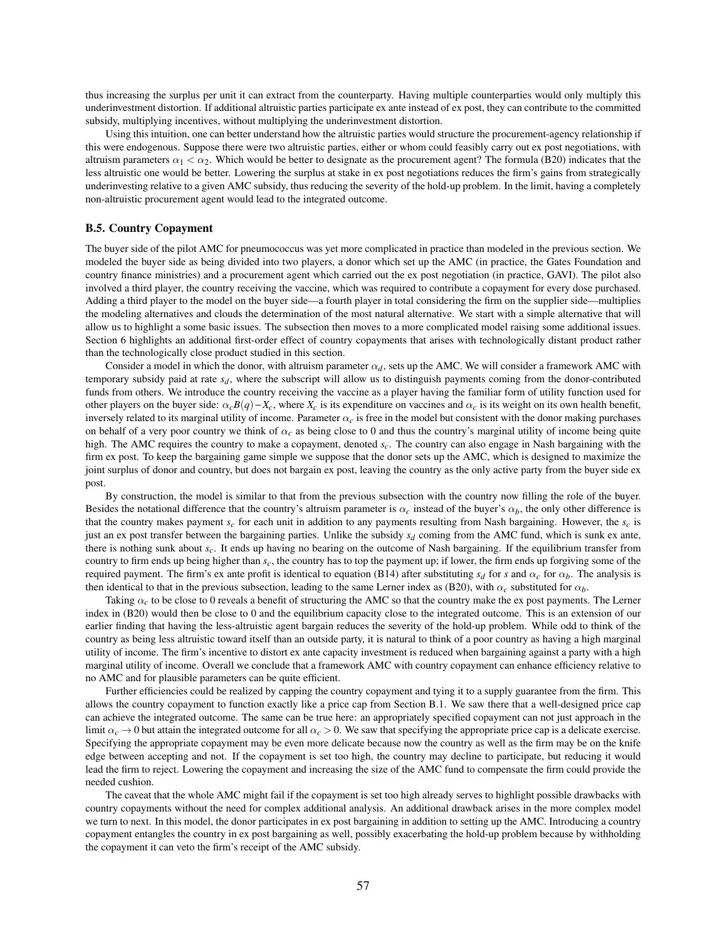thus increasing the surplus per unit it can extract from the counterparty. Having multiple counterparties would only multiply this underinvestment distortion. If additional altruistic parties participate ex ante instead of ex post, they can contribute to the committed subsidy, multiplying incentives, without multiplying the underinvestment distortion.

Using this intuition, one can better understand how the altruistic parties would structure the procurement-agency relationship if this were endogenous. Suppose there were two altruistic parties, either or whom could feasibly carry out ex post negotiations, with altruism parameters  $\alpha_1 < \alpha_2$ . Which would be better to designate as the procurement agent? The formula (B20) indicates that the less altruistic one would be better. Lowering the surplus at stake in ex post negotiations reduces the firm's gains from strategically underinvesting relative to a given AMC subsidy, thus reducing the severity of the hold-up problem. In the limit, having a completely non-altruistic procurement agent would lead to the integrated outcome.

#### B.5. Country Copayment

The buyer side of the pilot AMC for pneumococcus was yet more complicated in practice than modeled in the previous section. We modeled the buyer side as being divided into two players, a donor which set up the AMC (in practice, the Gates Foundation and country finance ministries) and a procurement agent which carried out the ex post negotiation (in practice, GAVI). The pilot also involved a third player, the country receiving the vaccine, which was required to contribute a copayment for every dose purchased. Adding a third player to the model on the buyer side—a fourth player in total considering the firm on the supplier side—multiplies the modeling alternatives and clouds the determination of the most natural alternative. We start with a simple alternative that will allow us to highlight a some basic issues. The subsection then moves to a more complicated model raising some additional issues. Section 6 highlights an additional first-order effect of country copayments that arises with technologically distant product rather than the technologically close product studied in this section.

Consider a model in which the donor, with altruism parameter  $\alpha_d$ , sets up the AMC. We will consider a framework AMC with temporary subsidy paid at rate *sd*, where the subscript will allow us to distinguish payments coming from the donor-contributed funds from others. We introduce the country receiving the vaccine as a player having the familiar form of utility function used for other players on the buyer side:  $\alpha_c B(q) - X_c$ , where  $X_c$  is its expenditure on vaccines and  $\alpha_c$  is its weight on its own health benefit, inversely related to its marginal utility of income. Parameter  $\alpha_c$  is free in the model but consistent with the donor making purchases on behalf of a very poor country we think of α*c* as being close to 0 and thus the country's marginal utility of income being quite high. The AMC requires the country to make a copayment, denoted *sc*. The country can also engage in Nash bargaining with the firm ex post. To keep the bargaining game simple we suppose that the donor sets up the AMC, which is designed to maximize the joint surplus of donor and country, but does not bargain ex post, leaving the country as the only active party from the buyer side ex post.

By construction, the model is similar to that from the previous subsection with the country now filling the role of the buyer. Besides the notational difference that the country's altruism parameter is  $\alpha_c$  instead of the buyer's  $\alpha_b$ , the only other difference is that the country makes payment  $s_c$  for each unit in addition to any payments resulting from Nash bargaining. However, the  $s_c$  is just an ex post transfer between the bargaining parties. Unlike the subsidy  $s_d$  coming from the AMC fund, which is sunk ex ante, there is nothing sunk about *sc*. It ends up having no bearing on the outcome of Nash bargaining. If the equilibrium transfer from country to firm ends up being higher than *sc*, the country has to top the payment up; if lower, the firm ends up forgiving some of the required payment. The firm's ex ante profit is identical to equation (B14) after substituting  $s_d$  for *s* and  $\alpha_c$  for  $\alpha_b$ . The analysis is then identical to that in the previous subsection, leading to the same Lerner index as (B20), with  $\alpha_c$  substituted for  $\alpha_b$ .

Taking α*c* to be close to 0 reveals a benefit of structuring the AMC so that the country make the ex post payments. The Lerner index in (B20) would then be close to 0 and the equilibrium capacity close to the integrated outcome. This is an extension of our earlier finding that having the less-altruistic agent bargain reduces the severity of the hold-up problem. While odd to think of the country as being less altruistic toward itself than an outside party, it is natural to think of a poor country as having a high marginal utility of income. The firm's incentive to distort ex ante capacity investment is reduced when bargaining against a party with a high marginal utility of income. Overall we conclude that a framework AMC with country copayment can enhance efficiency relative to no AMC and for plausible parameters can be quite efficient.

Further efficiencies could be realized by capping the country copayment and tying it to a supply guarantee from the firm. This allows the country copayment to function exactly like a price cap from Section B.1. We saw there that a well-designed price cap can achieve the integrated outcome. The same can be true here: an appropriately specified copayment can not just approach in the limit  $\alpha_c \to 0$  but attain the integrated outcome for all  $\alpha_c > 0$ . We saw that specifying the appropriate price cap is a delicate exercise. Specifying the appropriate copayment may be even more delicate because now the country as well as the firm may be on the knife edge between accepting and not. If the copayment is set too high, the country may decline to participate, but reducing it would lead the firm to reject. Lowering the copayment and increasing the size of the AMC fund to compensate the firm could provide the needed cushion.

The caveat that the whole AMC might fail if the copayment is set too high already serves to highlight possible drawbacks with country copayments without the need for complex additional analysis. An additional drawback arises in the more complex model we turn to next. In this model, the donor participates in ex post bargaining in addition to setting up the AMC. Introducing a country copayment entangles the country in ex post bargaining as well, possibly exacerbating the hold-up problem because by withholding the copayment it can veto the firm's receipt of the AMC subsidy.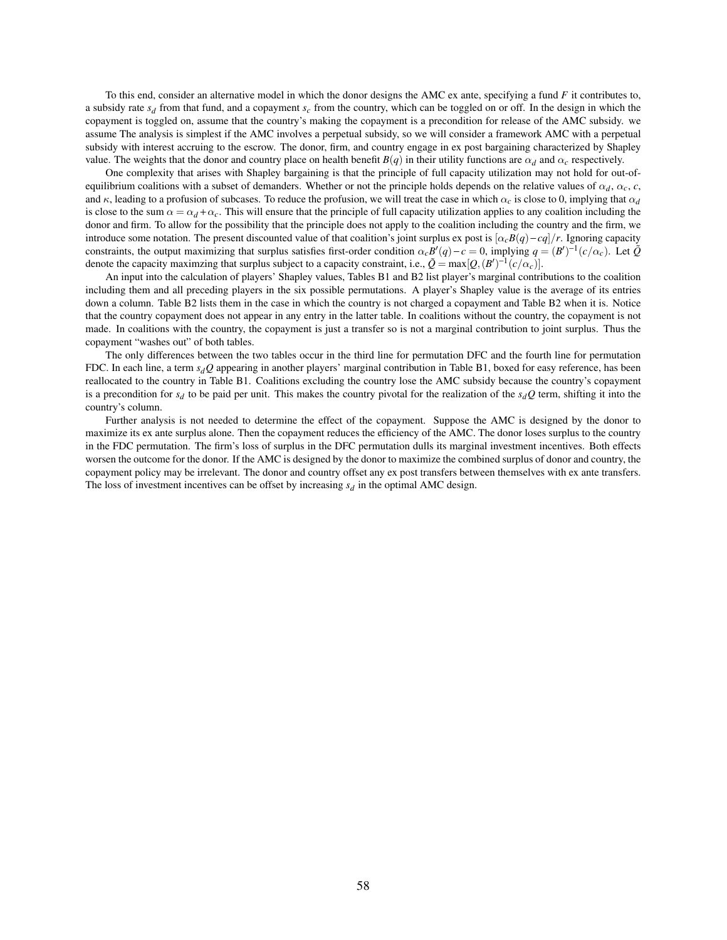To this end, consider an alternative model in which the donor designs the AMC ex ante, specifying a fund *F* it contributes to, a subsidy rate *s<sup>d</sup>* from that fund, and a copayment *s<sup>c</sup>* from the country, which can be toggled on or off. In the design in which the copayment is toggled on, assume that the country's making the copayment is a precondition for release of the AMC subsidy. we assume The analysis is simplest if the AMC involves a perpetual subsidy, so we will consider a framework AMC with a perpetual subsidy with interest accruing to the escrow. The donor, firm, and country engage in ex post bargaining characterized by Shapley value. The weights that the donor and country place on health benefit  $B(q)$  in their utility functions are  $\alpha_d$  and  $\alpha_c$  respectively.

One complexity that arises with Shapley bargaining is that the principle of full capacity utilization may not hold for out-ofequilibrium coalitions with a subset of demanders. Whether or not the principle holds depends on the relative values of  $\alpha_d$ ,  $\alpha_c$ ,  $c$ , and  $\kappa$ , leading to a profusion of subcases. To reduce the profusion, we will treat the case in which  $\alpha_c$  is close to 0, implying that  $\alpha_d$ is close to the sum  $\alpha = \alpha_d + \alpha_c$ . This will ensure that the principle of full capacity utilization applies to any coalition including the donor and firm. To allow for the possibility that the principle does not apply to the coalition including the country and the firm, we introduce some notation. The present discounted value of that coalition's joint surplus ex post is  $\left[\alpha_r B(q) - \frac{cq}{r}\right]$ . Ignoring capacity constraints, the output maximizing that surplus satisfies first-order condition  $\alpha_c B'(q) - c = 0$ , implying  $q = (B')^{-1}(c/\alpha_c)$ . Let  $\tilde{Q}$ denote the capacity maximzing that surplus subject to a capacity constraint, i.e.,  $\tilde{Q} = \max[Q, (B')^{-1}(c/\alpha_c)].$ 

An input into the calculation of players' Shapley values, Tables B1 and B2 list player's marginal contributions to the coalition including them and all preceding players in the six possible permutations. A player's Shapley value is the average of its entries down a column. Table B2 lists them in the case in which the country is not charged a copayment and Table B2 when it is. Notice that the country copayment does not appear in any entry in the latter table. In coalitions without the country, the copayment is not made. In coalitions with the country, the copayment is just a transfer so is not a marginal contribution to joint surplus. Thus the copayment "washes out" of both tables.

The only differences between the two tables occur in the third line for permutation DFC and the fourth line for permutation FDC. In each line, a term *sdQ* appearing in another players' marginal contribution in Table B1, boxed for easy reference, has been reallocated to the country in Table B1. Coalitions excluding the country lose the AMC subsidy because the country's copayment is a precondition for  $s_d$  to be paid per unit. This makes the country pivotal for the realization of the  $s_dQ$  term, shifting it into the country's column.

Further analysis is not needed to determine the effect of the copayment. Suppose the AMC is designed by the donor to maximize its ex ante surplus alone. Then the copayment reduces the efficiency of the AMC. The donor loses surplus to the country in the FDC permutation. The firm's loss of surplus in the DFC permutation dulls its marginal investment incentives. Both effects worsen the outcome for the donor. If the AMC is designed by the donor to maximize the combined surplus of donor and country, the copayment policy may be irrelevant. The donor and country offset any ex post transfers between themselves with ex ante transfers. The loss of investment incentives can be offset by increasing  $s_d$  in the optimal AMC design.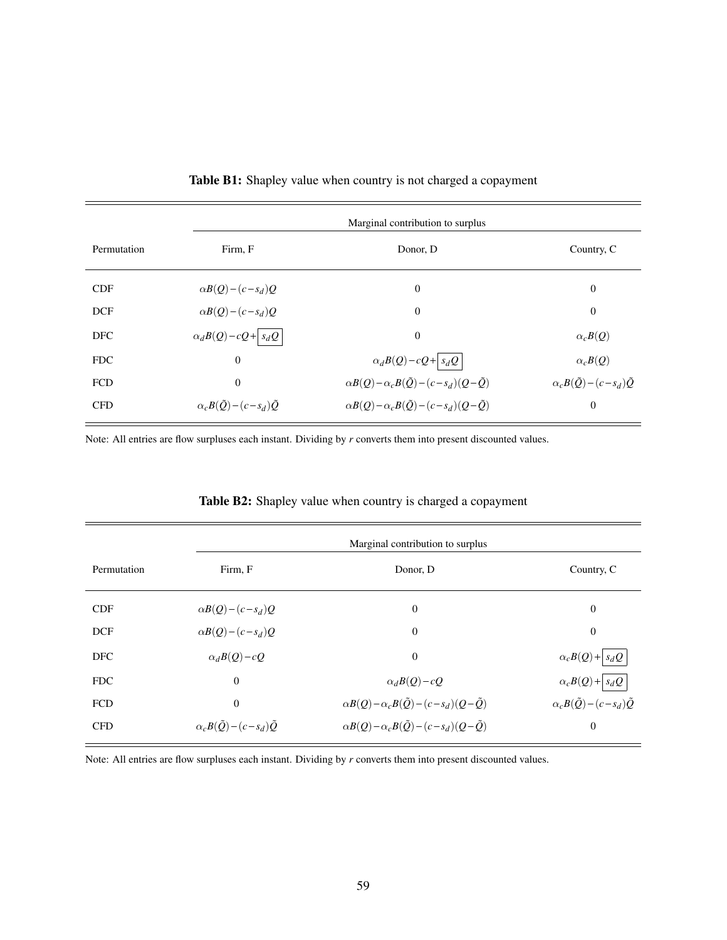|             | Marginal contribution to surplus              |                                                                  |                                               |
|-------------|-----------------------------------------------|------------------------------------------------------------------|-----------------------------------------------|
| Permutation | Firm, F                                       | Donor, D                                                         | Country, C                                    |
| <b>CDF</b>  | $\alpha B(Q) - (c - s_d)Q$                    | $\theta$                                                         | $\overline{0}$                                |
| <b>DCF</b>  | $\alpha B(Q) - (c - s_d)Q$                    | $\theta$                                                         | $\boldsymbol{0}$                              |
| <b>DFC</b>  | $\alpha_d B(Q) - cQ + s_d Q$                  | $\mathbf{0}$                                                     | $\alpha_c B(Q)$                               |
| <b>FDC</b>  | $\boldsymbol{0}$                              | $\alpha_d B(Q) - cQ + s_d Q$                                     | $\alpha_c B(Q)$                               |
| <b>FCD</b>  | $\mathbf{0}$                                  | $\alpha B(Q) - \alpha_c B(\tilde{Q}) - (c - s_d)(Q - \tilde{Q})$ | $\alpha_c B(\tilde{Q}) - (c - s_d) \tilde{Q}$ |
| <b>CFD</b>  | $\alpha_c B(\tilde{Q}) - (c - s_d) \tilde{Q}$ | $\alpha B(Q) - \alpha_c B(\tilde{Q}) - (c - s_d)(Q - \tilde{Q})$ | $\boldsymbol{0}$                              |

Table B1: Shapley value when country is not charged a copayment

Note: All entries are flow surpluses each instant. Dividing by *r* converts them into present discounted values.

|             | Marginal contribution to surplus              |                                                                  |                                               |  |
|-------------|-----------------------------------------------|------------------------------------------------------------------|-----------------------------------------------|--|
| Permutation | Firm, F                                       | Donor, D                                                         | Country, C                                    |  |
| <b>CDF</b>  | $\alpha B(Q) - (c - s_d)Q$                    | $\boldsymbol{0}$                                                 | $\mathbf{0}$                                  |  |
| <b>DCF</b>  | $\alpha B(Q) - (c - s_d)Q$                    | $\mathbf 0$                                                      | $\theta$                                      |  |
| <b>DFC</b>  | $\alpha_d B(Q) - cQ$                          | $\overline{0}$                                                   | $\alpha_c B(Q) +  s_d Q $                     |  |
| <b>FDC</b>  | $\overline{0}$                                | $\alpha_d B(Q) - cQ$                                             | $\alpha_c B(Q) +  s_d Q $                     |  |
| <b>FCD</b>  | $\overline{0}$                                | $\alpha B(Q) - \alpha_c B(\tilde{Q}) - (c - s_d)(Q - \tilde{Q})$ | $\alpha_c B(\tilde{Q}) - (c - s_d) \tilde{Q}$ |  |
| <b>CFD</b>  | $\alpha_c B(\tilde{Q}) - (c - s_d) \tilde{Q}$ | $\alpha B(Q) - \alpha_c B(\tilde{Q}) - (c - s_d)(Q - \tilde{Q})$ | $\theta$                                      |  |

Table B2: Shapley value when country is charged a copayment

Note: All entries are flow surpluses each instant. Dividing by *r* converts them into present discounted values.